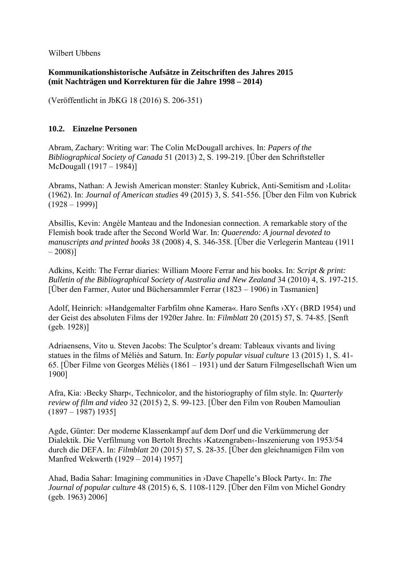Wilbert Ubbens

**Kommunikationshistorische Aufsätze in Zeitschriften des Jahres 2015 (mit Nachträgen und Korrekturen für die Jahre 1998 – 2014)** 

(Veröffentlicht in JbKG 18 (2016) S. 206-351)

## **10.2. Einzelne Personen**

Abram, Zachary: Writing war: The Colin McDougall archives. In: *Papers of the Bibliographical Society of Canada* 51 (2013) 2, S. 199-219. [Über den Schriftsteller McDougall (1917 – 1984)]

Abrams, Nathan: A Jewish American monster: Stanley Kubrick, Anti-Semitism and ›Lolita‹ (1962). In: *Journal of American studies* 49 (2015) 3, S. 541-556. [Über den Film von Kubrick  $(1928 - 1999)$ 

Absillis, Kevin: Angèle Manteau and the Indonesian connection. A remarkable story of the Flemish book trade after the Second World War. In: *Quaerendo: A journal devoted to manuscripts and printed books* 38 (2008) 4, S. 346-358. [Über die Verlegerin Manteau (1911  $-2008$ ]

Adkins, Keith: The Ferrar diaries: William Moore Ferrar and his books. In: *Script & print: Bulletin of the Bibliographical Society of Australia and New Zealand* 34 (2010) 4, S. 197-215. [Über den Farmer, Autor und Büchersammler Ferrar (1823 – 1906) in Tasmanien]

Adolf, Heinrich: »Handgemalter Farbfilm ohne Kamera«. Haro Senfts ›XY‹ (BRD 1954) und der Geist des absoluten Films der 1920er Jahre. In: *Filmblatt* 20 (2015) 57, S. 74-85. [Senft (geb. 1928)]

Adriaensens, Vito u. Steven Jacobs: The Sculptor's dream: Tableaux vivants and living statues in the films of Méliès and Saturn. In: *Early popular visual culture* 13 (2015) 1, S. 41- 65. [Über Filme von Georges Méliès (1861 – 1931) und der Saturn Filmgesellschaft Wien um 1900]

Afra, Kia: ›Becky Sharp‹, Technicolor, and the historiography of film style. In: *Quarterly review of film and video* 32 (2015) 2, S. 99-123. [Über den Film von Rouben Mamoulian (1897 – 1987) 1935]

Agde, Günter: Der moderne Klassenkampf auf dem Dorf und die Verkümmerung der Dialektik. Die Verfilmung von Bertolt Brechts ›Katzengraben‹-Inszenierung von 1953/54 durch die DEFA. In: *Filmblatt* 20 (2015) 57, S. 28-35. [Über den gleichnamigen Film von Manfred Wekwerth (1929 – 2014) 1957]

Ahad, Badia Sahar: Imagining communities in ›Dave Chapelle's Block Party‹. In: *The Journal of popular culture* 48 (2015) 6, S. 1108-1129. [Über den Film von Michel Gondry (geb. 1963) 2006]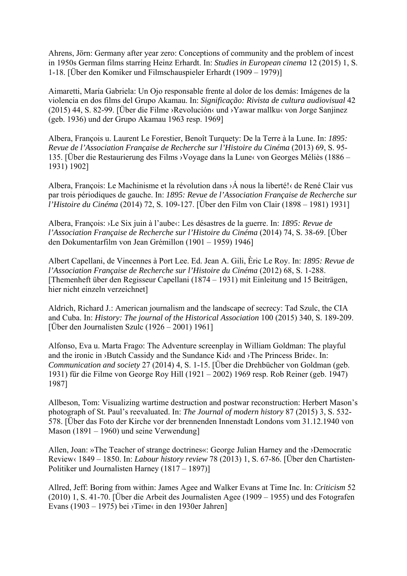Ahrens, Jörn: Germany after year zero: Conceptions of community and the problem of incest in 1950s German films starring Heinz Erhardt. In: *Studies in European cinema* 12 (2015) 1, S. 1-18. [Über den Komiker und Filmschauspieler Erhardt (1909 – 1979)]

Aimaretti, María Gabriela: Un Ojo responsable frente al dolor de los demás: Imágenes de la violencia en dos films del Grupo Akamau. In: *Significação: Rivista de cultura audiovisual* 42 (2015) 44, S. 82-99. [Über die Filme ›Revolución‹ und ›Yawar mallku‹ von Jorge Sanjinez (geb. 1936) und der Grupo Akamau 1963 resp. 1969]

Albera, François u. Laurent Le Forestier, Benoît Turquety: De la Terre à la Lune. In: *1895: Revue de l'Association Française de Recherche sur l'Histoire du Cinéma* (2013) 69, S. 95- 135. [Über die Restaurierung des Films ›Voyage dans la Lune‹ von Georges Méliès (1886 – 1931) 1902]

Albera, François: Le Machinisme et la révolution dans ›Á nous la liberté!‹ de René Clair vus par trois périodiques de gauche. In: *1895: Revue de l'Association Française de Recherche sur l'Histoire du Cinéma* (2014) 72, S. 109-127. [Über den Film von Clair (1898 – 1981) 1931]

Albera, François: ›Le Six juin à l'aube‹: Les désastres de la guerre. In: *1895: Revue de l'Association Française de Recherche sur l'Histoire du Cinéma* (2014) 74, S. 38-69. [Über den Dokumentarfilm von Jean Grémillon (1901 – 1959) 1946]

Albert Capellani, de Vincennes à Port Lee. Ed. Jean A. Gili, Èric Le Roy. In: *1895: Revue de l'Association Française de Recherche sur l'Histoire du Cinéma* (2012) 68, S. 1-288. [Themenheft über den Regisseur Capellani (1874 – 1931) mit Einleitung und 15 Beiträgen, hier nicht einzeln verzeichnet]

Aldrich, Richard J.: American journalism and the landscape of secrecy: Tad Szulc, the CIA and Cuba. In: *History: The journal of the Historical Association* 100 (2015) 340, S. 189-209. [Über den Journalisten Szulc  $(1926 - 2001)$  1961]

Alfonso, Eva u. Marta Frago: The Adventure screenplay in William Goldman: The playful and the ironic in ›Butch Cassidy and the Sundance Kid‹ and ›The Princess Bride‹. In: *Communication and society* 27 (2014) 4, S. 1-15. [Über die Drehbücher von Goldman (geb. 1931) für die Filme von George Roy Hill (1921 – 2002) 1969 resp. Rob Reiner (geb. 1947) 1987]

Allbeson, Tom: Visualizing wartime destruction and postwar reconstruction: Herbert Mason's photograph of St. Paul's reevaluated. In: *The Journal of modern history* 87 (2015) 3, S. 532- 578. [Über das Foto der Kirche vor der brennenden Innenstadt Londons vom 31.12.1940 von Mason (1891 – 1960) und seine Verwendung]

Allen, Joan: »The Teacher of strange doctrines«: George Julian Harney and the ›Democratic Review‹ 1849 – 1850. In: *Labour history review* 78 (2013) 1, S. 67-86. [Über den Chartisten-Politiker und Journalisten Harney (1817 – 1897)]

Allred, Jeff: Boring from within: James Agee and Walker Evans at Time Inc. In: *Criticism* 52 (2010) 1, S. 41-70. [Über die Arbeit des Journalisten Agee (1909 – 1955) und des Fotografen Evans (1903 – 1975) bei  $\overline{\text{Time}}$  in den 1930er Jahren]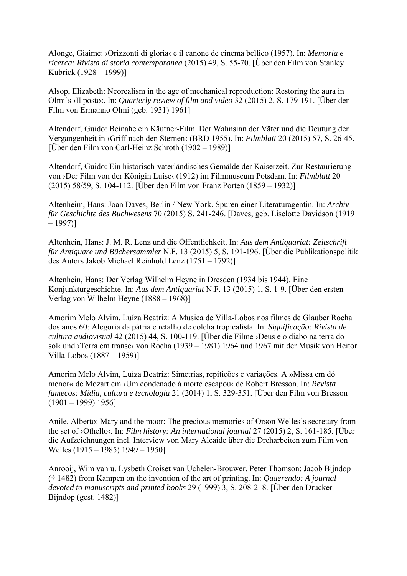Alonge, Giaime: ›Orizzonti di gloria‹ e il canone de cinema bellico (1957). In: *Memoria e ricerca: Rivista di storia contemporanea* (2015) 49, S. 55-70. [Über den Film von Stanley Kubrick (1928 – 1999)]

Alsop, Elizabeth: Neorealism in the age of mechanical reproduction: Restoring the aura in Olmi's ›Il posto‹. In: *Quarterly review of film and video* 32 (2015) 2, S. 179-191. [Über den Film von Ermanno Olmi (geb. 1931) 1961]

Altendorf, Guido: Beinahe ein Käutner-Film. Der Wahnsinn der Väter und die Deutung der Vergangenheit in ›Griff nach den Sternen‹ (BRD 1955). In: *Filmblatt* 20 (2015) 57, S. 26-45. [Über den Film von Carl-Heinz Schroth (1902 – 1989)]

Altendorf, Guido: Ein historisch-vaterländisches Gemälde der Kaiserzeit. Zur Restaurierung von ›Der Film von der Königin Luise‹ (1912) im Filmmuseum Potsdam. In: *Filmblatt* 20 (2015) 58/59, S. 104-112. [Über den Film von Franz Porten (1859 – 1932)]

Altenheim, Hans: Joan Daves, Berlin / New York. Spuren einer Literaturagentin. In: *Archiv für Geschichte des Buchwesens* 70 (2015) S. 241-246. [Daves, geb. Liselotte Davidson (1919  $-1997$ ]

Altenhein, Hans: J. M. R. Lenz und die Öffentlichkeit. In: *Aus dem Antiquariat: Zeitschrift für Antiquare und Büchersammler* N.F. 13 (2015) 5, S. 191-196. [Über die Publikationspolitik des Autors Jakob Michael Reinhold Lenz (1751 – 1792)]

Altenhein, Hans: Der Verlag Wilhelm Heyne in Dresden (1934 bis 1944). Eine Konjunkturgeschichte. In: *Aus dem Antiquariat* N.F. 13 (2015) 1, S. 1-9. [Über den ersten Verlag von Wilhelm Heyne (1888 – 1968)]

Amorim Melo Alvim, Luíza Beatriz: A Musica de Villa-Lobos nos filmes de Glauber Rocha dos anos 60: Alegoria da pátria e retalho de colcha tropicalista. In: *Significação: Rivista de cultura audiovisual* 42 (2015) 44, S. 100-119. [Über die Filme ›Deus e o diabo na terra do sol‹ und ›Terra em transe‹ von Rocha (1939 – 1981) 1964 und 1967 mit der Musik von Heitor Villa-Lobos (1887 – 1959)]

Amorim Melo Alvim, Luíza Beatriz: Simetrias, repitições e variações. A »Missa em dó menor« de Mozart em ›Um condenado à morte escapou‹ de Robert Bresson. In: *Revista famecos: Mídia, cultura e tecnologia* 21 (2014) 1, S. 329-351. [Über den Film von Bresson (1901 – 1999) 1956]

Anile, Alberto: Mary and the moor: The precious memories of Orson Welles's secretary from the set of ›Othello‹. In: *Film history: An international journal* 27 (2015) 2, S. 161-185. [Über die Aufzeichnungen incl. Interview von Mary Alcaide über die Dreharbeiten zum Film von Welles (1915 – 1985) 1949 – 1950]

Anrooij, Wim van u. Lysbeth Croiset van Uchelen-Brouwer, Peter Thomson: Jacob Bijndop († 1482) from Kampen on the invention of the art of printing. In: *Quaerendo: A journal devoted to manuscripts and printed books* 29 (1999) 3, S. 208-218. [Über den Drucker Bijndop (gest. 1482)]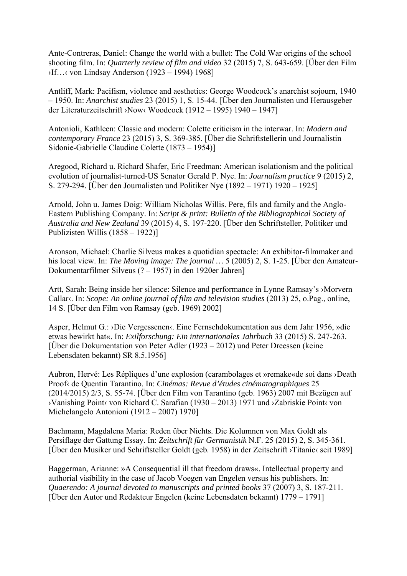Ante-Contreras, Daniel: Change the world with a bullet: The Cold War origins of the school shooting film. In: *Quarterly review of film and video* 32 (2015) 7, S. 643-659. [Über den Film ›If…‹ von Lindsay Anderson (1923 – 1994) 1968]

Antliff, Mark: Pacifism, violence and aesthetics: George Woodcock's anarchist sojourn, 1940 – 1950. In: *Anarchist studies* 23 (2015) 1, S. 15-44. [Über den Journalisten und Herausgeber der Literaturzeitschrift ›Now‹ Woodcock (1912 – 1995) 1940 – 1947]

Antonioli, Kathleen: Classic and modern: Colette criticism in the interwar. In: *Modern and contemporary France* 23 (2015) 3, S. 369-385. [Über die Schriftstellerin und Journalistin Sidonie-Gabrielle Claudine Colette (1873 – 1954)]

Aregood, Richard u. Richard Shafer, Eric Freedman: American isolationism and the political evolution of journalist-turned-US Senator Gerald P. Nye. In: *Journalism practice* 9 (2015) 2, S. 279-294. [Über den Journalisten und Politiker Nye (1892 – 1971) 1920 – 1925]

Arnold, John u. James Doig: William Nicholas Willis. Pere, fils and family and the Anglo-Eastern Publishing Company. In: *Script & print: Bulletin of the Bibliographical Society of Australia and New Zealand* 39 (2015) 4, S. 197-220. [Über den Schriftsteller, Politiker und Publizisten Willis (1858 – 1922)]

Aronson, Michael: Charlie Silveus makes a quotidian spectacle: An exhibitor-filmmaker and his local view. In: *The Moving image: The journal …* 5 (2005) 2, S. 1-25. [Über den Amateur-Dokumentarfilmer Silveus (? – 1957) in den 1920er Jahren]

Artt, Sarah: Being inside her silence: Silence and performance in Lynne Ramsay's ›Morvern Callar‹. In: *Scope: An online journal of film and television studies* (2013) 25, o.Pag., online, 14 S. [Über den Film von Ramsay (geb. 1969) 2002]

Asper, Helmut G.: ›Die Vergessenen‹. Eine Fernsehdokumentation aus dem Jahr 1956, »die etwas bewirkt hat«. In: *Exilforschung: Ein internationales Jahrbuch* 33 (2015) S. 247-263. [Über die Dokumentation von Peter Adler (1923 – 2012) und Peter Dreessen (keine Lebensdaten bekannt) SR 8.5.1956]

Aubron, Hervé: Les Répliques d'une explosion (carambolages et »remake«de soi dans ›Death Proof‹ de Quentin Tarantino. In: *Cinémas: Revue d'études cinématographiques* 25 (2014/2015) 2/3, S. 55-74. [Über den Film von Tarantino (geb. 1963) 2007 mit Bezügen auf ›Vanishing Point‹ von Richard C. Sarafian (1930 – 2013) 1971 und ›Zabriskie Point‹ von Michelangelo Antonioni (1912 – 2007) 1970]

Bachmann, Magdalena Maria: Reden über Nichts. Die Kolumnen von Max Goldt als Persiflage der Gattung Essay. In: *Zeitschrift für Germanistik* N.F. 25 (2015) 2, S. 345-361. [Über den Musiker und Schriftsteller Goldt (geb. 1958) in der Zeitschrift ›Titanic‹ seit 1989]

Baggerman, Arianne: »A Consequential ill that freedom draws«. Intellectual property and authorial visibility in the case of Jacob Voegen van Engelen versus his publishers. In: *Quaerendo: A journal devoted to manuscripts and printed books* 37 (2007) 3, S. 187-211. [Über den Autor und Redakteur Engelen (keine Lebensdaten bekannt) 1779 – 1791]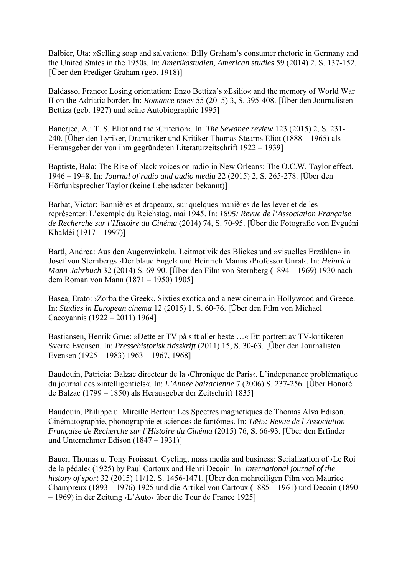Balbier, Uta: »Selling soap and salvation«: Billy Graham's consumer rhetoric in Germany and the United States in the 1950s. In: *Amerikastudien, American studies* 59 (2014) 2, S. 137-152. [Über den Prediger Graham (geb. 1918)]

Baldasso, Franco: Losing orientation: Enzo Bettiza's »Esilio« and the memory of World War II on the Adriatic border. In: *Romance notes* 55 (2015) 3, S. 395-408. [Über den Journalisten Bettiza (geb. 1927) und seine Autobiographie 1995]

Banerjee, A.: T. S. Eliot and the *>Criterion* (*In: The Sewanee review* 123 (2015) 2, S. 231-240. [Über den Lyriker, Dramatiker und Kritiker Thomas Stearns Eliot (1888 – 1965) als Herausgeber der von ihm gegründeten Literaturzeitschrift 1922 – 1939]

Baptiste, Bala: The Rise of black voices on radio in New Orleans: The O.C.W. Taylor effect, 1946 – 1948. In: *Journal of radio and audio media* 22 (2015) 2, S. 265-278. [Über den Hörfunksprecher Taylor (keine Lebensdaten bekannt)]

Barbat, Victor: Bannières et drapeaux, sur quelques manières de les lever et de les représenter: L'exemple du Reichstag, mai 1945. In: *1895: Revue de l'Association Française de Recherche sur l'Histoire du Cinéma* (2014) 74, S. 70-95. [Über die Fotografie von Evguéni Khaldéi (1917 – 1997)]

Bartl, Andrea: Aus den Augenwinkeln. Leitmotivik des Blickes und »visuelles Erzählen« in Josef von Sternbergs ›Der blaue Engel‹ und Heinrich Manns ›Professor Unrat‹. In: *Heinrich Mann-Jahrbuch* 32 (2014) S. 69-90. [Über den Film von Sternberg (1894 – 1969) 1930 nach dem Roman von Mann (1871 – 1950) 1905]

Basea, Erato: >Zorba the Greek<, Sixties exotica and a new cinema in Hollywood and Greece. In: *Studies in European cinema* 12 (2015) 1, S. 60-76. [Über den Film von Michael Cacoyannis (1922 – 2011) 1964]

Bastiansen, Henrik Grue: »Dette er TV på sitt aller beste …« Ett portrett av TV-kritikeren Sverre Evensen. In: *Pressehistorisk tidsskrift* (2011) 15, S. 30-63. [Über den Journalisten Evensen (1925 – 1983) 1963 – 1967, 1968]

Baudouin, Patricia: Balzac directeur de la >Chronique de Paris«. L'indepenance problématique du journal des »intelligentiels«. In: *L'Année balzacienne* 7 (2006) S. 237-256. [Über Honoré de Balzac (1799 – 1850) als Herausgeber der Zeitschrift 1835]

Baudouin, Philippe u. Mireille Berton: Les Spectres magnétiques de Thomas Alva Edison. Cinématographie, phonographie et sciences de fantômes. In: *1895: Revue de l'Association Française de Recherche sur l'Histoire du Cinéma* (2015) 76, S. 66-93. [Über den Erfinder und Unternehmer Edison (1847 – 1931)]

Bauer, Thomas u. Tony Froissart: Cycling, mass media and business: Serialization of ›Le Roi de la pédale‹ (1925) by Paul Cartoux and Henri Decoin. In: *International journal of the history of sport* 32 (2015) 11/12, S. 1456-1471. [Über den mehrteiligen Film von Maurice Champreux (1893 – 1976) 1925 und die Artikel von Cartoux (1885 – 1961) und Decoin (1890 – 1969) in der Zeitung ›L'Auto‹ über die Tour de France 1925]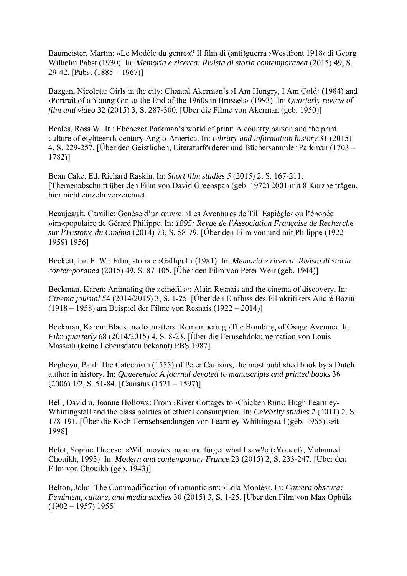Baumeister, Martin: »Le Modèle du genre«? Il film di (anti)guerra ›Westfront 1918‹ di Georg Wilhelm Pabst (1930). In: *Memoria e ricerca: Rivista di storia contemporanea* (2015) 49, S. 29-42. [Pabst (1885 – 1967)]

Bazgan, Nicoleta: Girls in the city: Chantal Akerman's ›I Am Hungry, I Am Cold‹ (1984) and ›Portrait of a Young Girl at the End of the 1960s in Brussels‹ (1993). In: *Quarterly review of film and video* 32 (2015) 3, S. 287-300. [Über die Filme von Akerman (geb. 1950)]

Beales, Ross W. Jr.: Ebenezer Parkman's world of print: A country parson and the print culture of eighteenth-century Anglo-America. In: *Library and information history* 31 (2015) 4, S. 229-257. [Über den Geistlichen, Literaturförderer und Büchersammler Parkman (1703 – 1782)]

Bean Cake. Ed. Richard Raskin. In: *Short film studies* 5 (2015) 2, S. 167-211. [Themenabschnitt über den Film von David Greenspan (geb. 1972) 2001 mit 8 Kurzbeiträgen, hier nicht einzeln verzeichnet]

Beaujeault, Camille: Genèse d'un œuvre: ›Les Aventures de Till Espiègle‹ ou l'épopée »im«populaire de Gérard Philippe. In: *1895: Revue de l'Association Française de Recherche sur l'Histoire du Cinéma* (2014) 73, S. 58-79. [Über den Film von und mit Philippe (1922 – 1959) 1956]

Beckett, Ian F. W.: Film, storia e ›Gallipoli‹ (1981). In: *Memoria e ricerca: Rivista di storia contemporanea* (2015) 49, S. 87-105. [Über den Film von Peter Weir (geb. 1944)]

Beckman, Karen: Animating the »cinéfils«: Alain Resnais and the cinema of discovery. In: *Cinema journal* 54 (2014/2015) 3, S. 1-25. [Über den Einfluss des Filmkritikers André Bazin (1918 – 1958) am Beispiel der Filme von Resnais (1922 – 2014)]

Beckman, Karen: Black media matters: Remembering >The Bombing of Osage Avenue <. In: *Film quarterly* 68 (2014/2015) 4, S. 8-23. [Über die Fernsehdokumentation von Louis Massiah (keine Lebensdaten bekannt) PBS 1987]

Begheyn, Paul: The Catechism (1555) of Peter Canisius, the most published book by a Dutch author in history. In: *Quaerendo: A journal devoted to manuscripts and printed books* 36 (2006) 1/2, S. 51-84. [Canisius (1521 – 1597)]

Bell, David u. Joanne Hollows: From >River Cottage< to >Chicken Run<: Hugh Fearnley-Whittingstall and the class politics of ethical consumption. In: *Celebrity studies* 2 (2011) 2, S. 178-191. [Über die Koch-Fernsehsendungen von Fearnley-Whittingstall (geb. 1965) seit 1998]

Belot, Sophie Therese: »Will movies make me forget what I saw?« (>Youcef<, Mohamed Chouikh, 1993). In: *Modern and contemporary France* 23 (2015) 2, S. 233-247. [Über den Film von Chouikh (geb. 1943)]

Belton, John: The Commodification of romanticism: >Lola Montès<. In: *Camera obscura: Feminism, culture, and media studies* 30 (2015) 3, S. 1-25. [Über den Film von Max Ophüls  $(1902 - 1957)$  1955]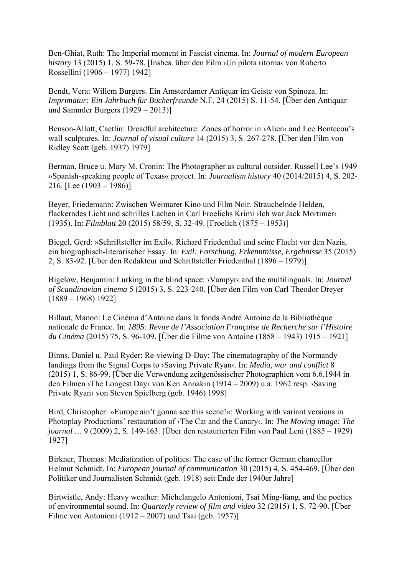Ben-Ghiat, Ruth: The Imperial moment in Fascist cinema. In: *Journal of modern European history* 13 (2015) 1, S. 59-78. [Insbes. über den Film ›Un pilota ritorna‹ von Roberto Rossellini (1906 – 1977) 1942]

Bendt, Vera: Willem Burgers. Ein Amsterdamer Antiquar im Geiste von Spinoza. In: *Imprimatur: Ein Jahrbuch für Bücherfreunde* N.F. 24 (2015) S. 11-54. [Über den Antiquar und Sammler Burgers (1929 – 2013)]

Benson-Allott, Caetlin: Dreadful architecture: Zones of horror in >Alien< and Lee Bontecou's wall sculptures. In: *Journal of visual culture* 14 (2015) 3, S. 267-278. [Über den Film von Ridley Scott (geb. 1937) 1979]

Berman, Bruce u. Mary M. Cronin: The Photographer as cultural outsider. Russell Lee's 1949 »Spanish-speaking people of Texas« project. In: *Journalism history* 40 (2014/2015) 4, S. 202- 216. [Lee  $(1903 - 1986)$ ]

Beyer, Friedemann: Zwischen Weimarer Kino und Film Noir. Strauchelnde Helden, flackerndes Licht und schrilles Lachen in Carl Froelichs Krimi ›Ich war Jack Mortimer‹ (1935). In: *Filmblatt* 20 (2015) 58/59, S. 32-49. [Froelich (1875 – 1953)]

Biegel, Gerd: »Schriftsteller im Exil«. Richard Friedenthal und seine Flucht vor den Nazis, ein biographisch-literarischer Essay. In: *Exil: Forschung, Erkenntnisse, Ergebnisse* 35 (2015) 2, S. 83-92. [Über den Redakteur und Schriftsteller Friedenthal (1896 – 1979)]

Bigelow, Benjamin: Lurking in the blind space: ›Vampyr‹ and the multilinguals. In: *Journal of Scandinavian cinema* 5 (2015) 3, S. 223-240. [Über den Film von Carl Theodor Dreyer (1889 – 1968) 1922]

Billaut, Manon: Le Cinéma d'Antoine dans la fonds André Antoine de la Bibliothèque nationale de France. In: *1895: Revue de l'Association Française de Recherche sur l'Histoire du Cinéma* (2015) 75, S. 96-109. [Über die Filme von Antoine (1858 – 1943) 1915 – 1921]

Binns, Daniel u. Paul Ryder: Re-viewing D-Day: The cinematography of the Normandy landings from the Signal Corps to >Saving Private Ryan‹. In: *Media, war and conflict* 8 (2015) 1, S. 86-99. [Über die Verwendung zeitgenössischer Photographien vom 6.6.1944 in den Filmen ›The Longest Day‹ von Ken Annakin (1914 – 2009) u.a. 1962 resp. ›Saving Private Ryan‹ von Steven Spielberg (geb. 1946) 1998]

Bird, Christopher: »Europe ain't gonna see this scene!«: Working with variant versions in Photoplay Productions' restauration of ›The Cat and the Canary‹. In: *The Moving image: The journal …* 9 (2009) 2, S. 149-163. [Über den restaurierten Film von Paul Leni (1885 – 1929) 1927]

Birkner, Thomas: Mediatization of politics: The case of the former German chancellor Helmut Schmidt. In: *European journal of communication* 30 (2015) 4, S. 454-469. [Über den Politiker und Journalisten Schmidt (geb. 1918) seit Ende der 1940er Jahre]

Birtwistle, Andy: Heavy weather: Michelangelo Antonioni, Tsai Ming-liang, and the poetics of environmental sound. In: *Quarterly review of film and video* 32 (2015) 1, S. 72-90. [Über Filme von Antonioni (1912 – 2007) und Tsai (geb. 1957)]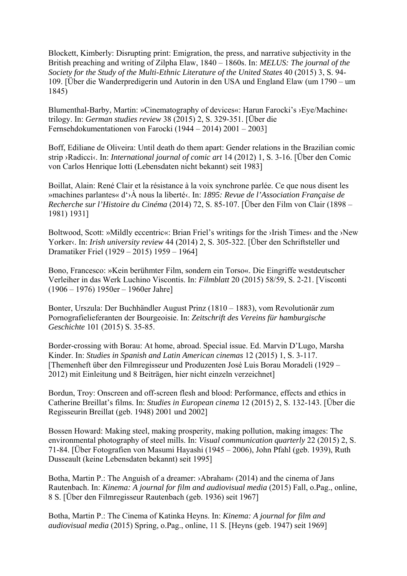Blockett, Kimberly: Disrupting print: Emigration, the press, and narrative subjectivity in the British preaching and writing of Zilpha Elaw, 1840 – 1860s. In: *MELUS: The journal of the Society for the Study of the Multi-Ethnic Literature of the United States* 40 (2015) 3, S. 94- 109. [Über die Wanderpredigerin und Autorin in den USA und England Elaw (um 1790 – um 1845)

Blumenthal-Barby, Martin: »Cinematography of devices«: Harun Farocki's >Eye/Machine< trilogy. In: *German studies review* 38 (2015) 2, S. 329-351. [Über die Fernsehdokumentationen von Farocki (1944 – 2014) 2001 – 2003]

Boff, Ediliane de Oliveira: Until death do them apart: Gender relations in the Brazilian comic strip ›Radicci‹. In: *International journal of comic art* 14 (2012) 1, S. 3-16. [Über den Comic von Carlos Henrique Iotti (Lebensdaten nicht bekannt) seit 1983]

Boillat, Alain: René Clair et la résistance à la voix synchrone parlée. Ce que nous disent les »machines parlantes« d'›À nous la liberté‹. In: *1895: Revue de l'Association Française de Recherche sur l'Histoire du Cinéma* (2014) 72, S. 85-107. [Über den Film von Clair (1898 – 1981) 1931]

Boltwood, Scott: »Mildly eccentric«: Brian Friel's writings for the >Irish Times‹ and the >New Yorker‹. In: *Irish university review* 44 (2014) 2, S. 305-322. [Über den Schriftsteller und Dramatiker Friel (1929 – 2015) 1959 – 1964]

Bono, Francesco: »Kein berühmter Film, sondern ein Torso«. Die Eingriffe westdeutscher Verleiher in das Werk Luchino Viscontis. In: *Filmblatt* 20 (2015) 58/59, S. 2-21. [Visconti (1906 – 1976) 1950er – 1960er Jahre]

Bonter, Urszula: Der Buchhändler August Prinz (1810 – 1883), vom Revolutionär zum Pornografielieferanten der Bourgeoisie. In: *Zeitschrift des Vereins für hamburgische Geschichte* 101 (2015) S. 35-85.

Border-crossing with Borau: At home, abroad. Special issue. Ed. Marvin D'Lugo, Marsha Kinder. In: *Studies in Spanish and Latin American cinemas* 12 (2015) 1, S. 3-117. [Themenheft über den Filmregisseur und Produzenten José Luis Borau Moradeli (1929 – 2012) mit Einleitung und 8 Beiträgen, hier nicht einzeln verzeichnet]

Bordun, Troy: Onscreen and off-screen flesh and blood: Performance, effects and ethics in Catherine Breillat's films. In: *Studies in European cinema* 12 (2015) 2, S. 132-143. [Über die Regisseurin Breillat (geb. 1948) 2001 und 2002]

Bossen Howard: Making steel, making prosperity, making pollution, making images: The environmental photography of steel mills. In: *Visual communication quarterly* 22 (2015) 2, S. 71-84. [Über Fotografien von Masumi Hayashi (1945 – 2006), John Pfahl (geb. 1939), Ruth Dusseault (keine Lebensdaten bekannt) seit 1995]

Botha, Martin P.: The Anguish of a dreamer: ›Abraham‹ (2014) and the cinema of Jans Rautenbach. In: *Kinema: A journal for film and audiovisual media* (2015) Fall, o.Pag., online, 8 S. [Über den Filmregisseur Rautenbach (geb. 1936) seit 1967]

Botha, Martin P.: The Cinema of Katinka Heyns. In: *Kinema: A journal for film and audiovisual media* (2015) Spring, o.Pag., online, 11 S. [Heyns (geb. 1947) seit 1969]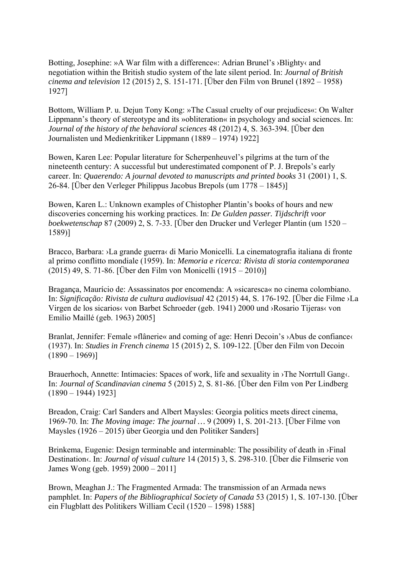Botting, Josephine: »A War film with a difference«: Adrian Brunel's ›Blighty‹ and negotiation within the British studio system of the late silent period. In: *Journal of British cinema and television* 12 (2015) 2, S. 151-171. [Über den Film von Brunel (1892 – 1958) 1927]

Bottom, William P. u. Dejun Tony Kong: »The Casual cruelty of our prejudices«: On Walter Lippmann's theory of stereotype and its »obliteration« in psychology and social sciences. In: *Journal of the history of the behavioral sciences* 48 (2012) 4, S. 363-394. [Über den Journalisten und Medienkritiker Lippmann (1889 – 1974) 1922]

Bowen, Karen Lee: Popular literature for Scherpenheuvel's pilgrims at the turn of the nineteenth century: A successful but underestimated component of P. J. Brepols's early career. In: *Quaerendo: A journal devoted to manuscripts and printed books* 31 (2001) 1, S. 26-84. [Über den Verleger Philippus Jacobus Brepols (um 1778 – 1845)]

Bowen, Karen L.: Unknown examples of Chistopher Plantin's books of hours and new discoveries concerning his working practices. In: *De Gulden passer. Tijdschrift voor boekwetenschap* 87 (2009) 2, S. 7-33. [Über den Drucker und Verleger Plantin (um 1520 – 1589)]

Bracco, Barbara: ›La grande guerra‹ di Mario Monicelli. La cinematografia italiana di fronte al primo conflitto mondiale (1959). In: *Memoria e ricerca: Rivista di storia contemporanea* (2015) 49, S. 71-86. [Über den Film von Monicelli (1915 – 2010)]

Bragança, Maurício de: Assassinatos por encomenda: A »sicaresca« no cinema colombiano. In: *Significação: Rivista de cultura audiovisual* 42 (2015) 44, S. 176-192. [Über die Filme ›La Virgen de los sicarios‹ von Barbet Schroeder (geb. 1941) 2000 und ›Rosario Tijeras‹ von Emilio Maillé (geb. 1963) 2005]

Branlat, Jennifer: Female »flânerie« and coming of age: Henri Decoin's ›Abus de confiance‹ (1937). In: *Studies in French cinema* 15 (2015) 2, S. 109-122. [Über den Film von Decoin  $(1890 - 1969)$ 

Brauerhoch, Annette: Intimacies: Spaces of work, life and sexuality in ›The Norrtull Gang‹. In: *Journal of Scandinavian cinema* 5 (2015) 2, S. 81-86. [Über den Film von Per Lindberg  $(1890 - 1944)$  1923]

Breadon, Craig: Carl Sanders and Albert Maysles: Georgia politics meets direct cinema, 1969-70. In: *The Moving image: The journal …* 9 (2009) 1, S. 201-213. [Über Filme von Maysles (1926 – 2015) über Georgia und den Politiker Sanders]

Brinkema, Eugenie: Design terminable and interminable: The possibility of death in ›Final Destination<sub>s</sub>. In: *Journal of visual culture* 14 (2015) 3, S. 298-310. [Über die Filmserie von James Wong (geb. 1959) 2000 – 2011]

Brown, Meaghan J.: The Fragmented Armada: The transmission of an Armada news pamphlet. In: *Papers of the Bibliographical Society of Canada* 53 (2015) 1, S. 107-130. [Über ein Flugblatt des Politikers William Cecil (1520 – 1598) 1588]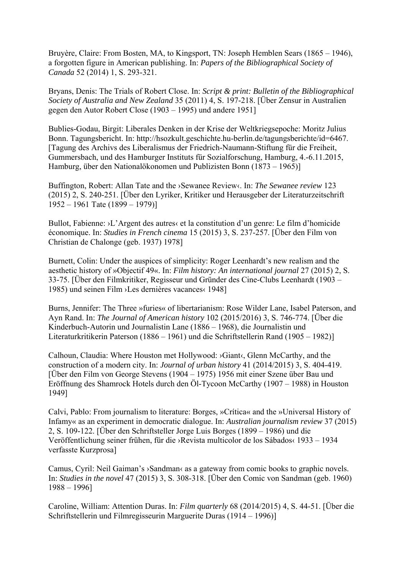Bruyère, Claire: From Bosten, MA, to Kingsport, TN: Joseph Hemblen Sears (1865 – 1946), a forgotten figure in American publishing. In: *Papers of the Bibliographical Society of Canada* 52 (2014) 1, S. 293-321.

Bryans, Denis: The Trials of Robert Close. In: *Script & print: Bulletin of the Bibliographical Society of Australia and New Zealand* 35 (2011) 4, S. 197-218. [Über Zensur in Australien gegen den Autor Robert Close (1903 – 1995) und andere 1951]

Bublies-Godau, Birgit: Liberales Denken in der Krise der Weltkriegsepoche: Moritz Julius Bonn. Tagungsbericht. In: [http://hsozkult.geschichte.hu-berlin.de/tagungsberichte/id=6467.](http://hsozkult.geschichte.hu-berlin.de/tagungsberichte/id=6467) [Tagung des Archivs des Liberalismus der Friedrich-Naumann-Stiftung für die Freiheit, Gummersbach, und des Hamburger Instituts für Sozialforschung, Hamburg, 4.-6.11.2015, Hamburg, über den Nationalökonomen und Publizisten Bonn (1873 – 1965)]

Buffington, Robert: Allan Tate and the ›Sewanee Review‹. In: *The Sewanee review* 123 (2015) 2, S. 240-251. [Über den Lyriker, Kritiker und Herausgeber der Literaturzeitschrift 1952 – 1961 Tate (1899 – 1979)]

Bullot, Fabienne: ›L'Argent des autres‹ et la constitution d'un genre: Le film d'homicide économique. In: *Studies in French cinema* 15 (2015) 3, S. 237-257. [Über den Film von Christian de Chalonge (geb. 1937) 1978]

Burnett, Colin: Under the auspices of simplicity: Roger Leenhardt's new realism and the aesthetic history of »Objectif 49«. In: *Film history: An international journal* 27 (2015) 2, S. 33-75. [Über den Filmkritiker, Regisseur und Gründer des Cine-Clubs Leenhardt (1903 – 1985) und seinen Film ›Les dernières vacances‹ 1948]

Burns, Jennifer: The Three »furies« of libertarianism: Rose Wilder Lane, Isabel Paterson, and Ayn Rand. In: *The Journal of American history* 102 (2015/2016) 3, S. 746-774. [Über die Kinderbuch-Autorin und Journalistin Lane (1886 – 1968), die Journalistin und Literaturkritikerin Paterson (1886 – 1961) und die Schriftstellerin Rand (1905 – 1982)]

Calhoun, Claudia: Where Houston met Hollywood: ›Giant‹, Glenn McCarthy, and the construction of a modern city. In: *Journal of urban history* 41 (2014/2015) 3, S. 404-419. [Über den Film von George Stevens (1904 – 1975) 1956 mit einer Szene über Bau und Eröffnung des Shamrock Hotels durch den Öl-Tycoon McCarthy (1907 – 1988) in Houston 1949]

Calvi, Pablo: From journalism to literature: Borges, »Crítica« and the »Universal History of Infamy« as an experiment in democratic dialogue. In: *Australian journalism review* 37 (2015) 2, S. 109-122. [Über den Schriftsteller Jorge Luis Borges (1899 – 1986) und die Veröffentlichung seiner frühen, für die ›Revista multicolor de los Sábados‹ 1933 – 1934 verfasste Kurzprosa]

Camus, Cyril: Neil Gaiman's ›Sandman‹ as a gateway from comic books to graphic novels. In: *Studies in the novel* 47 (2015) 3, S. 308-318. [Über den Comic von Sandman (geb. 1960) 1988 – 1996]

Caroline, William: Attention Duras. In: *Film quarterly* 68 (2014/2015) 4, S. 44-51. [Über die Schriftstellerin und Filmregisseurin Marguerite Duras (1914 – 1996)]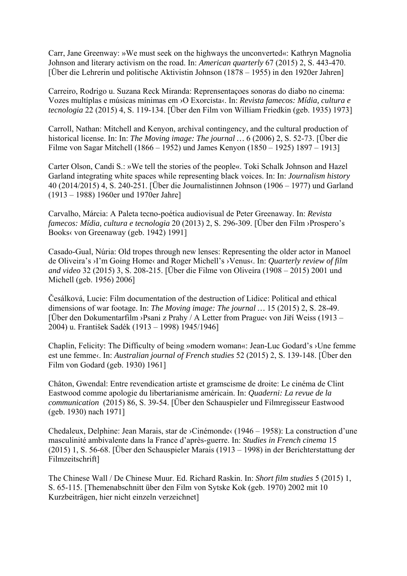Carr, Jane Greenway: »We must seek on the highways the unconverted«: Kathryn Magnolia Johnson and literary activism on the road. In: *American quarterly* 67 (2015) 2, S. 443-470. [Über die Lehrerin und politische Aktivistin Johnson (1878 – 1955) in den 1920er Jahren]

Carreiro, Rodrigo u. Suzana Reck Miranda: Reprensentaçoes sonoras do diabo no cinema: Vozes multíplas e músicas mínimas em ›O Exorcista‹. In: *Revista famecos: Mídia, cultura e tecnologia* 22 (2015) 4, S. 119-134. [Über den Film von William Friedkin (geb. 1935) 1973]

Carroll, Nathan: Mitchell and Kenyon, archival contingency, and the cultural production of historical license. In: In: *The Moving image: The journal …* 6 (2006) 2, S. 52-73. [Über die Filme von Sagar Mitchell (1866 – 1952) und James Kenyon (1850 – 1925) 1897 – 1913]

Carter Olson, Candi S.: »We tell the stories of the people«. Toki Schalk Johnson and Hazel Garland integrating white spaces while representing black voices. In: In: *Journalism history* 40 (2014/2015) 4, S. 240-251. [Über die Journalistinnen Johnson (1906 – 1977) und Garland (1913 – 1988) 1960er und 1970er Jahre]

Carvalho, Márcia: A Paleta tecno-poética audiovisual de Peter Greenaway. In: *Revista famecos: Mídia, cultura e tecnologia* 20 (2013) 2, S. 296-309. [Über den Film ›Prospero's Books‹ von Greenaway (geb. 1942) 1991]

Casado-Gual, Núria: Old tropes through new lenses: Representing the older actor in Manoel de Oliveira's ›I'm Going Home‹ and Roger Michell's ›Venus‹. In: *Quarterly review of film and video* 32 (2015) 3, S. 208-215. [Über die Filme von Oliveira (1908 – 2015) 2001 und Michell (geb. 1956) 2006]

Česálková, Lucie: Film documentation of the destruction of Lidice: Political and ethical dimensions of war footage. In: *The Moving image: The journal …* 15 (2015) 2, S. 28-49. [Über den Dokumentarfilm ›Psani z Prahy / A Letter from Prague‹ von Jiří Weiss (1913 – 2004) u. František Sadék (1913 – 1998) 1945/1946]

Chaplin, Felicity: The Difficulty of being »modern woman«: Jean-Luc Godard's ›Une femme est une femme‹. In: *Australian journal of French studies* 52 (2015) 2, S. 139-148. [Über den Film von Godard (geb. 1930) 1961]

Châton, Gwendal: Entre revendication artiste et gramscisme de droite: Le cinéma de Clint Eastwood comme apologie du libertarianisme américain. In: *Quaderni: La revue de la communication* (2015) 86, S. 39-54. [Über den Schauspieler und Filmregisseur Eastwood (geb. 1930) nach 1971]

Chedaleux, Delphine: Jean Marais, star de ›Cinémonde‹ (1946 – 1958): La construction d'une masculinité ambivalente dans la France d'après-guerre. In: *Studies in French cinema* 15 (2015) 1, S. 56-68. [Über den Schauspieler Marais (1913 – 1998) in der Berichterstattung der Filmzeitschrift]

The Chinese Wall / De Chinese Muur. Ed. Richard Raskin. In: *Short film studies* 5 (2015) 1, S. 65-115. [Themenabschnitt über den Film von Sytske Kok (geb. 1970) 2002 mit 10 Kurzbeiträgen, hier nicht einzeln verzeichnet]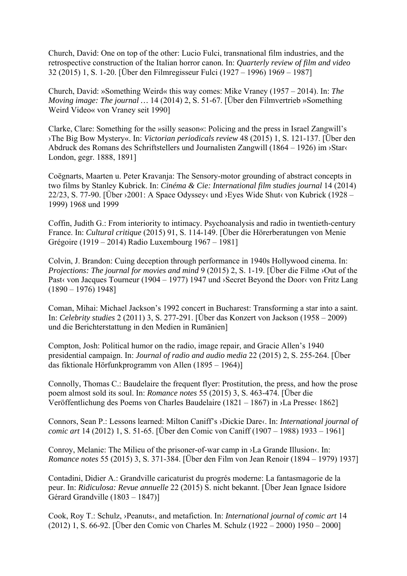Church, David: One on top of the other: Lucio Fulci, transnational film industries, and the retrospective construction of the Italian horror canon. In: *Quarterly review of film and video* 32 (2015) 1, S. 1-20. [Über den Filmregisseur Fulci (1927 – 1996) 1969 – 1987]

Church, David: »Something Weird« this way comes: Mike Vraney (1957 – 2014). In: *The Moving image: The journal …* 14 (2014) 2, S. 51-67. [Über den Filmvertrieb »Something Weird Video« von Vraney seit 1990]

Clarke, Clare: Something for the »silly season«: Policing and the press in Israel Zangwill's ›The Big Bow Mystery«. In: *Victorian periodicals review* 48 (2015) 1, S. 121-137. [Über den Abdruck des Romans des Schriftstellers und Journalisten Zangwill (1864 – 1926) im ›Star‹ London, gegr. 1888, 1891]

Coëgnarts, Maarten u. Peter Kravanja: The Sensory-motor grounding of abstract concepts in two films by Stanley Kubrick. In: *Cinéma & Cie: International film studies journal* 14 (2014) 22/23, S. 77-90. [Über ›2001: A Space Odyssey‹ und ›Eyes Wide Shut‹ von Kubrick (1928 – 1999) 1968 und 1999

Coffin, Judith G.: From interiority to intimacy. Psychoanalysis and radio in twentieth-century France. In: *Cultural critique* (2015) 91, S. 114-149. [Über die Hörerberatungen von Menie Grégoire (1919 – 2014) Radio Luxembourg 1967 – 1981]

Colvin, J. Brandon: Cuing deception through performance in 1940s Hollywood cinema. In: *Projections: The journal for movies and mind* 9 (2015) 2, S. 1-19. [Über die Filme ›Out of the Past von Jacques Tourneur (1904 – 1977) 1947 und >Secret Beyond the Door von Fritz Lang  $(1890 - 1976)$  1948]

Coman, Mihai: Michael Jackson's 1992 concert in Bucharest: Transforming a star into a saint. In: *Celebrity studies* 2 (2011) 3, S. 277-291. [Über das Konzert von Jackson (1958 – 2009) und die Berichterstattung in den Medien in Rumänien]

Compton, Josh: Political humor on the radio, image repair, and Gracie Allen's 1940 presidential campaign. In: *Journal of radio and audio media* 22 (2015) 2, S. 255-264. [Über das fiktionale Hörfunkprogramm von Allen (1895 – 1964)]

Connolly, Thomas C.: Baudelaire the frequent flyer: Prostitution, the press, and how the prose poem almost sold its soul. In: *Romance notes* 55 (2015) 3, S. 463-474. [Über die Veröffentlichung des Poems von Charles Baudelaire (1821 – 1867) in ›La Presse‹ 1862]

Connors, Sean P.: Lessons learned: Milton Caniff's ›Dickie Dare‹. In: *International journal of comic art* 14 (2012) 1, S. 51-65. [Über den Comic von Caniff (1907 – 1988) 1933 – 1961]

Conroy, Melanie: The Milieu of the prisoner-of-war camp in ›La Grande Illusion‹. In: *Romance notes* 55 (2015) 3, S. 371-384. [Über den Film von Jean Renoir (1894 – 1979) 1937]

Contadini, Didier A.: Grandville caricaturist du progrés moderne: La fantasmagorie de la peur. In: *Ridiculosa: Revue annuelle* 22 (2015) S. nicht bekannt. [Über Jean Ignace Isidore Gérard Grandville (1803 – 1847)]

Cook, Roy T.: Schulz, ›Peanuts‹, and metafiction. In: *International journal of comic art* 14 (2012) 1, S. 66-92. [Über den Comic von Charles M. Schulz (1922 – 2000) 1950 – 2000]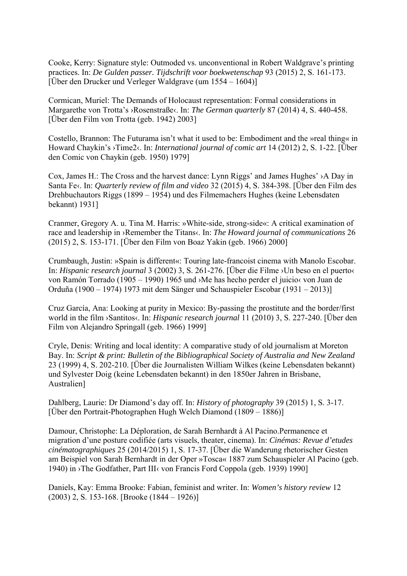Cooke, Kerry: Signature style: Outmoded vs. unconventional in Robert Waldgrave's printing practices. In: *De Gulden passer. Tijdschrift voor boekwetenschap* 93 (2015) 2, S. 161-173. [Über den Drucker und Verleger Waldgrave (um 1554 – 1604)]

Cormican, Muriel: The Demands of Holocaust representation: Formal considerations in Margarethe von Trotta's ›Rosenstraße‹. In: *The German quarterly* 87 (2014) 4, S. 440-458. [Über den Film von Trotta (geb. 1942) 2003]

Costello, Brannon: The Futurama isn't what it used to be: Embodiment and the »real thing« in Howard Chaykin's ›Time2‹. In: *International journal of comic art* 14 (2012) 2, S. 1-22. [Über den Comic von Chaykin (geb. 1950) 1979]

Cox, James H.: The Cross and the harvest dance: Lynn Riggs' and James Hughes' ›A Day in Santa Fe‹. In: *Quarterly review of film and video* 32 (2015) 4, S. 384-398. [Über den Film des Drehbuchautors Riggs (1899 – 1954) und des Filmemachers Hughes (keine Lebensdaten bekannt) 1931]

Cranmer, Gregory A. u. Tina M. Harris: »White-side, strong-side«: A critical examination of race and leadership in ›Remember the Titans‹. In: *The Howard journal of communications* 26 (2015) 2, S. 153-171. [Über den Film von Boaz Yakin (geb. 1966) 2000]

Crumbaugh, Justin: »Spain is different«: Touring late-francoist cinema with Manolo Escobar. In: *Hispanic research journal* 3 (2002) 3, S. 261-276. [Über die Filme ›Un beso en el puerto‹ von Ramón Torrado (1905 – 1990) 1965 und ›Me has hecho perder el juicio‹ von Juan de Orduña (1900 – 1974) 1973 mit dem Sänger und Schauspieler Escobar (1931 – 2013)]

Cruz García, Ana: Looking at purity in Mexico: By-passing the prostitute and the border/first world in the film ›Santitos‹. In: *Hispanic research journal* 11 (2010) 3, S. 227-240. [Über den Film von Alejandro Springall (geb. 1966) 1999]

Cryle, Denis: Writing and local identity: A comparative study of old journalism at Moreton Bay. In: *Script & print: Bulletin of the Bibliographical Society of Australia and New Zealand* 23 (1999) 4, S. 202-210. [Über die Journalisten William Wilkes (keine Lebensdaten bekannt) und Sylvester Doig (keine Lebensdaten bekannt) in den 1850er Jahren in Brisbane, Australien]

Dahlberg, Laurie: Dr Diamond's day off. In: *History of photography* 39 (2015) 1, S. 3-17. [Über den Portrait-Photographen Hugh Welch Diamond (1809 – 1886)]

Damour, Christophe: La Déploration, de Sarah Bernhardt à Al Pacino.Permanence et migration d'une posture codifiée (arts visuels, theater, cinema). In: *Cinémas: Revue d'etudes cinématographiques* 25 (2014/2015) 1, S. 17-37. [Über die Wanderung rhetorischer Gesten am Beispiel von Sarah Bernhardt in der Oper »Tosca« 1887 zum Schauspieler Al Pacino (geb. 1940) in ›The Godfather, Part III‹ von Francis Ford Coppola (geb. 1939) 1990]

Daniels, Kay: Emma Brooke: Fabian, feminist and writer. In: *Women's history review* 12 (2003) 2, S. 153-168. [Brooke (1844 – 1926)]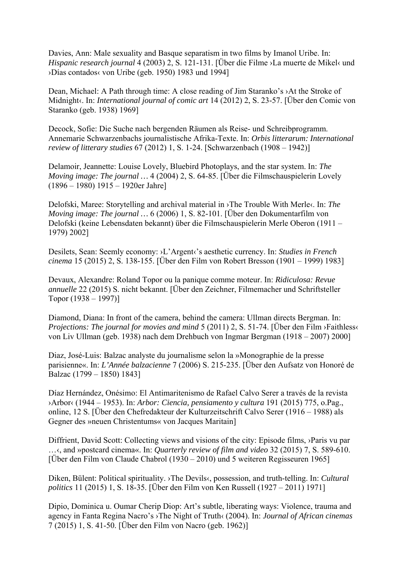Davies, Ann: Male sexuality and Basque separatism in two films by Imanol Uribe. In: *Hispanic research journal* 4 (2003) 2, S. 121-131. [Über die Filme ›La muerte de Mikel‹ und ›Días contados‹ von Uribe (geb. 1950) 1983 und 1994]

Dean, Michael: A Path through time: A close reading of Jim Staranko's ›At the Stroke of Midnight‹. In: *International journal of comic art* 14 (2012) 2, S. 23-57. [Über den Comic von Staranko (geb. 1938) 1969]

Decock, Sofie: Die Suche nach bergenden Räumen als Reise- und Schreibprogramm. Annemarie Schwarzenbachs journalistische Afrika-Texte. In: *Orbis litterarum: International review of litterary studies* 67 (2012) 1, S. 1-24. [Schwarzenbach (1908 – 1942)]

Delamoir, Jeannette: Louise Lovely, Bluebird Photoplays, and the star system. In: *The Moving image: The journal …* 4 (2004) 2, S. 64-85. [Über die Filmschauspielerin Lovely (1896 – 1980) 1915 – 1920er Jahre]

Delofski, Maree: Storytelling and archival material in ›The Trouble With Merle‹. In: *The Moving image: The journal …* 6 (2006) 1, S. 82-101. [Über den Dokumentarfilm von Delofski (keine Lebensdaten bekannt) über die Filmschauspielerin Merle Oberon (1911 – 1979) 2002]

Desilets, Sean: Seemly economy: ›L'Argent‹'s aesthetic currency. In: *Studies in French cinema* 15 (2015) 2, S. 138-155. [Über den Film von Robert Bresson (1901 – 1999) 1983]

Devaux, Alexandre: Roland Topor ou la panique comme moteur. In: *Ridiculosa: Revue annuelle* 22 (2015) S. nicht bekannt. [Über den Zeichner, Filmemacher und Schriftsteller Topor (1938 – 1997)]

Diamond, Diana: In front of the camera, behind the camera: Ullman directs Bergman. In: *Projections: The journal for movies and mind* 5 (2011) 2, S. 51-74. [Über den Film ›Faithless‹ von Liv Ullman (geb. 1938) nach dem Drehbuch von Ingmar Bergman (1918 – 2007) 2000]

Diaz, José-Luis: Balzac analyste du journalisme selon la »Monographie de la presse parisienne«. In: *L'Année balzacienne* 7 (2006) S. 215-235. [Über den Aufsatz von Honoré de Balzac (1799 – 1850) 1843]

Díaz Hernández, Onésimo: El Antimaritenismo de Rafael Calvo Serer a través de la revista ›Arbor‹ (1944 – 1953). In: *Arbor: Ciencia, pensiamento y cultura* 191 (2015) 775, o.Pag., online, 12 S. [Über den Chefredakteur der Kulturzeitschrift Calvo Serer (1916 – 1988) als Gegner des »neuen Christentums« von Jacques Maritain]

Diffrient, David Scott: Collecting views and visions of the city: Episode films, ›Paris vu par …‹, and »postcard cinema«. In: *Quarterly review of film and video* 32 (2015) 7, S. 589-610. [Über den Film von Claude Chabrol (1930 – 2010) und 5 weiteren Regisseuren 1965]

Diken, Bülent: Political spirituality. ›The Devils‹, possession, and truth-telling. In: *Cultural politics* 11 (2015) 1, S. 18-35. [Über den Film von Ken Russell (1927 – 2011) 1971]

Dipio, Dominica u. Oumar Cherip Diop: Art's subtle, liberating ways: Violence, trauma and agency in Fanta Regina Nacro's ›The Night of Truth‹ (2004). In: *Journal of African cinemas* 7 (2015) 1, S. 41-50. [Über den Film von Nacro (geb. 1962)]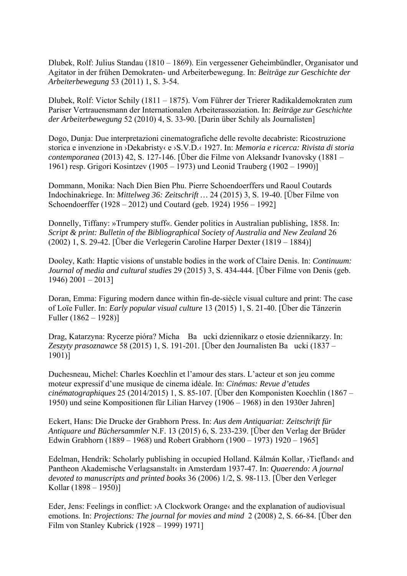Dlubek, Rolf: Julius Standau (1810 – 1869). Ein vergessener Geheimbündler, Organisator und Agitator in der frühen Demokraten- und Arbeiterbewegung. In: *Beiträge zur Geschichte der Arbeiterbewegung* 53 (2011) 1, S. 3-54.

Dlubek, Rolf: Victor Schily (1811 – 1875). Vom Führer der Trierer Radikaldemokraten zum Pariser Vertrauensmann der Internationalen Arbeiterassoziation. In: *Beiträge zur Geschichte der Arbeiterbewegung* 52 (2010) 4, S. 33-90. [Darin über Schily als Journalisten]

Dogo, Dunja: Due interpretazioni cinematografiche delle revolte decabriste: Ricostruzione storica e invenzione in ›Dekabristy‹ e ›S.V.D.‹ 1927. In: *Memoria e ricerca: Rivista di storia contemporanea* (2013) 42, S. 127-146. [Über die Filme von Aleksandr Ivanovsky (1881 – 1961) resp. Grigori Kosintzev (1905 – 1973) und Leonid Trauberg (1902 – 1990)]

Dommann, Monika: Nach Dien Bien Phu. Pierre Schoendoerffers und Raoul Coutards Indochinakriege. In: *Mittelweg 36: Zeitschrift …* 24 (2015) 3, S. 19-40. [Über Filme von Schoendoerffer (1928 – 2012) und Coutard (geb. 1924) 1956 – 1992]

Donnelly, Tiffany: »Trumpery stuff«. Gender politics in Australian publishing, 1858. In: *Script & print: Bulletin of the Bibliographical Society of Australia and New Zealand* 26 (2002) 1, S. 29-42. [Über die Verlegerin Caroline Harper Dexter (1819 – 1884)]

Dooley, Kath: Haptic visions of unstable bodies in the work of Claire Denis. In: *Continuum: Journal of media and cultural studies* 29 (2015) 3, S. 434-444. [Über Filme von Denis (geb. 1946) 2001 – 2013]

Doran, Emma: Figuring modern dance within fin-de-siècle visual culture and print: The case of Loïe Fuller. In: *Early popular visual culture* 13 (2015) 1, S. 21-40. [Über die Tänzerin Fuller (1862 – 1928)]

Drag, Katarzyna: Rycerze pióra? Micha Baucki dziennikarz o etosie dziennikarzy. In: *Zeszyty prasoznawce* 58 (2015) 1, S. 191-201. [Über den Journalisten Baucki (1837 – 1901)]

Duchesneau, Michel: Charles Koechlin et l'amour des stars. L'acteur et son jeu comme moteur expressif d'une musique de cinema idéale. In: *Cinémas: Revue d'etudes cinématographiques* 25 (2014/2015) 1, S. 85-107. [Über den Komponisten Koechlin (1867 – 1950) und seine Kompositionen für Lilian Harvey (1906 – 1968) in den 1930er Jahren]

Eckert, Hans: Die Drucke der Grabhorn Press. In: *Aus dem Antiquariat: Zeitschrift für Antiquare und Büchersammler* N.F. 13 (2015) 6, S. 233-239. [Über den Verlag der Brüder Edwin Grabhorn (1889 – 1968) und Robert Grabhorn (1900 – 1973) 1920 – 1965]

Edelman, Hendrik: Scholarly publishing in occupied Holland. Kálmán Kollar, ›Tiefland‹ and Pantheon Akademische Verlagsanstalt‹ in Amsterdam 1937-47. In: *Quaerendo: A journal devoted to manuscripts and printed books* 36 (2006) 1/2, S. 98-113. [Über den Verleger Kollar (1898 – 1950)]

Eder, Jens: Feelings in conflict:  $\lambda$  Clockwork Orange $\lambda$  and the explanation of audiovisual emotions. In: *Projections: The journal for movies and mind* 2 (2008) 2, S. 66-84. [Über den Film von Stanley Kubrick (1928 – 1999) 1971]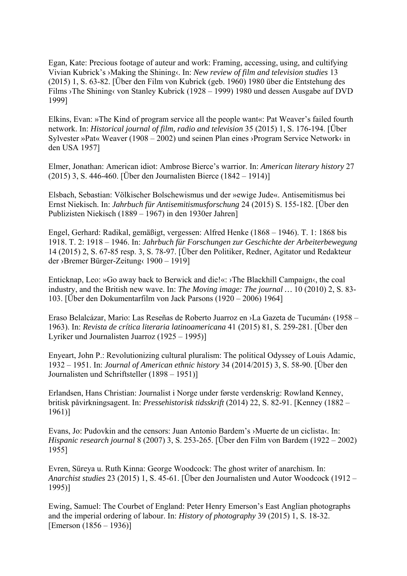Egan, Kate: Precious footage of auteur and work: Framing, accessing, using, and cultifying Vivian Kubrick's ›Making the Shining‹. In: *New review of film and television studies* 13 (2015) 1, S. 63-82. [Über den Film von Kubrick (geb. 1960) 1980 über die Entstehung des Films ›The Shining‹ von Stanley Kubrick (1928 – 1999) 1980 und dessen Ausgabe auf DVD 1999]

Elkins, Evan: »The Kind of program service all the people want«: Pat Weaver's failed fourth network. In: *Historical journal of film, radio and television* 35 (2015) 1, S. 176-194. [Über Sylvester »Pat« Weaver (1908 – 2002) und seinen Plan eines ›Program Service Network‹ in den USA 1957]

Elmer, Jonathan: American idiot: Ambrose Bierce's warrior. In: *American literary history* 27 (2015) 3, S. 446-460. [Über den Journalisten Bierce (1842 – 1914)]

Elsbach, Sebastian: Völkischer Bolschewismus und der »ewige Jude«. Antisemitismus bei Ernst Niekisch. In: *Jahrbuch für Antisemitismusforschung* 24 (2015) S. 155-182. [Über den Publizisten Niekisch (1889 – 1967) in den 1930er Jahren]

Engel, Gerhard: Radikal, gemäßigt, vergessen: Alfred Henke (1868 – 1946). T. 1: 1868 bis 1918. T. 2: 1918 – 1946. In: *Jahrbuch für Forschungen zur Geschichte der Arbeiterbewegung* 14 (2015) 2, S. 67-85 resp. 3, S. 78-97. [Über den Politiker, Redner, Agitator und Redakteur der ›Bremer Bürger-Zeitung‹ 1900 – 1919]

Enticknap, Leo: »Go away back to Berwick and die!«: ›The Blackhill Campaign‹, the coal industry, and the British new wave. In: *The Moving image: The journal …* 10 (2010) 2, S. 83- 103. [Über den Dokumentarfilm von Jack Parsons (1920 – 2006) 1964]

Eraso Belalcázar, Mario: Las Reseñas de Roberto Juarroz en ›La Gazeta de Tucumán‹ (1958 – 1963). In: *Revista de crítica literaria latinoamericana* 41 (2015) 81, S. 259-281. [Über den Lyriker und Journalisten Juarroz (1925 – 1995)]

Enyeart, John P.: Revolutionizing cultural pluralism: The political Odyssey of Louis Adamic, 1932 – 1951. In: *Journal of American ethnic history* 34 (2014/2015) 3, S. 58-90. [Über den Journalisten und Schriftsteller (1898 – 1951)]

Erlandsen, Hans Christian: Journalist i Norge under første verdenskrig: Rowland Kenney, britisk påvirkningsagent. In: *Pressehistorisk tidsskrift* (2014) 22, S. 82-91. [Kenney (1882 – 1961)]

Evans, Jo: Pudovkin and the censors: Juan Antonio Bardem's ›Muerte de un ciclista‹. In: *Hispanic research journal* 8 (2007) 3, S. 253-265. [Über den Film von Bardem (1922 – 2002) 1955]

Evren, Süreya u. Ruth Kinna: George Woodcock: The ghost writer of anarchism. In: *Anarchist studies* 23 (2015) 1, S. 45-61. [Über den Journalisten und Autor Woodcock (1912 – 1995)]

Ewing, Samuel: The Courbet of England: Peter Henry Emerson's East Anglian photographs and the imperial ordering of labour. In: *History of photography* 39 (2015) 1, S. 18-32. [Emerson (1856 – 1936)]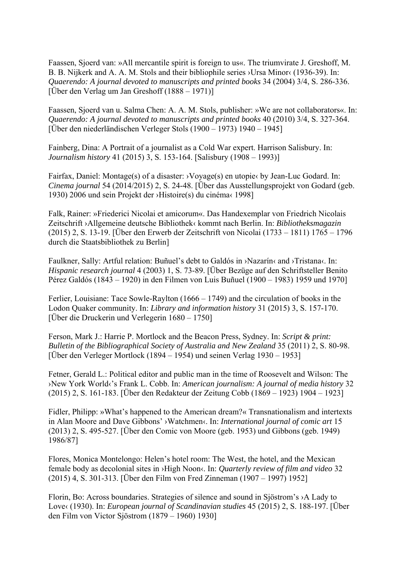Faassen, Sjoerd van: »All mercantile spirit is foreign to us«. The triumvirate J. Greshoff, M. B. B. Nijkerk and A. A. M. Stols and their bibliophile series ›Ursa Minor‹ (1936-39). In: *Quaerendo: A journal devoted to manuscripts and printed books* 34 (2004) 3/4, S. 286-336. [Über den Verlag um Jan Greshoff (1888 – 1971)]

Faassen, Sjoerd van u. Salma Chen: A. A. M. Stols, publisher: »We are not collaborators«. In: *Quaerendo: A journal devoted to manuscripts and printed books* 40 (2010) 3/4, S. 327-364. [Über den niederländischen Verleger Stols (1900 – 1973) 1940 – 1945]

Fainberg, Dina: A Portrait of a journalist as a Cold War expert. Harrison Salisbury. In: *Journalism history* 41 (2015) 3, S. 153-164. [Salisbury (1908 – 1993)]

Fairfax, Daniel: Montage(s) of a disaster: ›Voyage(s) en utopie‹ by Jean-Luc Godard. In: *Cinema journal* 54 (2014/2015) 2, S. 24-48. [Über das Ausstellungsprojekt von Godard (geb. 1930) 2006 und sein Projekt der ›Histoire(s) du cinéma‹ 1998]

Falk, Rainer: »Friederici Nicolai et amicorum«. Das Handexemplar von Friedrich Nicolais Zeitschrift ›Allgemeine deutsche Bibliothek‹ kommt nach Berlin. In: *Bibliotheksmagazin* (2015) 2, S. 13-19. [Über den Erwerb der Zeitschrift von Nicolai (1733 – 1811) 1765 – 1796 durch die Staatsbibliothek zu Berlin]

Faulkner, Sally: Artful relation: Buñuel's debt to Galdós in >Nazarín‹ and >Tristana‹. In: *Hispanic research journal* 4 (2003) 1, S. 73-89. [Über Bezüge auf den Schriftsteller Benito Pérez Galdós (1843 – 1920) in den Filmen von Luis Buñuel (1900 – 1983) 1959 und 1970]

Ferlier, Louisiane: Tace Sowle-Raylton (1666 – 1749) and the circulation of books in the Lodon Quaker community. In: *Library and information history* 31 (2015) 3, S. 157-170. [Über die Druckerin und Verlegerin 1680 – 1750]

Ferson, Mark J.: Harrie P. Mortlock and the Beacon Press, Sydney. In: *Script & print: Bulletin of the Bibliographical Society of Australia and New Zealand* 35 (2011) 2, S. 80-98. [Über den Verleger Mortlock (1894 – 1954) und seinen Verlag 1930 – 1953]

Fetner, Gerald L.: Political editor and public man in the time of Roosevelt and Wilson: The ›New York World‹'s Frank L. Cobb. In: *American journalism: A journal of media history* 32 (2015) 2, S. 161-183. [Über den Redakteur der Zeitung Cobb (1869 – 1923) 1904 – 1923]

Fidler, Philipp: »What's happened to the American dream?« Transnationalism and intertexts in Alan Moore and Dave Gibbons' ›Watchmen‹. In: *International journal of comic art* 15 (2013) 2, S. 495-527. [Über den Comic von Moore (geb. 1953) und Gibbons (geb. 1949) 1986/87]

Flores, Monica Montelongo: Helen's hotel room: The West, the hotel, and the Mexican female body as decolonial sites in ›High Noon‹. In: *Quarterly review of film and video* 32 (2015) 4, S. 301-313. [Über den Film von Fred Zinneman (1907 – 1997) 1952]

Florin, Bo: Across boundaries. Strategies of silence and sound in Sjöstrom's ›A Lady to Love‹ (1930). In: *European journal of Scandinavian studies* 45 (2015) 2, S. 188-197. [Über den Film von Victor Sjöstrom (1879 – 1960) 1930]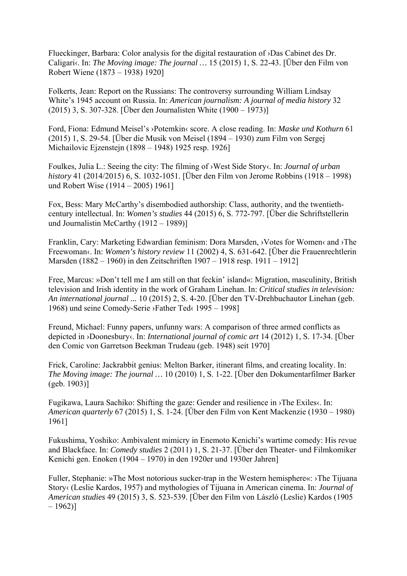Flueckinger, Barbara: Color analysis for the digital restauration of ›Das Cabinet des Dr. Caligari«. In: *The Moving image: The journal* ... 15 (2015) 1, S. 22-43. [Über den Film von Robert Wiene (1873 – 1938) 1920]

Folkerts, Jean: Report on the Russians: The controversy surrounding William Lindsay White's 1945 account on Russia. In: *American journalism: A journal of media history* 32 (2015) 3, S. 307-328. [Über den Journalisten White (1900 – 1973)]

Ford, Fiona: Edmund Meisel's ›Potemkin‹ score. A close reading. In: *Maske und Kothurn* 61 (2015) 1, S. 29-54. [Über die Musik von Meisel (1894 – 1930) zum Film von Sergej Michailovic Ejzenstejn (1898 – 1948) 1925 resp. 1926]

Foulkes, Julia L.: Seeing the city: The filming of ›West Side Story‹. In: *Journal of urban history* 41 (2014/2015) 6, S. 1032-1051. [Über den Film von Jerome Robbins (1918 – 1998) und Robert Wise (1914 – 2005) 1961]

Fox, Bess: Mary McCarthy's disembodied authorship: Class, authority, and the twentiethcentury intellectual. In: *Women's studies* 44 (2015) 6, S. 772-797. [Über die Schriftstellerin und Journalistin McCarthy (1912 – 1989)]

Franklin, Cary: Marketing Edwardian feminism: Dora Marsden, ›Votes for Women‹ and ›The Freewoman‹. In: *Women's history review* 11 (2002) 4, S. 631-642. [Über die Frauenrechtlerin Marsden (1882 – 1960) in den Zeitschriften 1907 – 1918 resp. 1911 – 1912]

Free, Marcus: »Don't tell me I am still on that feckin' island«: Migration, masculinity, British television and Irish identity in the work of Graham Linehan. In: *Critical studies in television: An international journal ...* 10 (2015) 2, S. 4-20. [Über den TV-Drehbuchautor Linehan (geb. 1968) und seine Comedy-Serie ›Father Ted‹ 1995 – 1998]

Freund, Michael: Funny papers, unfunny wars: A comparison of three armed conflicts as depicted in ›Doonesbury‹. In: *International journal of comic art* 14 (2012) 1, S. 17-34. [Über den Comic von Garretson Beekman Trudeau (geb. 1948) seit 1970]

Frick, Caroline: Jackrabbit genius: Melton Barker, itinerant films, and creating locality. In: *The Moving image: The journal …* 10 (2010) 1, S. 1-22. [Über den Dokumentarfilmer Barker (geb. 1903)]

Fugikawa, Laura Sachiko: Shifting the gaze: Gender and resilience in ›The Exiles‹. In: *American quarterly* 67 (2015) 1, S. 1-24. [Über den Film von Kent Mackenzie (1930 – 1980) 1961]

Fukushima, Yoshiko: Ambivalent mimicry in Enemoto Kenichi's wartime comedy: His revue and Blackface. In: *Comedy studies* 2 (2011) 1, S. 21-37. [Über den Theater- und Filmkomiker Kenichi gen. Enoken (1904 – 1970) in den 1920er und 1930er Jahren]

Fuller, Stephanie: »The Most notorious sucker-trap in the Western hemisphere«: ›The Tijuana Story‹ (Leslie Kardos, 1957) and mythologies of Tijuana in American cinema. In: *Journal of American studies* 49 (2015) 3, S. 523-539. [Über den Film von László (Leslie) Kardos (1905  $-1962$ ]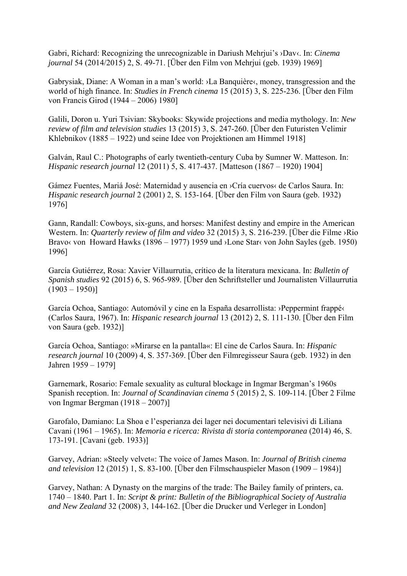Gabri, Richard: Recognizing the unrecognizable in Dariush Mehrjui's ›Dav‹. In: *Cinema journal* 54 (2014/2015) 2, S. 49-71. [Über den Film von Mehrjui (geb. 1939) 1969]

Gabrysiak, Diane: A Woman in a man's world: ›La Banquière‹, money, transgression and the world of high finance. In: *Studies in French cinema* 15 (2015) 3, S. 225-236. [Über den Film von Francis Girod (1944 – 2006) 1980]

Galili, Doron u. Yuri Tsivian: Skybooks: Skywide projections and media mythology. In: *New review of film and television studies* 13 (2015) 3, S. 247-260. [Über den Futuristen Velimir Khlebnikov (1885 – 1922) und seine Idee von Projektionen am Himmel 1918]

Galván, Raul C.: Photographs of early twentieth-century Cuba by Sumner W. Matteson. In: *Hispanic research journal* 12 (2011) 5, S. 417-437. [Matteson (1867 – 1920) 1904]

Gámez Fuentes, Mariá José: Maternidad y ausencia en >Cría cuervos< de Carlos Saura. In: *Hispanic research journal* 2 (2001) 2, S. 153-164. [Über den Film von Saura (geb. 1932) 1976]

Gann, Randall: Cowboys, six-guns, and horses: Manifest destiny and empire in the American Western. In: *Quarterly review of film and video* 32 (2015) 3, S. 216-239. [Über die Filme ›Rio Bravo< von Howard Hawks (1896 – 1977) 1959 und >Lone Star< von John Sayles (geb. 1950) 1996]

García Gutiérrez, Rosa: Xavier Villaurrutia, crítico de la literatura mexicana. In: *Bulletin of Spanish studies* 92 (2015) 6, S. 965-989. [Über den Schriftsteller und Journalisten Villaurrutia  $(1903 - 1950)$ 

García Ochoa, Santiago: Automóvil y cine en la España desarrollista: ›Peppermint frappé‹ (Carlos Saura, 1967). In: *Hispanic research journal* 13 (2012) 2, S. 111-130. [Über den Film von Saura (geb. 1932)]

García Ochoa, Santiago: »Mirarse en la pantalla«: El cine de Carlos Saura. In: *Hispanic research journal* 10 (2009) 4, S. 357-369. [Über den Filmregisseur Saura (geb. 1932) in den Jahren 1959 – 1979]

Garnemark, Rosario: Female sexuality as cultural blockage in Ingmar Bergman's 1960s Spanish reception. In: *Journal of Scandinavian cinema* 5 (2015) 2, S. 109-114. [Über 2 Filme von Ingmar Bergman (1918 – 2007)]

Garofalo, Damiano: La Shoa e l'esperianza dei lager nei documentari televisivi di Liliana Cavani (1961 – 1965). In: *Memoria e ricerca: Rivista di storia contemporanea* (2014) 46, S. 173-191. [Cavani (geb. 1933)]

Garvey, Adrian: »Steely velvet«: The voice of James Mason. In: *Journal of British cinema and television* 12 (2015) 1, S. 83-100. [Über den Filmschauspieler Mason (1909 – 1984)]

Garvey, Nathan: A Dynasty on the margins of the trade: The Bailey family of printers, ca. 1740 – 1840. Part 1. In: *Script & print: Bulletin of the Bibliographical Society of Australia and New Zealand* 32 (2008) 3, 144-162. [Über die Drucker und Verleger in London]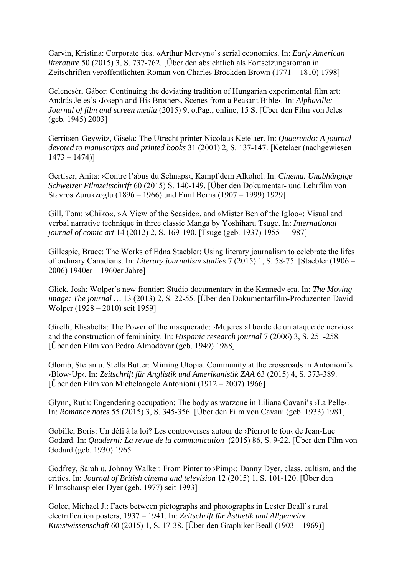Garvin, Kristina: Corporate ties. »Arthur Mervyn«'s serial economics. In: *Early American literature* 50 (2015) 3, S. 737-762. [Über den absichtlich als Fortsetzungsroman in Zeitschriften veröffentlichten Roman von Charles Brockden Brown (1771 – 1810) 1798]

Gelencsér, Gábor: Continuing the deviating tradition of Hungarian experimental film art: András Jeles's ›Joseph and His Brothers, Scenes from a Peasant Bible‹. In: *Alphaville: Journal of film and screen media* (2015) 9, o.Pag., online, 15 S. [Über den Film von Jeles (geb. 1945) 2003]

Gerritsen-Geywitz, Gisela: The Utrecht printer Nicolaus Ketelaer. In: *Quaerendo: A journal devoted to manuscripts and printed books* 31 (2001) 2, S. 137-147. [Ketelaer (nachgewiesen  $1473 - 1474$ ]

Gertiser, Anita: ›Contre l'abus du Schnaps‹, Kampf dem Alkohol. In: *Cinema. Unabhängige Schweizer Filmzeitschrift* 60 (2015) S. 140-149. [Über den Dokumentar- und Lehrfilm von Stavros Zurukzoglu (1896 – 1966) und Emil Berna (1907 – 1999) 1929]

Gill, Tom: »Chiko«, »A View of the Seaside«, and »Mister Ben of the Igloo«: Visual and verbal narrative technique in three classic Manga by Yoshiharu Tsuge. In: *International journal of comic art* 14 (2012) 2, S. 169-190. [Tsuge (geb. 1937) 1955 – 1987]

Gillespie, Bruce: The Works of Edna Staebler: Using literary journalism to celebrate the lifes of ordinary Canadians. In: *Literary journalism studies* 7 (2015) 1, S. 58-75. [Staebler (1906 – 2006) 1940er – 1960er Jahre]

Glick, Josh: Wolper's new frontier: Studio documentary in the Kennedy era. In: *The Moving image: The journal …* 13 (2013) 2, S. 22-55. [Über den Dokumentarfilm-Produzenten David Wolper (1928 – 2010) seit 1959]

Girelli, Elisabetta: The Power of the masquerade: ›Mujeres al borde de un ataque de nervios‹ and the construction of femininity. In: *Hispanic research journal* 7 (2006) 3, S. 251-258. [Über den Film von Pedro Almodóvar (geb. 1949) 1988]

Glomb, Stefan u. Stella Butter: Miming Utopia. Community at the crossroads in Antonioni's ›Blow-Up‹. In: *Zeitschrift für Anglistik und Amerikanistik ZAA* 63 (2015) 4, S. 373-389. [Über den Film von Michelangelo Antonioni (1912 – 2007) 1966]

Glynn, Ruth: Engendering occupation: The body as warzone in Liliana Cavani's ›La Pelle‹. In: *Romance notes* 55 (2015) 3, S. 345-356. [Über den Film von Cavani (geb. 1933) 1981]

Gobille, Boris: Un défi à la loi? Les controverses autour de ›Pierrot le fou‹ de Jean-Luc Godard. In: *Quaderni: La revue de la communication* (2015) 86, S. 9-22. [Über den Film von Godard (geb. 1930) 1965]

Godfrey, Sarah u. Johnny Walker: From Pinter to ›Pimp‹: Danny Dyer, class, cultism, and the critics. In: *Journal of British cinema and television* 12 (2015) 1, S. 101-120. [Über den Filmschauspieler Dyer (geb. 1977) seit 1993]

Golec, Michael J.: Facts between pictographs and photographs in Lester Beall's rural electrification posters, 1937 – 1941. In: *Zeitschrift für Ästhetik und Allgemeine Kunstwissenschaft* 60 (2015) 1, S. 17-38. [Über den Graphiker Beall (1903 – 1969)]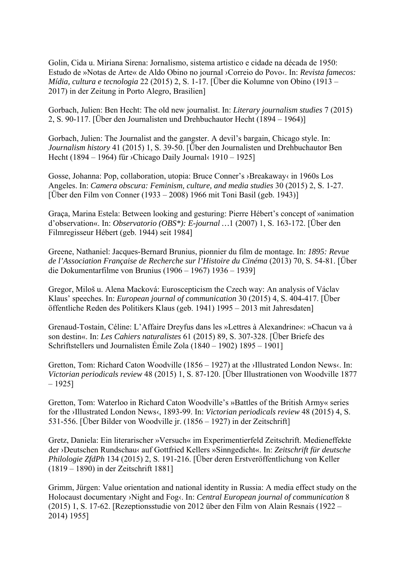Golin, Cida u. Miriana Sirena: Jornalismo, sistema artistico e cidade na década de 1950: Estudo de »Notas de Arte« de Aldo Obino no journal ›Correio do Povo‹. In: *Revista famecos: Mídia, cultura e tecnologia* 22 (2015) 2, S. 1-17. [Über die Kolumne von Obino (1913 – 2017) in der Zeitung in Porto Alegro, Brasilien]

Gorbach, Julien: Ben Hecht: The old new journalist. In: *Literary journalism studies* 7 (2015) 2, S. 90-117. [Über den Journalisten und Drehbuchautor Hecht (1894 – 1964)]

Gorbach, Julien: The Journalist and the gangster. A devil's bargain, Chicago style. In: *Journalism history* 41 (2015) 1, S. 39-50. [Über den Journalisten und Drehbuchautor Ben Hecht (1894 – 1964) für ›Chicago Daily Journal‹ 1910 – 1925]

Gosse, Johanna: Pop, collaboration, utopia: Bruce Conner's ›Breakaway‹ in 1960s Los Angeles. In: *Camera obscura: Feminism, culture, and media studies* 30 (2015) 2, S. 1-27. [Über den Film von Conner (1933 – 2008) 1966 mit Toni Basil (geb. 1943)]

Graça, Marina Estela: Between looking and gesturing: Pierre Hébert's concept of »animation d'observation«. In: *Observatorio (OBS\*): E-journal …*1 (2007) 1, S. 163-172. [Über den Filmregisseur Hébert (geb. 1944) seit 1984]

Greene, Nathaniel: Jacques-Bernard Brunius, pionnier du film de montage. In: *1895: Revue de l'Association Française de Recherche sur l'Histoire du Cinéma* (2013) 70, S. 54-81. [Über die Dokumentarfilme von Brunius (1906 – 1967) 1936 – 1939]

Gregor, Miloš u. Alena Macková: Euroscepticism the Czech way: An analysis of Václav Klaus' speeches. In: *European journal of communication* 30 (2015) 4, S. 404-417. [Über öffentliche Reden des Politikers Klaus (geb. 1941) 1995 – 2013 mit Jahresdaten]

Grenaud-Tostain, Céline: L'Affaire Dreyfus dans les »Lettres à Alexandrine«: »Chacun va à son destin«. In: *Les Cahiers naturalistes* 61 (2015) 89, S. 307-328. [Über Briefe des Schriftstellers und Journalisten Émile Zola (1840 – 1902) 1895 – 1901]

Gretton, Tom: Richard Caton Woodville (1856 – 1927) at the >Illustrated London News‹. In: *Victorian periodicals review* 48 (2015) 1, S. 87-120. [Über Illustrationen von Woodville 1877  $-1925$ ]

Gretton, Tom: Waterloo in Richard Caton Woodville's »Battles of the British Army« series for the ›Illustrated London News‹, 1893-99. In: *Victorian periodicals review* 48 (2015) 4, S. 531-556. [Über Bilder von Woodville jr. (1856 – 1927) in der Zeitschrift]

Gretz, Daniela: Ein literarischer »Versuch« im Experimentierfeld Zeitschrift. Medieneffekte der ›Deutschen Rundschau‹ auf Gottfried Kellers »Sinngedicht«. In: *Zeitschrift für deutsche Philologie ZfdPh* 134 (2015) 2, S. 191-216. [Über deren Erstveröffentlichung von Keller (1819 – 1890) in der Zeitschrift 1881]

Grimm, Jürgen: Value orientation and national identity in Russia: A media effect study on the Holocaust documentary ›Night and Fog‹. In: *Central European journal of communication* 8 (2015) 1, S. 17-62. [Rezeptionsstudie von 2012 über den Film von Alain Resnais (1922 – 2014) 1955]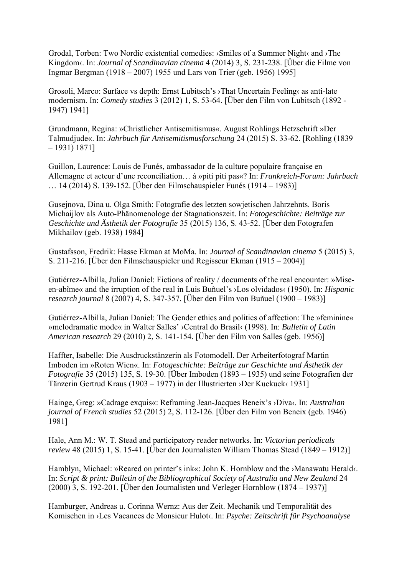Grodal, Torben: Two Nordic existential comedies: ›Smiles of a Summer Night‹ and ›The Kingdom‹. In: *Journal of Scandinavian cinema* 4 (2014) 3, S. 231-238. [Über die Filme von Ingmar Bergman (1918 – 2007) 1955 und Lars von Trier (geb. 1956) 1995]

Grosoli, Marco: Surface vs depth: Ernst Lubitsch's ›That Uncertain Feeling‹ as anti-late modernism. In: *Comedy studies* 3 (2012) 1, S. 53-64. [Über den Film von Lubitsch (1892 - 1947) 1941]

Grundmann, Regina: »Christlicher Antisemitismus«. August Rohlings Hetzschrift »Der Talmudjude«. In: *Jahrbuch für Antisemitismusforschung* 24 (2015) S. 33-62. [Rohling (1839 – 1931) 1871]

Guillon, Laurence: Louis de Funés, ambassador de la culture populaire française en Allemagne et acteur d'une reconciliation… à »piti piti pas«? In: *Frankreich-Forum: Jahrbuch* … 14 (2014) S. 139-152. [Über den Filmschauspieler Funés (1914 – 1983)]

Gusejnova, Dina u. Olga Smith: Fotografie des letzten sowjetischen Jahrzehnts. Boris Michaijlov als Auto-Phänomenologe der Stagnationszeit. In: *Fotogeschichte: Beiträge zur Geschichte und Ästhetik der Fotografie* 35 (2015) 136, S. 43-52. [Über den Fotografen Mikhailov (geb. 1938) 1984]

Gustafsson, Fredrik: Hasse Ekman at MoMa. In: *Journal of Scandinavian cinema* 5 (2015) 3, S. 211-216. [Über den Filmschauspieler und Regisseur Ekman (1915 – 2004)]

Gutiérrez-Albilla, Julian Daniel: Fictions of reality / documents of the real encounter: »Miseen-abîme« and the irruption of the real in Luis Buñuel's ›Los olvidados‹ (1950). In: *Hispanic research journal* 8 (2007) 4, S. 347-357. [Über den Film von Buñuel (1900 – 1983)]

Gutiérrez-Albilla, Julian Daniel: The Gender ethics and politics of affection: The »feminine« »melodramatic mode« in Walter Salles' ›Central do Brasil‹ (1998). In: *Bulletin of Latin American research* 29 (2010) 2, S. 141-154. [Über den Film von Salles (geb. 1956)]

Haffter, Isabelle: Die Ausdruckstänzerin als Fotomodell. Der Arbeiterfotograf Martin Imboden im »Roten Wien«. In: *Fotogeschichte: Beiträge zur Geschichte und Ästhetik der Fotografie* 35 (2015) 135, S. 19-30. [Über Imboden (1893 – 1935) und seine Fotografien der Tänzerin Gertrud Kraus (1903 – 1977) in der Illustrierten ›Der Kuckuck‹ 1931]

Hainge, Greg: »Cadrage exquis«: Reframing Jean-Jacques Beneix's ›Diva‹. In: *Australian journal of French studies* 52 (2015) 2, S. 112-126. [Über den Film von Beneix (geb. 1946) 1981]

Hale, Ann M.: W. T. Stead and participatory reader networks. In: *Victorian periodicals review* 48 (2015) 1, S. 15-41. [Über den Journalisten William Thomas Stead (1849 – 1912)]

Hamblyn, Michael: »Reared on printer's ink«: John K. Hornblow and the ›Manawatu Herald‹. In: *Script & print: Bulletin of the Bibliographical Society of Australia and New Zealand* 24 (2000) 3, S. 192-201. [Über den Journalisten und Verleger Hornblow (1874 – 1937)]

Hamburger, Andreas u. Corinna Wernz: Aus der Zeit. Mechanik und Temporalität des Komischen in ›Les Vacances de Monsieur Hulot‹. In: *Psyche: Zeitschrift für Psychoanalyse*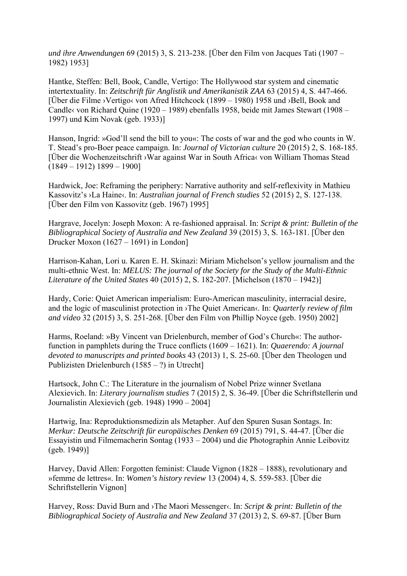*und ihre Anwendungen* 69 (2015) 3, S. 213-238. [Über den Film von Jacques Tati (1907 – 1982) 1953]

Hantke, Steffen: Bell, Book, Candle, Vertigo: The Hollywood star system and cinematic intertextuality. In: *Zeitschrift für Anglistik und Amerikanistik ZAA* 63 (2015) 4, S. 447-466. [Über die Filme ›Vertigo‹ von Afred Hitchcock (1899 – 1980) 1958 und ›Bell, Book and Candle‹ von Richard Quine (1920 – 1989) ebenfalls 1958, beide mit James Stewart (1908 – 1997) und Kim Novak (geb. 1933)]

Hanson, Ingrid: »God'll send the bill to you«: The costs of war and the god who counts in W. T. Stead's pro-Boer peace campaign. In: *Journal of Victorian culture* 20 (2015) 2, S. 168-185. [Über die Wochenzeitschrift ›War against War in South Africa‹ von William Thomas Stead  $(1849 - 1912) 1899 - 1900$ 

Hardwick, Joe: Reframing the periphery: Narrative authority and self-reflexivity in Mathieu Kassovitz's ›La Haine‹. In: *Australian journal of French studies* 52 (2015) 2, S. 127-138. [Über den Film von Kassovitz (geb. 1967) 1995]

Hargrave, Jocelyn: Joseph Moxon: A re-fashioned appraisal. In: *Script & print: Bulletin of the Bibliographical Society of Australia and New Zealand* 39 (2015) 3, S. 163-181. [Über den Drucker Moxon (1627 – 1691) in London]

Harrison-Kahan, Lori u. Karen E. H. Skinazi: Miriam Michelson's yellow journalism and the multi-ethnic West. In: *MELUS: The journal of the Society for the Study of the Multi-Ethnic Literature of the United States* 40 (2015) 2, S. 182-207. [Michelson (1870 – 1942)]

Hardy, Corie: Quiet American imperialism: Euro-American masculinity, interracial desire, and the logic of masculinist protection in ›The Quiet American‹. In: *Quarterly review of film and video* 32 (2015) 3, S. 251-268. [Über den Film von Phillip Noyce (geb. 1950) 2002]

Harms, Roeland: »By Vincent van Drielenburch, member of God's Church«: The authorfunction in pamphlets during the Truce conflicts (1609 – 1621). In: *Quaerendo: A journal devoted to manuscripts and printed books* 43 (2013) 1, S. 25-60. [Über den Theologen und Publizisten Drielenburch (1585 – ?) in Utrecht]

Hartsock, John C.: The Literature in the journalism of Nobel Prize winner Svetlana Alexievich. In: *Literary journalism studies* 7 (2015) 2, S. 36-49. [Über die Schriftstellerin und Journalistin Alexievich (geb. 1948) 1990 – 2004]

Hartwig, Ina: Reproduktionsmedizin als Metapher. Auf den Spuren Susan Sontags. In: *Merkur: Deutsche Zeitschrift für europäisches Denken* 69 (2015) 791, S. 44-47. [Über die Essayistin und Filmemacherin Sontag (1933 – 2004) und die Photographin Annie Leibovitz (geb. 1949)]

Harvey, David Allen: Forgotten feminist: Claude Vignon (1828 – 1888), revolutionary and »femme de lettres«. In: *Women's history review* 13 (2004) 4, S. 559-583. [Über die Schriftstellerin Vignon]

Harvey, Ross: David Burn and ›The Maori Messenger‹. In: *Script & print: Bulletin of the Bibliographical Society of Australia and New Zealand* 37 (2013) 2, S. 69-87. [Über Burn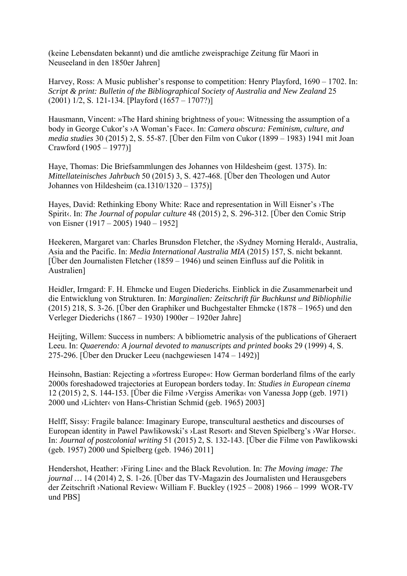(keine Lebensdaten bekannt) und die amtliche zweisprachige Zeitung für Maori in Neuseeland in den 1850er Jahren]

Harvey, Ross: A Music publisher's response to competition: Henry Playford, 1690 – 1702. In: *Script & print: Bulletin of the Bibliographical Society of Australia and New Zealand* 25 (2001) 1/2, S. 121-134. [Playford (1657 – 1707?)]

Hausmann, Vincent: »The Hard shining brightness of you«: Witnessing the assumption of a body in George Cukor's ›A Woman's Face‹. In: *Camera obscura: Feminism, culture, and media studies* 30 (2015) 2, S. 55-87. [Über den Film von Cukor (1899 – 1983) 1941 mit Joan Crawford (1905 – 1977)]

Haye, Thomas: Die Briefsammlungen des Johannes von Hildesheim (gest. 1375). In: *Mittellateinisches Jahrbuch* 50 (2015) 3, S. 427-468. [Über den Theologen und Autor Johannes von Hildesheim (ca.1310/1320 – 1375)]

Hayes, David: Rethinking Ebony White: Race and representation in Will Eisner's ›The Spirit«. In: *The Journal of popular culture* 48 (2015) 2, S. 296-312. [Über den Comic Strip von Eisner (1917 – 2005) 1940 – 1952]

Heekeren, Margaret van: Charles Brunsdon Fletcher, the ›Sydney Morning Herald‹, Australia, Asia and the Pacific. In: *Media International Australia MIA* (2015) 157, S. nicht bekannt. [Über den Journalisten Fletcher (1859 – 1946) und seinen Einfluss auf die Politik in Australien]

Heidler, Irmgard: F. H. Ehmcke und Eugen Diederichs. Einblick in die Zusammenarbeit und die Entwicklung von Strukturen. In: *Marginalien: Zeitschrift für Buchkunst und Bibliophilie* (2015) 218, S. 3-26. [Über den Graphiker und Buchgestalter Ehmcke (1878 – 1965) und den Verleger Diederichs (1867 – 1930) 1900er – 1920er Jahre]

Heijting, Willem: Success in numbers: A bibliometric analysis of the publications of Gheraert Leeu. In: *Quaerendo: A journal devoted to manuscripts and printed books* 29 (1999) 4, S. 275-296. [Über den Drucker Leeu (nachgewiesen 1474 – 1492)]

Heinsohn, Bastian: Rejecting a »fortress Europe«: How German borderland films of the early 2000s foreshadowed trajectories at European borders today. In: *Studies in European cinema* 12 (2015) 2, S. 144-153. [Über die Filme ›Vergiss Amerika‹ von Vanessa Jopp (geb. 1971) 2000 und ›Lichter‹ von Hans-Christian Schmid (geb. 1965) 2003]

Helff, Sissy: Fragile balance: Imaginary Europe, transcultural aesthetics and discourses of European identity in Pawel Pawlikowski's ›Last Resort‹ and Steven Spielberg's ›War Horse‹. In: *Journal of postcolonial writing* 51 (2015) 2, S. 132-143. [Über die Filme von Pawlikowski (geb. 1957) 2000 und Spielberg (geb. 1946) 2011]

Hendershot, Heather: ›Firing Line‹ and the Black Revolution. In: *The Moving image: The journal …* 14 (2014) 2, S. 1-26. [Über das TV-Magazin des Journalisten und Herausgebers der Zeitschrift ›National Review‹ William F. Buckley (1925 – 2008) 1966 – 1999 WOR-TV und PBS]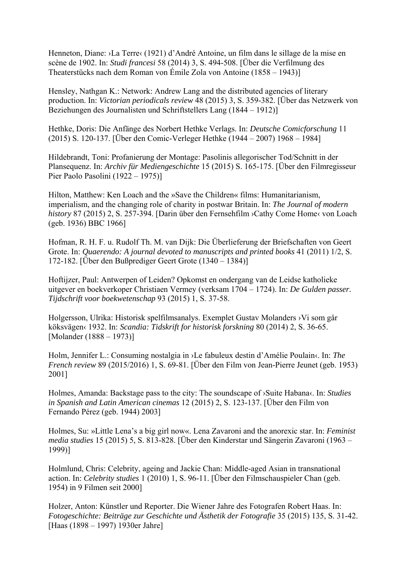Henneton, Diane: ›La Terre‹ (1921) d'André Antoine, un film dans le sillage de la mise en scène de 1902. In: *Studi francesi* 58 (2014) 3, S. 494-508. [Über die Verfilmung des Theaterstücks nach dem Roman von Émile Zola von Antoine (1858 – 1943)]

Hensley, Nathgan K.: Network: Andrew Lang and the distributed agencies of literary production. In: *Victorian periodicals review* 48 (2015) 3, S. 359-382. [Über das Netzwerk von Beziehungen des Journalisten und Schriftstellers Lang (1844 – 1912)]

Hethke, Doris: Die Anfänge des Norbert Hethke Verlags. In: *Deutsche Comicforschung* 11 (2015) S. 120-137. [Über den Comic-Verleger Hethke (1944 – 2007) 1968 – 1984]

Hildebrandt, Toni: Profanierung der Montage: Pasolinis allegorischer Tod/Schnitt in der Plansequenz. In: *Archiv für Mediengeschichte* 15 (2015) S. 165-175. [Über den Filmregisseur Pier Paolo Pasolini (1922 – 1975)]

Hilton, Matthew: Ken Loach and the »Save the Children« films: Humanitarianism, imperialism, and the changing role of charity in postwar Britain. In: *The Journal of modern history* 87 (2015) 2, S. 257-394. [Darin über den Fernsehfilm >Cathy Come Home< von Loach (geb. 1936) BBC 1966]

Hofman, R. H. F. u. Rudolf Th. M. van Dijk: Die Überlieferung der Briefschaften von Geert Grote. In: *Quaerendo: A journal devoted to manuscripts and printed books* 41 (2011) 1/2, S. 172-182. [Über den Bußprediger Geert Grote (1340 – 1384)]

Hoftijzer, Paul: Antwerpen of Leiden? Opkomst en ondergang van de Leidse katholieke uitgever en boekverkoper Christiaen Vermey (verksam 1704 – 1724). In: *De Gulden passer. Tijdschrift voor boekwetenschap* 93 (2015) 1, S. 37-58.

Holgersson, Ulrika: Historisk spelfilmsanalys. Exemplet Gustav Molanders ›Vi som går köksvägen‹ 1932. In: *Scandia: Tidskrift for historisk forskning* 80 (2014) 2, S. 36-65. [Molander (1888 – 1973)]

Holm, Jennifer L.: Consuming nostalgia in ›Le fabuleux destin d'Amélie Poulain‹. In: *The French review* 89 (2015/2016) 1, S. 69-81. [Über den Film von Jean-Pierre Jeunet (geb. 1953) 2001]

Holmes, Amanda: Backstage pass to the city: The soundscape of ›Suite Habana‹. In: *Studies in Spanish and Latin American cinemas* 12 (2015) 2, S. 123-137. [Über den Film von Fernando Pérez (geb. 1944) 2003]

Holmes, Su: »Little Lena's a big girl now«. Lena Zavaroni and the anorexic star. In: *Feminist media studies* 15 (2015) 5, S. 813-828. [Über den Kinderstar und Sängerin Zavaroni (1963 – 1999)]

Holmlund, Chris: Celebrity, ageing and Jackie Chan: Middle-aged Asian in transnational action. In: *Celebrity studies* 1 (2010) 1, S. 96-11. [Über den Filmschauspieler Chan (geb. 1954) in 9 Filmen seit 2000]

Holzer, Anton: Künstler und Reporter. Die Wiener Jahre des Fotografen Robert Haas. In: *Fotogeschichte: Beiträge zur Geschichte und Ästhetik der Fotografie* 35 (2015) 135, S. 31-42. [Haas (1898 – 1997) 1930er Jahre]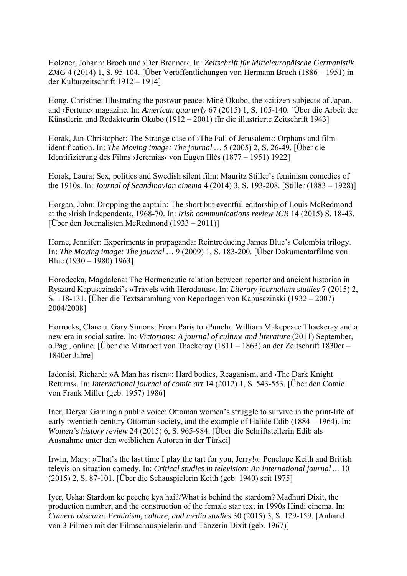Holzner, Johann: Broch und ›Der Brenner‹. In: *Zeitschrift für Mitteleuropäische Germanistik ZMG* 4 (2014) 1, S. 95-104. [Über Veröffentlichungen von Hermann Broch (1886 – 1951) in der Kulturzeitschrift 1912 – 1914]

Hong, Christine: Illustrating the postwar peace: Miné Okubo, the »citizen-subject« of Japan, and ›Fortune‹ magazine. In: *American quarterly* 67 (2015) 1, S. 105-140. [Über die Arbeit der Künstlerin und Redakteurin Okubo (1912 – 2001) für die illustrierte Zeitschrift 1943]

Horak, Jan-Christopher: The Strange case of  $\lambda$ The Fall of Jerusalem $\alpha$ : Orphans and film identification. In: *The Moving image: The journal …* 5 (2005) 2, S. 26-49. [Über die Identifizierung des Films ›Jeremias‹ von Eugen Illés (1877 – 1951) 1922]

Horak, Laura: Sex, politics and Swedish silent film: Mauritz Stiller's feminism comedies of the 1910s. In: *Journal of Scandinavian cinema* 4 (2014) 3, S. 193-208. [Stiller (1883 – 1928)]

Horgan, John: Dropping the captain: The short but eventful editorship of Louis McRedmond at the ›Irish Independent‹, 1968-70. In: *Irish communications review ICR* 14 (2015) S. 18-43. [Über den Journalisten McRedmond  $(1933 - 2011)$ ]

Horne, Jennifer: Experiments in propaganda: Reintroducing James Blue's Colombia trilogy. In: *The Moving image: The journal …* 9 (2009) 1, S. 183-200. [Über Dokumentarfilme von Blue (1930 – 1980) 1963]

Horodecka, Magdalena: The Hermeneutic relation between reporter and ancient historian in Ryszard Kapusczinski's »Travels with Herodotus«. In: *Literary journalism studies* 7 (2015) 2, S. 118-131. [Über die Textsammlung von Reportagen von Kapusczinski (1932 – 2007) 2004/2008]

Horrocks, Clare u. Gary Simons: From Paris to ›Punch‹. William Makepeace Thackeray and a new era in social satire. In: *Victorians: A journal of culture and literature* (2011) September, o.Pag., online. [Über die Mitarbeit von Thackeray (1811 – 1863) an der Zeitschrift 1830er – 1840er Jahre]

Iadonisi, Richard: »A Man has risen«: Hard bodies, Reaganism, and ›The Dark Knight Returns‹. In: *International journal of comic art* 14 (2012) 1, S. 543-553. [Über den Comic von Frank Miller (geb. 1957) 1986]

Iner, Derya: Gaining a public voice: Ottoman women's struggle to survive in the print-life of early twentieth-century Ottoman society, and the example of Halide Edib (1884 – 1964). In: *Women's history review* 24 (2015) 6, S. 965-984. [Über die Schriftstellerin Edib als Ausnahme unter den weiblichen Autoren in der Türkei]

Irwin, Mary: »That's the last time I play the tart for you, Jerry!«: Penelope Keith and British television situation comedy. In: *Critical studies in television: An international journal ...* 10 (2015) 2, S. 87-101. [Über die Schauspielerin Keith (geb. 1940) seit 1975]

Iyer, Usha: Stardom ke peeche kya hai?/What is behind the stardom? Madhuri Dixit, the production number, and the construction of the female star text in 1990s Hindi cinema. In: *Camera obscura: Feminism, culture, and media studies* 30 (2015) 3, S. 129-159. [Anhand von 3 Filmen mit der Filmschauspielerin und Tänzerin Dixit (geb. 1967)]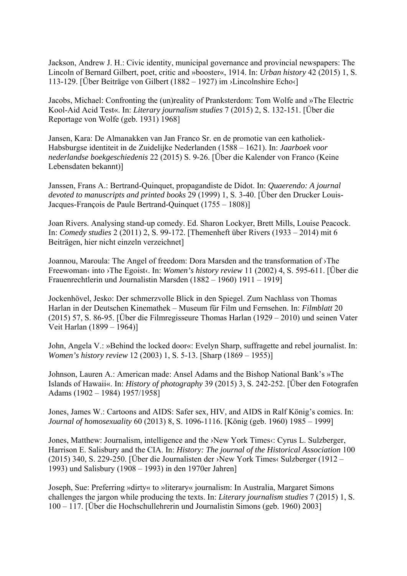Jackson, Andrew J. H.: Civic identity, municipal governance and provincial newspapers: The Lincoln of Bernard Gilbert, poet, critic and »booster«, 1914. In: *Urban history* 42 (2015) 1, S. 113-129. [Über Beiträge von Gilbert (1882 – 1927) im ›Lincolnshire Echo‹]

Jacobs, Michael: Confronting the (un)reality of Pranksterdom: Tom Wolfe and »The Electric Kool-Aid Acid Test«. In: *Literary journalism studies* 7 (2015) 2, S. 132-151. [Über die Reportage von Wolfe (geb. 1931) 1968]

Jansen, Kara: De Almanakken van Jan Franco Sr. en de promotie van een katholiek-Habsburgse identiteit in de Zuidelijke Nederlanden (1588 – 1621). In: *Jaarboek voor nederlandse boekgeschiedenis* 22 (2015) S. 9-26. [Über die Kalender von Franco (Keine Lebensdaten bekannt)]

Janssen, Frans A.: Bertrand-Quinquet, propagandiste de Didot. In: *Quaerendo: A journal devoted to manuscripts and printed books* 29 (1999) 1, S. 3-40. [Über den Drucker Louis-Jacques-François de Paule Bertrand-Quinquet (1755 – 1808)]

Joan Rivers. Analysing stand-up comedy. Ed. Sharon Lockyer, Brett Mills, Louise Peacock. In: *Comedy studies* 2 (2011) 2, S. 99-172. [Themenheft über Rivers (1933 – 2014) mit 6 Beiträgen, hier nicht einzeln verzeichnet]

Joannou, Maroula: The Angel of freedom: Dora Marsden and the transformation of ›The Freewoman‹ into ›The Egoist‹. In: *Women's history review* 11 (2002) 4, S. 595-611. [Über die Frauenrechtlerin und Journalistin Marsden (1882 – 1960) 1911 – 1919]

Jockenhövel, Jesko: Der schmerzvolle Blick in den Spiegel. Zum Nachlass von Thomas Harlan in der Deutschen Kinemathek – Museum für Film und Fernsehen. In: *Filmblatt* 20 (2015) 57, S. 86-95. [Über die Filmregisseure Thomas Harlan (1929 – 2010) und seinen Vater Veit Harlan (1899 – 1964)]

John, Angela V.: »Behind the locked door«: Evelyn Sharp, suffragette and rebel journalist. In: *Women's history review* 12 (2003) 1, S. 5-13. [Sharp (1869 – 1955)]

Johnson, Lauren A.: American made: Ansel Adams and the Bishop National Bank's »The Islands of Hawaii«. In: *History of photography* 39 (2015) 3, S. 242-252. [Über den Fotografen Adams (1902 – 1984) 1957/1958]

Jones, James W.: Cartoons and AIDS: Safer sex, HIV, and AIDS in Ralf König's comics. In: *Journal of homosexuality* 60 (2013) 8, S. 1096-1116. [König (geb. 1960) 1985 – 1999]

Jones, Matthew: Journalism, intelligence and the ›New York Times  $\cdot$ : Cyrus L. Sulzberger, Harrison E. Salisbury and the CIA. In: *History: The journal of the Historical Association* 100 (2015) 340, S. 229-250. [Über die Journalisten der ›New York Times‹ Sulzberger (1912 – 1993) und Salisbury (1908 – 1993) in den 1970er Jahren]

Joseph, Sue: Preferring »dirty« to »literary« journalism: In Australia, Margaret Simons challenges the jargon while producing the texts. In: *Literary journalism studies* 7 (2015) 1, S. 100 – 117. [Über die Hochschullehrerin und Journalistin Simons (geb. 1960) 2003]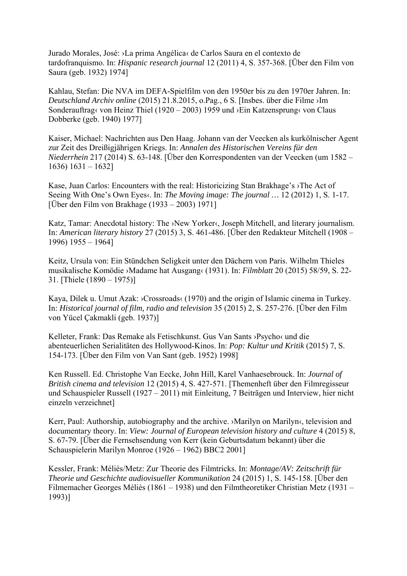Jurado Morales, José: ›La prima Angélica‹ de Carlos Saura en el contexto de tardofranquismo. In: *Hispanic research journal* 12 (2011) 4, S. 357-368. [Über den Film von Saura (geb. 1932) 1974]

Kahlau, Stefan: Die NVA im DEFA-Spielfilm von den 1950er bis zu den 1970er Jahren. In: *Deutschland Archiv online* (2015) 21.8.2015, o.Pag., 6 S. [Insbes. über die Filme ›Im Sonderauftrag‹ von Heinz Thiel (1920 – 2003) 1959 und ›Ein Katzensprung‹ von Claus Dobberke (geb. 1940) 1977]

Kaiser, Michael: Nachrichten aus Den Haag. Johann van der Veecken als kurkölnischer Agent zur Zeit des Dreißigjährigen Kriegs. In: *Annalen des Historischen Vereins für den Niederrhein* 217 (2014) S. 63-148. [Über den Korrespondenten van der Veecken (um 1582 – 1636) 1631 – 1632]

Kase, Juan Carlos: Encounters with the real: Historicizing Stan Brakhage's ›The Act of Seeing With One's Own Eyes. In: *The Moving image: The journal* ... 12 (2012) 1, S. 1-17. [Über den Film von Brakhage (1933 – 2003) 1971]

Katz, Tamar: Anecdotal history: The ›New Yorker‹, Joseph Mitchell, and literary journalism. In: *American literary history* 27 (2015) 3, S. 461-486. [Über den Redakteur Mitchell (1908 – 1996) 1955 – 1964]

Keitz, Ursula von: Ein Stündchen Seligkeit unter den Dächern von Paris. Wilhelm Thieles musikalische Komödie ›Madame hat Ausgang‹ (1931). In: *Filmblatt* 20 (2015) 58/59, S. 22- 31. [Thiele (1890 – 1975)]

Kaya, Dilek u. Umut Azak: ›Crossroads‹ (1970) and the origin of Islamic cinema in Turkey. In: *Historical journal of film, radio and television* 35 (2015) 2, S. 257-276. [Über den Film von Yücel Çakmakli (geb. 1937)]

Kelleter, Frank: Das Remake als Fetischkunst. Gus Van Sants ›Psycho‹ und die abenteuerlichen Serialitäten des Hollywood-Kinos. In: *Pop: Kultur und Kritik* (2015) 7, S. 154-173. [Über den Film von Van Sant (geb. 1952) 1998]

Ken Russell. Ed. Christophe Van Eecke, John Hill, Karel Vanhaesebrouck. In: *Journal of British cinema and television* 12 (2015) 4, S. 427-571. [Themenheft über den Filmregisseur und Schauspieler Russell (1927 – 2011) mit Einleitung, 7 Beiträgen und Interview, hier nicht einzeln verzeichnet]

Kerr, Paul: Authorship, autobiography and the archive. >Marilyn on Marilyn<, television and documentary theory. In: *View: Journal of European television history and culture* 4 (2015) 8, S. 67-79. [Über die Fernsehsendung von Kerr (kein Geburtsdatum bekannt) über die Schauspielerin Marilyn Monroe (1926 – 1962) BBC2 2001]

Kessler, Frank: Méliès/Metz: Zur Theorie des Filmtricks. In: *Montage/AV: Zeitschrift für Theorie und Geschichte audiovisueller Kommunikation* 24 (2015) 1, S. 145-158. [Über den Filmemacher Georges Méliès (1861 – 1938) und den Filmtheoretiker Christian Metz (1931 – 1993)]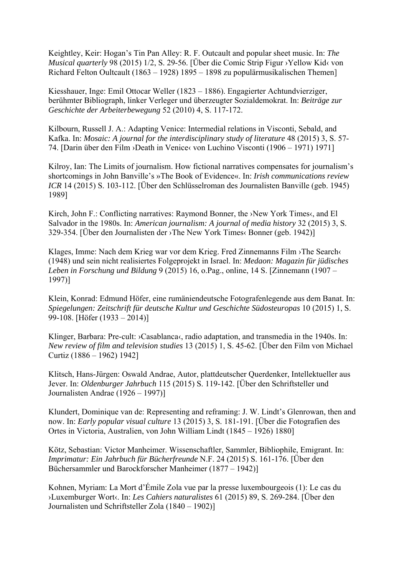Keightley, Keir: Hogan's Tin Pan Alley: R. F. Outcault and popular sheet music. In: *The Musical quarterly* 98 (2015) 1/2, S. 29-56. [Über die Comic Strip Figur ›Yellow Kid‹ von Richard Felton Oultcault (1863 – 1928) 1895 – 1898 zu populärmusikalischen Themen]

Kiesshauer, Inge: Emil Ottocar Weller (1823 – 1886). Engagierter Achtundvierziger, berühmter Bibliograph, linker Verleger und überzeugter Sozialdemokrat. In: *Beiträge zur Geschichte der Arbeiterbewegung* 52 (2010) 4, S. 117-172.

Kilbourn, Russell J. A.: Adapting Venice: Intermedial relations in Visconti, Sebald, and Kafka. In: *Mosaic: A journal for the interdisciplinary study of literature* 48 (2015) 3, S. 57- 74. [Darin über den Film ›Death in Venice‹ von Luchino Visconti (1906 – 1971) 1971]

Kilroy, Ian: The Limits of journalism. How fictional narratives compensates for journalism's shortcomings in John Banville's »The Book of Evidence«. In: *Irish communications review ICR* 14 (2015) S. 103-112. [Über den Schlüsselroman des Journalisten Banville (geb. 1945) 1989]

Kirch, John F.: Conflicting narratives: Raymond Bonner, the >New York Times<, and El Salvador in the 1980s. In: *American journalism: A journal of media history* 32 (2015) 3, S. 329-354. [Über den Journalisten der ›The New York Times‹ Bonner (geb. 1942)]

Klages, Imme: Nach dem Krieg war vor dem Krieg. Fred Zinnemanns Film ›The Search‹ (1948) und sein nicht realisiertes Folgeprojekt in Israel. In: *Medaon: Magazin für jüdisches Leben in Forschung und Bildung* 9 (2015) 16, o.Pag., online, 14 S. [Zinnemann (1907 – 1997)]

Klein, Konrad: Edmund Höfer, eine rumäniendeutsche Fotografenlegende aus dem Banat. In: *Spiegelungen: Zeitschrift für deutsche Kultur und Geschichte Südosteuropas* 10 (2015) 1, S. 99-108. [Höfer (1933 – 2014)]

Klinger, Barbara: Pre-cult:  $\triangle$ Casablanca $\triangle$ , radio adaptation, and transmedia in the 1940s. In: *New review of film and television studies* 13 (2015) 1, S. 45-62. [Über den Film von Michael Curtiz (1886 – 1962) 1942]

Klitsch, Hans-Jürgen: Oswald Andrae, Autor, plattdeutscher Querdenker, Intellektueller aus Jever. In: *Oldenburger Jahrbuch* 115 (2015) S. 119-142. [Über den Schriftsteller und Journalisten Andrae (1926 – 1997)]

Klundert, Dominique van de: Representing and reframing: J. W. Lindt's Glenrowan, then and now. In: *Early popular visual culture* 13 (2015) 3, S. 181-191. [Über die Fotografien des Ortes in Victoria, Australien, von John William Lindt (1845 – 1926) 1880]

Kötz, Sebastian: Victor Manheimer. Wissenschaftler, Sammler, Bibliophile, Emigrant. In: *Imprimatur: Ein Jahrbuch für Bücherfreunde* N.F. 24 (2015) S. 161-176. [Über den Büchersammler und Barockforscher Manheimer (1877 – 1942)]

Kohnen, Myriam: La Mort d'Émile Zola vue par la presse luxembourgeois (1): Le cas du ›Luxemburger Wort‹. In: *Les Cahiers naturalistes* 61 (2015) 89, S. 269-284. [Über den Journalisten und Schriftsteller Zola (1840 – 1902)]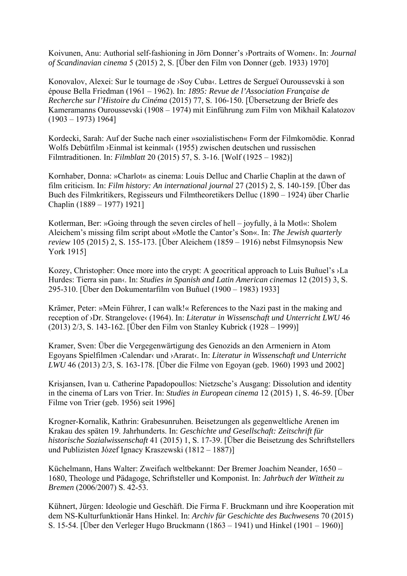Koivunen, Anu: Authorial self-fashioning in Jörn Donner's ›Portraits of Women‹. In: *Journal of Scandinavian cinema* 5 (2015) 2, S. [Über den Film von Donner (geb. 1933) 1970]

Konovalov, Alexei: Sur le tournage de ›Soy Cuba‹. Lettres de Sergueï Ouroussevski à son épouse Bella Friedman (1961 – 1962). In: *1895: Revue de l'Association Française de Recherche sur l'Histoire du Cinéma* (2015) 77, S. 106-150. [Übersetzung der Briefe des Kameramanns Ouroussevski (1908 – 1974) mit Einführung zum Film von Mikhail Kalatozov  $(1903 - 1973)$  1964]

Kordecki, Sarah: Auf der Suche nach einer »sozialistischen« Form der Filmkomödie. Konrad Wolfs Debütfilm ›Einmal ist keinmal‹ (1955) zwischen deutschen und russischen Filmtraditionen. In: *Filmblatt* 20 (2015) 57, S. 3-16. [Wolf (1925 – 1982)]

Kornhaber, Donna: »Charlot« as cinema: Louis Delluc and Charlie Chaplin at the dawn of film criticism. In: *Film history: An international journal* 27 (2015) 2, S. 140-159. [Über das Buch des Filmkritikers, Regisseurs und Filmtheoretikers Delluc (1890 – 1924) über Charlie Chaplin (1889 – 1977) 1921]

Kotlerman, Ber: »Going through the seven circles of hell – joyfully, à la Motl«: Sholem Aleichem's missing film script about »Motle the Cantor's Son«. In: *The Jewish quarterly review* 105 (2015) 2, S. 155-173. [Über Aleichem (1859 – 1916) nebst Filmsynopsis New York 1915]

Kozey, Christopher: Once more into the crypt: A geocritical approach to Luis Buñuel's ›La Hurdes: Tierra sin pan‹. In: *Studies in Spanish and Latin American cinemas* 12 (2015) 3, S. 295-310. [Über den Dokumentarfilm von Buñuel (1900 – 1983) 1933]

Krämer, Peter: »Mein Führer, I can walk!« References to the Nazi past in the making and reception of ›Dr. Strangelove‹ (1964). In: *Literatur in Wissenschaft und Unterricht LWU* 46 (2013) 2/3, S. 143-162. [Über den Film von Stanley Kubrick (1928 – 1999)]

Kramer, Sven: Über die Vergegenwärtigung des Genozids an den Armeniern in Atom Egoyans Spielfilmen ›Calendar‹ und ›Ararat‹. In: *Literatur in Wissenschaft und Unterricht LWU* 46 (2013) 2/3, S. 163-178. [Über die Filme von Egoyan (geb. 1960) 1993 und 2002]

Krisjansen, Ivan u. Catherine Papadopoullos: Nietzsche's Ausgang: Dissolution and identity in the cinema of Lars von Trier. In: *Studies in European cinema* 12 (2015) 1, S. 46-59. [Über Filme von Trier (geb. 1956) seit 1996]

Krogner-Kornalik, Kathrin: Grabesunruhen. Beisetzungen als gegenweltliche Arenen im Krakau des späten 19. Jahrhunderts. In: *Geschichte und Gesellschaft: Zeitschrift für historische Sozialwissenschaft* 41 (2015) 1, S. 17-39. [Über die Beisetzung des Schriftstellers und Publizisten Józef Ignacy Kraszewski (1812 – 1887)]

Küchelmann, Hans Walter: Zweifach weltbekannt: Der Bremer Joachim Neander, 1650 – 1680, Theologe und Pädagoge, Schriftsteller und Komponist. In: *Jahrbuch der Wittheit zu Bremen* (2006/2007) S. 42-53.

Kühnert, Jürgen: Ideologie und Geschäft. Die Firma F. Bruckmann und ihre Kooperation mit dem NS-Kulturfunktionär Hans Hinkel. In: *Archiv für Geschichte des Buchwesens* 70 (2015) S. 15-54. [Über den Verleger Hugo Bruckmann (1863 – 1941) und Hinkel (1901 – 1960)]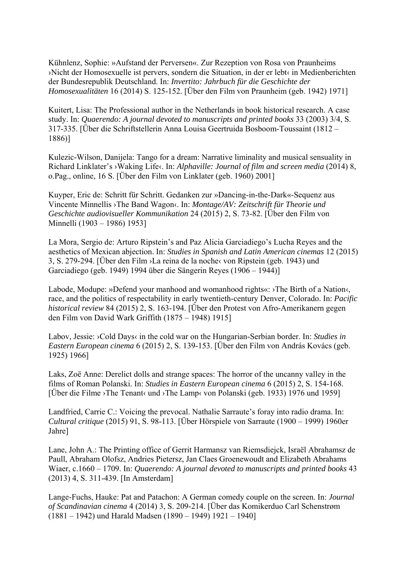Kühnlenz, Sophie: »Aufstand der Perversen«. Zur Rezeption von Rosa von Praunheims ›Nicht der Homosexuelle ist pervers, sondern die Situation, in der er lebt‹ in Medienberichten der Bundesrepublik Deutschland. In: *Invertito: Jahrbuch für die Geschichte der Homosexualitäten* 16 (2014) S. 125-152. [Über den Film von Praunheim (geb. 1942) 1971]

Kuitert, Lisa: The Professional author in the Netherlands in book historical research. A case study. In: *Quaerendo: A journal devoted to manuscripts and printed books* 33 (2003) 3/4, S. 317-335. [Über die Schriftstellerin Anna Louisa Geertruida Bosboom-Toussaint (1812 – 1886)]

Kulezic-Wilson, Danijela: Tango for a dream: Narrative liminality and musical sensuality in Richard Linklater's ›Waking Life‹. In: *Alphaville: Journal of film and screen media* (2014) 8, o.Pag., online, 16 S. [Über den Film von Linklater (geb. 1960) 2001]

Kuyper, Eric de: Schritt für Schritt. Gedanken zur »Dancing-in-the-Dark«-Sequenz aus Vincente Minnellis ›The Band Wagon‹. In: *Montage/AV: Zeitschrift für Theorie und Geschichte audiovisueller Kommunikation* 24 (2015) 2, S. 73-82. [Über den Film von Minnelli (1903 – 1986) 1953]

La Mora, Sergio de: Arturo Ripstein's and Paz Alicia Garciadiego's Lucha Reyes and the aesthetics of Mexican abjection. In: *Studies in Spanish and Latin American cinemas* 12 (2015) 3, S. 279-294. [Über den Film ›La reina de la noche‹ von Ripstein (geb. 1943) und Garciadiego (geb. 1949) 1994 über die Sängerin Reyes (1906 – 1944)]

Labode, Modupe: »Defend your manhood and womanhood rights«: >The Birth of a Nation<, race, and the politics of respectability in early twentieth-century Denver, Colorado. In: *Pacific historical review* 84 (2015) 2, S. 163-194. [Über den Protest von Afro-Amerikanern gegen den Film von David Wark Griffith (1875 – 1948) 1915]

Labov, Jessie: ›Cold Days‹ in the cold war on the Hungarian-Serbian border. In: *Studies in Eastern European cinema* 6 (2015) 2, S. 139-153. [Über den Film von András Kovács (geb. 1925) 1966]

Laks, Zoë Anne: Derelict dolls and strange spaces: The horror of the uncanny valley in the films of Roman Polanski. In: *Studies in Eastern European cinema* 6 (2015) 2, S. 154-168. [Über die Filme ›The Tenant‹ und ›The Lamp‹ von Polanski (geb. 1933) 1976 und 1959]

Landfried, Carrie C.: Voicing the prevocal. Nathalie Sarraute's foray into radio drama. In: *Cultural critique* (2015) 91, S. 98-113. [Über Hörspiele von Sarraute (1900 – 1999) 1960er Jahre]

Lane, John A.: The Printing office of Gerrit Harmansz van Riemsdiejck, Israël Abrahamsz de Paull, Abraham Olofsz, Andries Pietersz, Jan Claes Groenewoudt and Elizabeth Abrahams Wiaer, c.1660 – 1709. In: *Quaerendo: A journal devoted to manuscripts and printed books* 43 (2013) 4, S. 311-439. [In Amsterdam]

Lange-Fuchs, Hauke: Pat and Patachon: A German comedy couple on the screen. In: *Journal of Scandinavian cinema* 4 (2014) 3, S. 209-214. [Über das Komikerduo Carl Schenstrøm (1881 – 1942) und Harald Madsen (1890 – 1949) 1921 – 1940]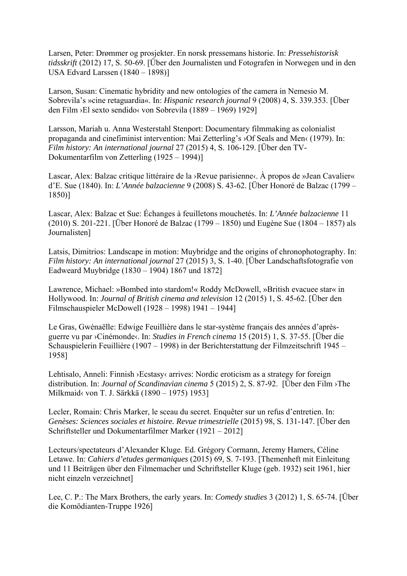Larsen, Peter: Drømmer og prosjekter. En norsk pressemans historie. In: *Pressehistorisk tidsskrift* (2012) 17, S. 50-69. [Über den Journalisten und Fotografen in Norwegen und in den USA Edvard Larssen (1840 – 1898)]

Larson, Susan: Cinematic hybridity and new ontologies of the camera in Nemesio M. Sobrevila's »cine retaguardia«. In: *Hispanic research journal* 9 (2008) 4, S. 339.353. [Über den Film ›El sexto sendido‹ von Sobrevila (1889 – 1969) 1929]

Larsson, Mariah u. Anna Westerstahl Stenport: Documentary filmmaking as colonialist propaganda and cinefiminist intervention: Mai Zetterling's ›Of Seals and Men‹ (1979). In: *Film history: An international journal* 27 (2015) 4, S. 106-129. [Über den TV-Dokumentarfilm von Zetterling (1925 – 1994)]

Lascar, Alex: Balzac critique littéraire de la ›Revue parisienne<. À propos de »Jean Cavalier« d'E. Sue (1840). In: *L'Année balzacienne* 9 (2008) S. 43-62. [Über Honoré de Balzac (1799 – 1850)]

Lascar, Alex: Balzac et Sue: Échanges à feuilletons mouchetés. In: *L'Année balzacienne* 11 (2010) S. 201-221. [Über Honoré de Balzac (1799 – 1850) und Eugène Sue (1804 – 1857) als Journalisten]

Latsis, Dimitrios: Landscape in motion: Muybridge and the origins of chronophotography. In: *Film history: An international journal* 27 (2015) 3, S. 1-40. [Über Landschaftsfotografie von Eadweard Muybridge (1830 – 1904) 1867 und 1872]

Lawrence, Michael: »Bombed into stardom!« Roddy McDowell, »British evacuee star« in Hollywood. In: *Journal of British cinema and television* 12 (2015) 1, S. 45-62. [Über den Filmschauspieler McDowell (1928 – 1998) 1941 – 1944]

Le Gras, Gwénaëlle: Edwige Feuillière dans le star-système français des années d'aprèsguerre vu par ›Cinémonde‹. In: *Studies in French cinema* 15 (2015) 1, S. 37-55. [Über die Schauspielerin Feuillière (1907 – 1998) in der Berichterstattung der Filmzeitschrift 1945 – 1958]

Lehtisalo, Anneli: Finnish ›Ecstasy‹ arrives: Nordic eroticism as a strategy for foreign distribution. In: *Journal of Scandinavian cinema* 5 (2015) 2, S. 87-92. [Über den Film ›The Milkmaid‹ von T. J. Särkkä (1890 – 1975) 1953]

Lecler, Romain: Chris Marker, le sceau du secret. Enquêter sur un refus d'entretien. In: *Genèses: Sciences sociales et histoire. Revue trimestrielle* (2015) 98, S. 131-147. [Über den Schriftsteller und Dokumentarfilmer Marker (1921 – 2012]

Lecteurs/spectateurs d'Alexander Kluge. Ed. Grégory Cormann, Jeremy Hamers, Céline Letawe. In: *Cahiers d'etudes germaniques* (2015) 69, S. 7-193. [Themenheft mit Einleitung und 11 Beiträgen über den Filmemacher und Schriftsteller Kluge (geb. 1932) seit 1961, hier nicht einzeln verzeichnet]

Lee, C. P.: The Marx Brothers, the early years. In: *Comedy studies* 3 (2012) 1, S. 65-74. [Über die Komödianten-Truppe 1926]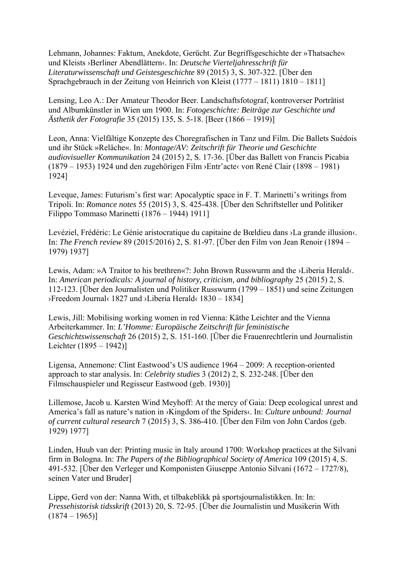Lehmann, Johannes: Faktum, Anekdote, Gerücht. Zur Begriffsgeschichte der »Thatsache« und Kleists ›Berliner Abendlättern‹. In: *Deutsche Vierteljahresschrift für Literaturwissenschaft und Geistesgeschichte* 89 (2015) 3, S. 307-322. [Über den Sprachgebrauch in der Zeitung von Heinrich von Kleist (1777 – 1811) 1810 – 1811]

Lensing, Leo A.: Der Amateur Theodor Beer. Landschaftsfotograf, kontroverser Porträtist und Albumkünstler in Wien um 1900. In: *Fotogeschichte: Beiträge zur Geschichte und Ästhetik der Fotografie* 35 (2015) 135, S. 5-18. [Beer (1866 – 1919)]

Leon, Anna: Vielfältige Konzepte des Choregrafischen in Tanz und Film. Die Ballets Suédois und ihr Stück »Relâche«. In: *Montage/AV: Zeitschrift für Theorie und Geschichte audiovisueller Kommunikation* 24 (2015) 2, S. 17-36. [Über das Ballett von Francis Picabia (1879 – 1953) 1924 und den zugehörigen Film ›Entr'acte‹ von René Clair (1898 – 1981) 1924]

Leveque, James: Futurism's first war: Apocalyptic space in F. T. Marinetti's writings from Tripoli. In: *Romance notes* 55 (2015) 3, S. 425-438. [Über den Schriftsteller und Politiker Filippo Tommaso Marinetti (1876 – 1944) 1911]

Levéziel, Frédéric: Le Génie aristocratique du capitaine de Bœldieu dans ›La grande illusion‹. In: *The French review* 89 (2015/2016) 2, S. 81-97. [Über den Film von Jean Renoir (1894 – 1979) 1937]

Lewis, Adam: »A Traitor to his brethren«?: John Brown Russwurm and the ›Liberia Herald‹. In: *American periodicals: A journal of history, criticism, and bibliography* 25 (2015) 2, S. 112-123. [Über den Journalisten und Politiker Russwurm (1799 – 1851) und seine Zeitungen ›Freedom Journal‹ 1827 und ›Liberia Herald‹ 1830 – 1834]

Lewis, Jill: Mobilising working women in red Vienna: Käthe Leichter and the Vienna Arbeiterkammer. In: *L'Homme: Europäische Zeitschrift für feministische Geschichtswissenschaft* 26 (2015) 2, S. 151-160. [Über die Frauenrechtlerin und Journalistin Leichter (1895 – 1942)]

Ligensa, Annemone: Clint Eastwood's US audience 1964 – 2009: A reception-oriented approach to star analysis. In: *Celebrity studies* 3 (2012) 2, S. 232-248. [Über den Filmschauspieler und Regisseur Eastwood (geb. 1930)]

Lillemose, Jacob u. Karsten Wind Meyhoff: At the mercy of Gaia: Deep ecological unrest and America's fall as nature's nation in >Kingdom of the Spiders<. In: *Culture unbound: Journal of current cultural research* 7 (2015) 3, S. 386-410. [Über den Film von John Cardos (geb. 1929) 1977]

Linden, Huub van der: Printing music in Italy around 1700: Workshop practices at the Silvani firm in Bologna. In: *The Papers of the Bibliographical Society of America* 109 (2015) 4, S. 491-532. [Über den Verleger und Komponisten Giuseppe Antonio Silvani (1672 – 1727/8), seinen Vater und Bruder]

Lippe, Gerd von der: Nanna With, et tilbakeblikk på sportsjournalistikken. In: In: *Pressehistorisk tidsskrift* (2013) 20, S. 72-95. [Über die Journalistin und Musikerin With  $(1874 - 1965)$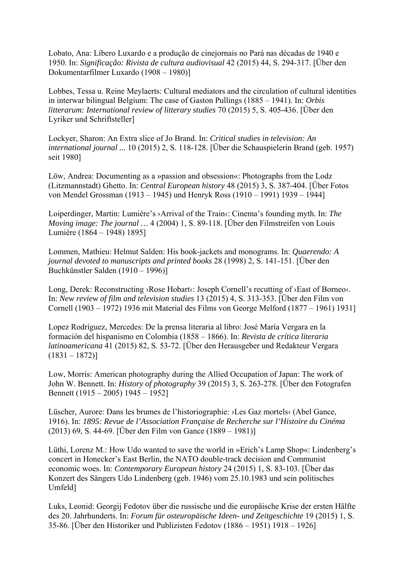Lobato, Ana: Líbero Luxardo e a produção de cinejornais no Pará nas décadas de 1940 e 1950. In: *Significação: Rivista de cultura audiovisual* 42 (2015) 44, S. 294-317. [Über den Dokumentarfilmer Luxardo (1908 – 1980)]

Lobbes, Tessa u. Reine Meylaerts: Cultural mediators and the circulation of cultural identities in interwar bilingual Belgium: The case of Gaston Pullings (1885 – 1941). In: *Orbis litterarum: International review of litterary studies* 70 (2015) 5, S. 405-436. [Über den Lyriker und Schriftsteller]

Lockyer, Sharon: An Extra slice of Jo Brand. In: *Critical studies in television: An international journal ...* 10 (2015) 2, S. 118-128. [Über die Schauspielerin Brand (geb. 1957) seit 1980]

Löw, Andrea: Documenting as a »passion and obsession«: Photographs from the Lodz (Litzmannstadt) Ghetto. In: *Central European history* 48 (2015) 3, S. 387-404. [Über Fotos von Mendel Grossman (1913 – 1945) und Henryk Ross (1910 – 1991) 1939 – 1944]

Loiperdinger, Martin: Lumière's ›Arrival of the Train‹: Cinema's founding myth. In: *The Moving image: The journal …* 4 (2004) 1, S. 89-118. [Über den Filmstreifen von Louis Lumière (1864 – 1948) 1895]

Lommen, Mathieu: Helmut Salden: His book-jackets and monograms. In: *Quaerendo: A journal devoted to manuscripts and printed books* 28 (1998) 2, S. 141-151. [Über den Buchkünstler Salden (1910 – 1996)]

Long, Derek: Reconstructing ›Rose Hobart‹: Joseph Cornell's recutting of ›East of Borneo‹. In: *New review of film and television studies* 13 (2015) 4, S. 313-353. [Über den Film von Cornell (1903 – 1972) 1936 mit Material des Films von George Melford (1877 – 1961) 1931]

Lopez Rodríguez, Mercedes: De la prensa literaria al libro: José María Vergara en la formación del hispanismo en Colombia (1858 – 1866). In: *Revista de crítica literaria latinoamericana* 41 (2015) 82, S. 53-72. [Über den Herausgeber und Redakteur Vergara  $(1831 - 1872)$ 

Low, Morris: American photography during the Allied Occupation of Japan: The work of John W. Bennett. In: *History of photography* 39 (2015) 3, S. 263-278. [Über den Fotografen Bennett (1915 – 2005) 1945 – 1952]

Lüscher, Aurore: Dans les brumes de l'historiographie: ›Les Gaz mortels‹ (Abel Gance, 1916). In: *1895: Revue de l'Association Française de Recherche sur l'Histoire du Cinéma* (2013) 69, S. 44-69. [Über den Film von Gance (1889 – 1981)]

Lüthi, Lorenz M.: How Udo wanted to save the world in »Erich's Lamp Shop«: Lindenberg's concert in Honecker's East Berlin, the NATO double-track decision and Communist economic woes. In: *Contemporary European history* 24 (2015) 1, S. 83-103. [Über das Konzert des Sängers Udo Lindenberg (geb. 1946) vom 25.10.1983 und sein politisches Umfeld]

Luks, Leonid: Georgij Fedotov über die russische und die europäische Krise der ersten Hälfte des 20. Jahrhunderts. In: *Forum für osteuropäische Ideen- und Zeitgeschichte* 19 (2015) 1, S. 35-86. [Über den Historiker und Publizisten Fedotov (1886 – 1951) 1918 – 1926]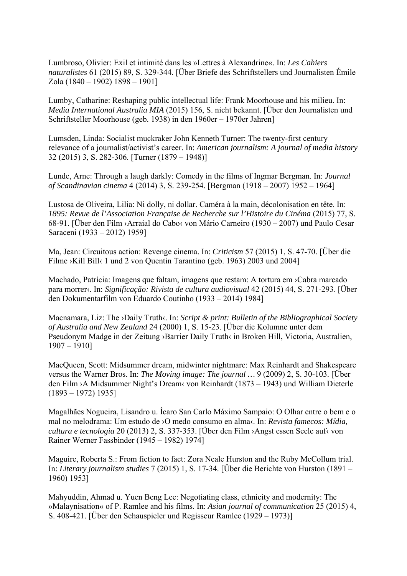Lumbroso, Olivier: Exil et intimité dans les »Lettres à Alexandrine«. In: *Les Cahiers naturalistes* 61 (2015) 89, S. 329-344. [Über Briefe des Schriftstellers und Journalisten Émile Zola (1840 – 1902) 1898 – 1901]

Lumby, Catharine: Reshaping public intellectual life: Frank Moorhouse and his milieu. In: *Media International Australia MIA* (2015) 156, S. nicht bekannt. [Über den Journalisten und Schriftsteller Moorhouse (geb. 1938) in den 1960er – 1970er Jahren]

Lumsden, Linda: Socialist muckraker John Kenneth Turner: The twenty-first century relevance of a journalist/activist's career. In: *American journalism: A journal of media history*  32 (2015) 3, S. 282-306. [Turner (1879 – 1948)]

Lunde, Arne: Through a laugh darkly: Comedy in the films of Ingmar Bergman. In: *Journal of Scandinavian cinema* 4 (2014) 3, S. 239-254. [Bergman (1918 – 2007) 1952 – 1964]

Lustosa de Oliveira, Lilia: Ni dolly, ni dollar. Caméra à la main, décolonisation en tête. In: *1895: Revue de l'Association Française de Recherche sur l'Histoire du Cinéma* (2015) 77, S. 68-91. [Über den Film ›Arraial do Cabo‹ von Mário Carneiro (1930 – 2007) und Paulo Cesar Saraceni (1933 – 2012) 1959]

Ma, Jean: Circuitous action: Revenge cinema. In: *Criticism* 57 (2015) 1, S. 47-70. [Über die Filme ›Kill Bill‹ 1 und 2 von Quentin Tarantino (geb. 1963) 2003 und 2004]

Machado, Patrícia: Imagens que faltam, imagens que restam: A tortura em ›Cabra marcado para morrer‹. In: *Significação: Rivista de cultura audiovisual* 42 (2015) 44, S. 271-293. [Über den Dokumentarfilm von Eduardo Coutinho (1933 – 2014) 1984]

Macnamara, Liz: The ›Daily Truth‹. In: *Script & print: Bulletin of the Bibliographical Society of Australia and New Zealand* 24 (2000) 1, S. 15-23. [Über die Kolumne unter dem Pseudonym Madge in der Zeitung ›Barrier Daily Truth‹ in Broken Hill, Victoria, Australien, 1907 – 1910]

MacQueen, Scott: Midsummer dream, midwinter nightmare: Max Reinhardt and Shakespeare versus the Warner Bros. In: *The Moving image: The journal …* 9 (2009) 2, S. 30-103. [Über den Film ›A Midsummer Night's Dream‹ von Reinhardt (1873 – 1943) und William Dieterle (1893 – 1972) 1935]

Magalhães Nogueira, Lisandro u. Ícaro San Carlo Máximo Sampaio: O Olhar entre o bem e o mal no melodrama: Um estudo de ›O medo consumo en alma‹. In: *Revista famecos: Mídia, cultura e tecnologia* 20 (2013) 2, S. 337-353. [Über den Film ›Angst essen Seele auf‹ von Rainer Werner Fassbinder (1945 – 1982) 1974]

Maguire, Roberta S.: From fiction to fact: Zora Neale Hurston and the Ruby McCollum trial. In: *Literary journalism studies* 7 (2015) 1, S. 17-34. [Über die Berichte von Hurston (1891 – 1960) 1953]

Mahyuddin, Ahmad u. Yuen Beng Lee: Negotiating class, ethnicity and modernity: The »Malaynisation« of P. Ramlee and his films. In: *Asian journal of communication* 25 (2015) 4, S. 408-421. [Über den Schauspieler und Regisseur Ramlee (1929 – 1973)]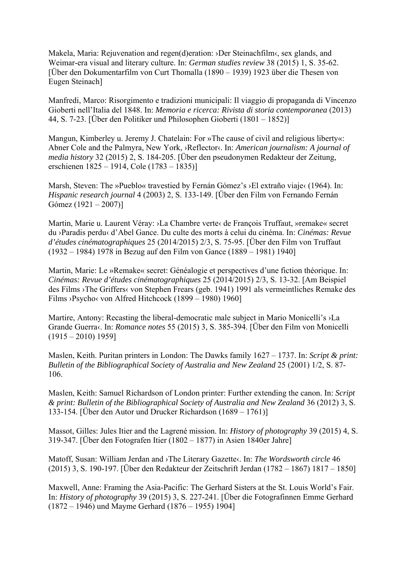Makela, Maria: Rejuvenation and regen(d)eration: >Der Steinachfilm<, sex glands, and Weimar-era visual and literary culture. In: *German studies review* 38 (2015) 1, S. 35-62. [Über den Dokumentarfilm von Curt Thomalla (1890 – 1939) 1923 über die Thesen von Eugen Steinach]

Manfredi, Marco: Risorgimento e tradizioni municipali: Il viaggio di propaganda di Vincenzo Gioberti nell'Italia del 1848. In: *Memoria e ricerca: Rivista di storia contemporanea* (2013) 44, S. 7-23. [Über den Politiker und Philosophen Gioberti (1801 – 1852)]

Mangun, Kimberley u. Jeremy J. Chatelain: For »The cause of civil and religious liberty«: Abner Cole and the Palmyra, New York, ›Reflector‹. In: *American journalism: A journal of media history* 32 (2015) 2, S. 184-205. [Über den pseudonymen Redakteur der Zeitung, erschienen 1825 – 1914, Cole (1783 – 1835)]

Marsh, Steven: The »Pueblo« travestied by Fernán Gómez's >El extraño viaje‹ (1964). In: *Hispanic research journal* 4 (2003) 2, S. 133-149. [Über den Film von Fernando Fernán Gómez (1921 – 2007)]

Martin, Marie u. Laurent Véray: ›La Chambre verte‹ de François Truffaut, »remake« secret du ›Paradis perdu‹ d'Abel Gance. Du culte des morts à celui du cinéma. In: *Cinémas: Revue d'études cinématographiques* 25 (2014/2015) 2/3, S. 75-95. [Über den Film von Truffaut (1932 – 1984) 1978 in Bezug auf den Film von Gance (1889 – 1981) 1940]

Martin, Marie: Le »Remake« secret: Généalogie et perspectives d'une fiction théorique. In: *Cinémas: Revue d'études cinématographiques* 25 (2014/2015) 2/3, S. 13-32. [Am Beispiel des Films ›The Griffers‹ von Stephen Frears (geb. 1941) 1991 als vermeintliches Remake des Films ›Psycho‹ von Alfred Hitchcock (1899 – 1980) 1960]

Martire, Antony: Recasting the liberal-democratic male subject in Mario Monicelli's ›La Grande Guerra‹. In: *Romance notes* 55 (2015) 3, S. 385-394. [Über den Film von Monicelli  $(1915 - 2010) 1959$ 

Maslen, Keith. Puritan printers in London: The Dawks family 1627 – 1737. In: *Script & print: Bulletin of the Bibliographical Society of Australia and New Zealand* 25 (2001) 1/2, S. 87- 106.

Maslen, Keith: Samuel Richardson of London printer: Further extending the canon. In: *Script & print: Bulletin of the Bibliographical Society of Australia and New Zealand* 36 (2012) 3, S. 133-154. [Über den Autor und Drucker Richardson (1689 – 1761)]

Massot, Gilles: Jules Itier and the Lagrené mission. In: *History of photography* 39 (2015) 4, S. 319-347. [Über den Fotografen Itier (1802 – 1877) in Asien 1840er Jahre]

Matoff, Susan: William Jerdan and ›The Literary Gazette‹. In: *The Wordsworth circle* 46 (2015) 3, S. 190-197. [Über den Redakteur der Zeitschrift Jerdan (1782 – 1867) 1817 – 1850]

Maxwell, Anne: Framing the Asia-Pacific: The Gerhard Sisters at the St. Louis World's Fair. In: *History of photography* 39 (2015) 3, S. 227-241. [Über die Fotografinnen Emme Gerhard (1872 – 1946) und Mayme Gerhard (1876 – 1955) 1904]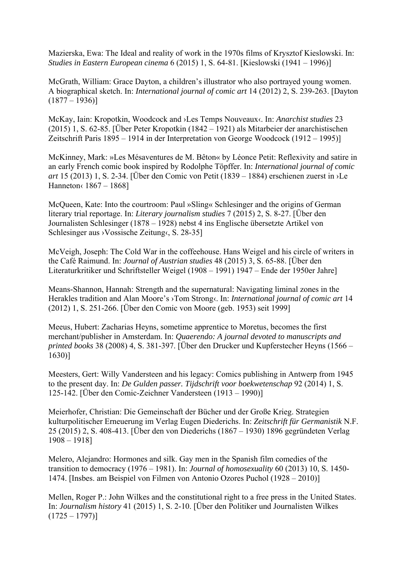Mazierska, Ewa: The Ideal and reality of work in the 1970s films of Krysztof Kieslowski. In: *Studies in Eastern European cinema* 6 (2015) 1, S. 64-81. [Kieslowski (1941 – 1996)]

McGrath, William: Grace Dayton, a children's illustrator who also portrayed young women. A biographical sketch. In: *International journal of comic art* 14 (2012) 2, S. 239-263. [Dayton  $(1877 - 1936)$ 

McKay, Iain: Kropotkin, Woodcock and ›Les Temps Nouveaux‹. In: *Anarchist studies* 23 (2015) 1, S. 62-85. [Über Peter Kropotkin (1842 – 1921) als Mitarbeier der anarchistischen Zeitschrift Paris 1895 – 1914 in der Interpretation von George Woodcock (1912 – 1995)]

McKinney, Mark: »Les Mésaventures de M. Bêton« by Léonce Petit: Reflexivity and satire in an early French comic book inspired by Rodolphe Töpffer. In: *International journal of comic art* 15 (2013) 1, S. 2-34. [Über den Comic von Petit (1839 – 1884) erschienen zuerst in ›Le Hanneton‹ 1867 – 1868]

McQueen, Kate: Into the courtroom: Paul »Sling« Schlesinger and the origins of German literary trial reportage. In: *Literary journalism studies* 7 (2015) 2, S. 8-27. [Über den Journalisten Schlesinger (1878 – 1928) nebst 4 ins Englische übersetzte Artikel von Schlesinger aus ›Vossische Zeitung‹, S. 28-35]

McVeigh, Joseph: The Cold War in the coffeehouse. Hans Weigel and his circle of writers in the Café Raimund. In: *Journal of Austrian studies* 48 (2015) 3, S. 65-88. [Über den Literaturkritiker und Schriftsteller Weigel (1908 – 1991) 1947 – Ende der 1950er Jahre]

Means-Shannon, Hannah: Strength and the supernatural: Navigating liminal zones in the Herakles tradition and Alan Moore's ›Tom Strong‹. In: *International journal of comic art* 14 (2012) 1, S. 251-266. [Über den Comic von Moore (geb. 1953) seit 1999]

Meeus, Hubert: Zacharias Heyns, sometime apprentice to Moretus, becomes the first merchant/publisher in Amsterdam. In: *Quaerendo: A journal devoted to manuscripts and printed books* 38 (2008) 4, S. 381-397. [Über den Drucker und Kupferstecher Heyns (1566 – 1630)]

Meesters, Gert: Willy Vandersteen and his legacy: Comics publishing in Antwerp from 1945 to the present day. In: *De Gulden passer. Tijdschrift voor boekwetenschap* 92 (2014) 1, S. 125-142. [Über den Comic-Zeichner Vandersteen (1913 – 1990)]

Meierhofer, Christian: Die Gemeinschaft der Bücher und der Große Krieg. Strategien kulturpolitischer Erneuerung im Verlag Eugen Diederichs. In: *Zeitschrift für Germanistik* N.F. 25 (2015) 2, S. 408-413. [Über den von Diederichs (1867 – 1930) 1896 gegründeten Verlag 1908 – 1918]

Melero, Alejandro: Hormones and silk. Gay men in the Spanish film comedies of the transition to democracy (1976 – 1981). In: *Journal of homosexuality* 60 (2013) 10, S. 1450- 1474. [Insbes. am Beispiel von Filmen von Antonio Ozores Puchol (1928 – 2010)]

Mellen, Roger P.: John Wilkes and the constitutional right to a free press in the United States. In: *Journalism history* 41 (2015) 1, S. 2-10. [Über den Politiker und Journalisten Wilkes  $(1725 - 1797)$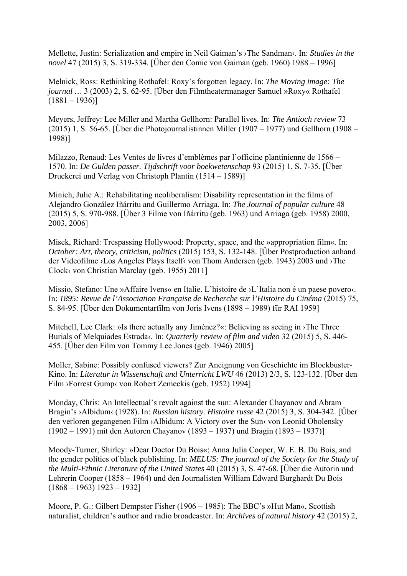Mellette, Justin: Serialization and empire in Neil Gaiman's ›The Sandman‹. In: *Studies in the novel* 47 (2015) 3, S. 319-334. [Über den Comic von Gaiman (geb. 1960) 1988 – 1996]

Melnick, Ross: Rethinking Rothafel: Roxy's forgotten legacy. In: *The Moving image: The journal …* 3 (2003) 2, S. 62-95. [Über den Filmtheatermanager Samuel »Roxy« Rothafel  $(1881 - 1936)$ 

Meyers, Jeffrey: Lee Miller and Martha Gellhorn: Parallel lives. In: *The Antioch review* 73 (2015) 1, S. 56-65. [Über die Photojournalistinnen Miller (1907 – 1977) und Gellhorn (1908 – 1998)]

Milazzo, Renaud: Les Ventes de livres d'emblèmes par l'officine plantinienne de 1566 – 1570. In: *De Gulden passer. Tijdschrift voor boekwetenschap* 93 (2015) 1, S. 7-35. [Über Druckerei und Verlag von Christoph Plantin (1514 – 1589)]

Minich, Julie A.: Rehabilitating neoliberalism: Disability representation in the films of Alejandro González Iñárritu and Guillermo Arriaga. In: *The Journal of popular culture* 48 (2015) 5, S. 970-988. [Über 3 Filme von Iñárritu (geb. 1963) und Arriaga (geb. 1958) 2000, 2003, 2006]

Misek, Richard: Trespassing Hollywood: Property, space, and the »appropriation film«. In: *October: Art, theory, criticism, politics* (2015) 153, S. 132-148. [Über Postproduction anhand der Videofilme ›Los Angeles Plays Itself‹ von Thom Andersen (geb. 1943) 2003 und ›The Clock‹ von Christian Marclay (geb. 1955) 2011]

Missio, Stefano: Une »Affaire Ivens« en Italie. L'histoire de ›L'Italia non é un paese povero‹. In: *1895: Revue de l'Association Française de Recherche sur l'Histoire du Cinéma* (2015) 75, S. 84-95. [Über den Dokumentarfilm von Joris Ivens (1898 – 1989) für RAI 1959]

Mitchell, Lee Clark: »Is there actually any Jiménez?«: Believing as seeing in ›The Three Burials of Melquiades Estrada‹. In: *Quarterly review of film and video* 32 (2015) 5, S. 446- 455. [Über den Film von Tommy Lee Jones (geb. 1946) 2005]

Moller, Sabine: Possibly confused viewers? Zur Aneignung von Geschichte im Blockbuster-Kino. In: *Literatur in Wissenschaft und Unterricht LWU* 46 (2013) 2/3, S. 123-132. [Über den Film ›Forrest Gump‹ von Robert Zemeckis (geb. 1952) 1994]

Monday, Chris: An Intellectual's revolt against the sun: Alexander Chayanov and Abram Bragin's ›Albidum‹ (1928). In: *Russian history. Histoire russe* 42 (2015) 3, S. 304-342. [Über den verloren gegangenen Film ›Albidum: A Victory over the Sun‹ von Leonid Obolensky (1902 – 1991) mit den Autoren Chayanov (1893 – 1937) und Bragin (1893 – 1937)]

Moody-Turner, Shirley: »Dear Doctor Du Bois«: Anna Julia Cooper, W. E. B. Du Bois, and the gender politics of black publishing. In: *MELUS: The journal of the Society for the Study of the Multi-Ethnic Literature of the United States* 40 (2015) 3, S. 47-68. [Über die Autorin und Lehrerin Cooper (1858 – 1964) und den Journalisten William Edward Burghardt Du Bois  $(1868 - 1963)$  1923 – 1932]

Moore, P. G.: Gilbert Dempster Fisher (1906 – 1985): The BBC's »Hut Man«, Scottish naturalist, children's author and radio broadcaster. In: *Archives of natural history* 42 (2015) 2,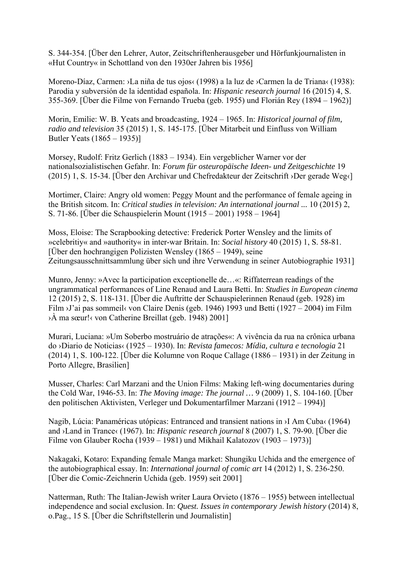S. 344-354. [Über den Lehrer, Autor, Zeitschriftenherausgeber und Hörfunkjournalisten in «Hut Country« in Schottland von den 1930er Jahren bis 1956]

Moreno-Díaz, Carmen: ›La niña de tus ojos‹ (1998) a la luz de ›Carmen la de Triana‹ (1938): Parodia y subversión de la identidad española. In: *Hispanic research journal* 16 (2015) 4, S. 355-369. [Über die Filme von Fernando Trueba (geb. 1955) und Florián Rey (1894 – 1962)]

Morin, Emilie: W. B. Yeats and broadcasting, 1924 – 1965. In: *Historical journal of film, radio and television* 35 (2015) 1, S. 145-175. [Über Mitarbeit und Einfluss von William Butler Yeats (1865 – 1935)]

Morsey, Rudolf: Fritz Gerlich (1883 – 1934). Ein vergeblicher Warner vor der nationalsozialistischen Gefahr. In: *Forum für osteuropäische Ideen- und Zeitgeschichte* 19 (2015) 1, S. 15-34. [Über den Archivar und Chefredakteur der Zeitschrift ›Der gerade Weg‹]

Mortimer, Claire: Angry old women: Peggy Mount and the performance of female ageing in the British sitcom. In: *Critical studies in television: An international journal ...* 10 (2015) 2, S. 71-86. [Über die Schauspielerin Mount (1915 – 2001) 1958 – 1964]

Moss, Eloise: The Scrapbooking detective: Frederick Porter Wensley and the limits of »celebritiy« and »authority« in inter-war Britain. In: *Social history* 40 (2015) 1, S. 58-81. [Über den hochrangigen Polizisten Wensley (1865 – 1949), seine Zeitungsausschnittsammlung über sich und ihre Verwendung in seiner Autobiographie 1931]

Munro, Jenny: »Avec la participation exceptionelle de…«: Riffaterrean readings of the ungrammatical performances of Line Renaud and Laura Betti. In: *Studies in European cinema* 12 (2015) 2, S. 118-131. [Über die Auftritte der Schauspielerinnen Renaud (geb. 1928) im Film ›J'ai pas sommeil‹ von Claire Denis (geb. 1946) 1993 und Betti (1927 – 2004) im Film ›À ma sœur!‹ von Catherine Breillat (geb. 1948) 2001]

Murari, Luciana: »Um Soberbo mostruário de atrações«: A vivência da rua na crônica urbana do ›Diario de Noticias‹ (1925 – 1930). In: *Revista famecos: Mídia, cultura e tecnologia* 21 (2014) 1, S. 100-122. [Über die Kolumne von Roque Callage (1886 – 1931) in der Zeitung in Porto Allegre, Brasilien]

Musser, Charles: Carl Marzani and the Union Films: Making left-wing documentaries during the Cold War, 1946-53. In: *The Moving image: The journal …* 9 (2009) 1, S. 104-160. [Über den politischen Aktivisten, Verleger und Dokumentarfilmer Marzani (1912 – 1994)]

Nagib, Lúcia: Panaméricas utópicas: Entranced and transient nations in ›I Am Cuba‹ (1964) and ›Land in Trance‹ (1967). In: *Hispanic research journal* 8 (2007) 1, S. 79-90. [Über die Filme von Glauber Rocha (1939 – 1981) und Mikhail Kalatozov (1903 – 1973)]

Nakagaki, Kotaro: Expanding female Manga market: Shungiku Uchida and the emergence of the autobiographical essay. In: *International journal of comic art* 14 (2012) 1, S. 236-250. [Über die Comic-Zeichnerin Uchida (geb. 1959) seit 2001]

Natterman, Ruth: The Italian-Jewish writer Laura Orvieto (1876 – 1955) between intellectual independence and social exclusion. In: *Quest. Issues in contemporary Jewish history* (2014) 8, o.Pag., 15 S. [Über die Schriftstellerin und Journalistin]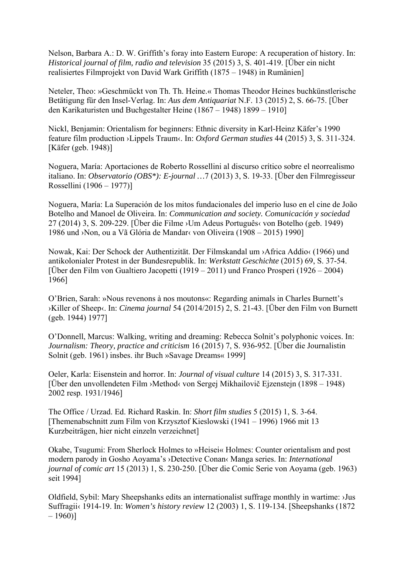Nelson, Barbara A.: D. W. Griffith's foray into Eastern Europe: A recuperation of history. In: *Historical journal of film, radio and television* 35 (2015) 3, S. 401-419. [Über ein nicht realisiertes Filmprojekt von David Wark Griffith (1875 – 1948) in Rumänien]

Neteler, Theo: »Geschmückt von Th. Th. Heine.« Thomas Theodor Heines buchkünstlerische Betätigung für den Insel-Verlag. In: *Aus dem Antiquariat* N.F. 13 (2015) 2, S. 66-75. [Über den Karikaturisten und Buchgestalter Heine (1867 – 1948) 1899 – 1910]

Nickl, Benjamin: Orientalism for beginners: Ethnic diversity in Karl-Heinz Käfer's 1990 feature film production ›Lippels Traum‹. In: *Oxford German studies* 44 (2015) 3, S. 311-324. [Käfer (geb. 1948)]

Noguera, María: Aportaciones de Roberto Rossellini al discurso crítico sobre el neorrealismo italiano. In: *Observatorio (OBS\*): E-journal …*7 (2013) 3, S. 19-33. [Über den Filmregisseur Rossellini (1906 – 1977)]

Noguera, María: La Superación de los mitos fundacionales del imperio luso en el cine de João Botelho and Manoel de Oliveira. In: *Communication and society. Comunicación y sociedad* 27 (2014) 3, S. 209-229. [Über die Filme ›Um Adeus Português‹ von Botelho (geb. 1949) 1986 und ›Non, ou a Vã Glória de Mandar‹ von Oliveira (1908 – 2015) 1990]

Nowak, Kai: Der Schock der Authentizität. Der Filmskandal um ›Africa Addio‹ (1966) und antikolonialer Protest in der Bundesrepublik. In: *Werkstatt Geschichte* (2015) 69, S. 37-54. [Über den Film von Gualtiero Jacopetti (1919 – 2011) und Franco Prosperi (1926 – 2004) 1966]

O'Brien, Sarah: »Nous revenons à nos moutons«: Regarding animals in Charles Burnett's ›Killer of Sheep‹. In: *Cinema journal* 54 (2014/2015) 2, S. 21-43. [Über den Film von Burnett (geb. 1944) 1977]

O'Donnell, Marcus: Walking, writing and dreaming: Rebecca Solnit's polyphonic voices. In: *Journalism: Theory, practice and criticism* 16 (2015) 7, S. 936-952. [Über die Journalistin Solnit (geb. 1961) insbes. ihr Buch »Savage Dreams« 1999]

Oeler, Karla: Eisenstein and horror. In: *Journal of visual culture* 14 (2015) 3, S. 317-331. [Über den unvollendeten Film ›Method‹ von Sergej Mikhailovič Ejzenstejn (1898 – 1948) 2002 resp. 1931/1946]

The Office / Urzad. Ed. Richard Raskin. In: *Short film studies* 5 (2015) 1, S. 3-64. [Themenabschnitt zum Film von Krzysztof Kieslowski (1941 – 1996) 1966 mit 13 Kurzbeiträgen, hier nicht einzeln verzeichnet]

Okabe, Tsugumi: From Sherlock Holmes to »Heisei« Holmes: Counter orientalism and post modern parody in Gosho Aoyama's ›Detective Conan‹ Manga series. In: *International journal of comic art* 15 (2013) 1, S. 230-250. [Über die Comic Serie von Aoyama (geb. 1963) seit 1994]

Oldfield, Sybil: Mary Sheepshanks edits an internationalist suffrage monthly in wartime: ›Jus Suffragii‹ 1914-19. In: *Women's history review* 12 (2003) 1, S. 119-134. [Sheepshanks (1872  $-1960$ ]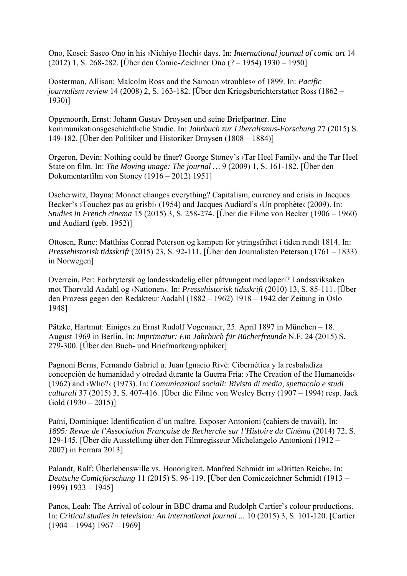Ono, Kosei: Saseo Ono in his ›Nichiyo Hochi‹ days. In: *International journal of comic art* 14 (2012) 1, S. 268-282. [Über den Comic-Zeichner Ono (? – 1954) 1930 – 1950]

Oosterman, Allison: Malcolm Ross and the Samoan »troubles« of 1899. In: *Pacific journalism review* 14 (2008) 2, S. 163-182. [Über den Kriegsberichterstatter Ross (1862 – 1930)]

Opgenoorth, Ernst: Johann Gustav Droysen und seine Briefpartner. Eine kommunikationsgeschichtliche Studie. In: *Jahrbuch zur Liberalismus-Forschung* 27 (2015) S. 149-182. [Über den Politiker und Historiker Droysen (1808 – 1884)]

Orgeron, Devin: Nothing could be finer? George Stoney's ›Tar Heel Family‹ and the Tar Heel State on film. In: *The Moving image: The journal …* 9 (2009) 1, S. 161-182. [Über den Dokumentarfilm von Stoney (1916 – 2012) 1951]

Oscherwitz, Dayna: Monnet changes everything? Capitalism, currency and crisis in Jacques Becker's >Touchez pas au grisbi< (1954) and Jacques Audiard's >Un prophète< (2009). In: *Studies in French cinema* 15 (2015) 3, S. 258-274. [Über die Filme von Becker (1906 – 1960) und Audiard (geb. 1952)]

Ottosen, Rune: Matthias Conrad Peterson og kampen for ytringsfrihet i tiden rundt 1814. In: *Pressehistorisk tidsskrift* (2015) 23, S. 92-111. [Über den Journalisten Peterson (1761 – 1833) in Norwegen]

Overrein, Per: Forbrytersk og landesskadelig eller påtvungent medløperi? Landssviksaken mot Thorvald Aadahl og ›Nationen‹. In: *Pressehistorisk tidsskrift* (2010) 13, S. 85-111. [Über den Prozess gegen den Redakteur Aadahl (1882 – 1962) 1918 – 1942 der Zeitung in Oslo 1948]

Pätzke, Hartmut: Einiges zu Ernst Rudolf Vogenauer, 25. April 1897 in München – 18. August 1969 in Berlin. In: *Imprimatur: Ein Jahrbuch für Bücherfreunde* N.F. 24 (2015) S. 279-300. [Über den Buch- und Briefmarkengraphiker]

Pagnoni Berns, Fernando Gabriel u. Juan Ignacio Rivé: Cibernética y la resbaladiza concepción de humanidad y otredad durante la Guerra Fría: ›The Creation of the Humanoids‹ (1962) and ›Who?‹ (1973). In: *Comunicazioni sociali: Rivista di media, spettacolo e studi culturali* 37 (2015) 3, S. 407-416. [Über die Filme von Wesley Berry (1907 – 1994) resp. Jack Gold  $(1930 - 2015)$ ]

Païni, Dominique: Identification d'un maître. Exposer Antonioni (cahiers de travail). In: *1895: Revue de l'Association Française de Recherche sur l'Histoire du Cinéma* (2014) 72, S. 129-145. [Über die Ausstellung über den Filmregisseur Michelangelo Antonioni (1912 – 2007) in Ferrara 2013]

Palandt, Ralf: Überlebenswille vs. Honorigkeit. Manfred Schmidt im »Dritten Reich«. In: *Deutsche Comicforschung* 11 (2015) S. 96-119. [Über den Comiczeichner Schmidt (1913 – 1999) 1933 – 1945]

Panos, Leah: The Arrival of colour in BBC drama and Rudolph Cartier's colour productions. In: *Critical studies in television: An international journal ...* 10 (2015) 3, S. 101-120. [Cartier  $(1904 - 1994) 1967 - 1969$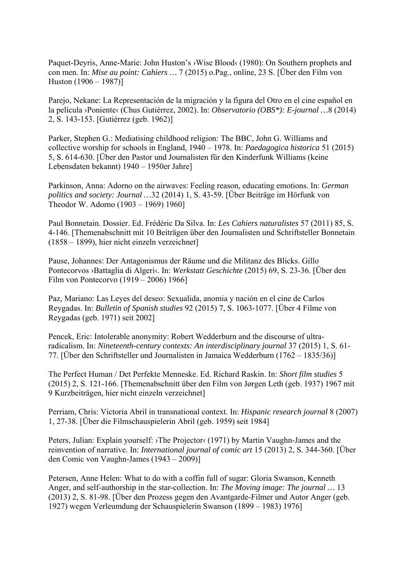Paquet-Deyris, Anne-Marie: John Huston's ›Wise Blood‹ (1980): On Southern prophets and con men. In: *Mise au point: Cahiers …* 7 (2015) o.Pag., online, 23 S. [Über den Film von Huston (1906 – 1987)]

Parejo, Nekane: La Representación de la migración y la figura del Otro en el cine español en la película ›Poniente‹ (Chus Gutiérrez, 2002). In: *Observatorio (OBS\*): E-journal …*8 (2014) 2, S. 143-153. [Gutiérrez (geb. 1962)]

Parker, Stephen G.: Mediatising childhood religion: The BBC, John G. Williams and collective worship for schools in England, 1940 – 1978. In: *Paedagogica historica* 51 (2015) 5, S. 614-630. [Über den Pastor und Journalisten für den Kinderfunk Williams (keine Lebensdaten bekannt) 1940 – 1950er Jahre]

Parkinson, Anna: Adorno on the airwaves: Feeling reason, educating emotions. In: *German politics and society: Journal …*32 (2014) 1, S. 43-59. [Über Beiträge im Hörfunk von Theodor W. Adorno (1903 – 1969) 1960]

Paul Bonnetain. Dossier. Ed. Frédéric Da Silva. In: *Les Cahiers naturalistes* 57 (2011) 85, S. 4-146. [Themenabschnitt mit 10 Beiträgen über den Journalisten und Schriftsteller Bonnetain (1858 – 1899), hier nicht einzeln verzeichnet]

Pause, Johannes: Der Antagonismus der Räume und die Militanz des Blicks. Gillo Pontecorvos ›Battaglia di Algeri‹. In: *Werkstatt Geschichte* (2015) 69, S. 23-36. [Über den Film von Pontecorvo (1919 – 2006) 1966]

Paz, Mariano: Las Leyes del deseo: Sexualida, anomia y nación en el cine de Carlos Reygadas. In: *Bulletin of Spanish studies* 92 (2015) 7, S. 1063-1077. [Über 4 Filme von Reygadas (geb. 1971) seit 2002]

Pencek, Eric: Intolerable anonymity: Robert Wedderburn and the discourse of ultraradicalism. In: *Nineteenth-century contexts: An interdisciplinary journal* 37 (2015) 1, S. 61- 77. [Über den Schriftsteller und Journalisten in Jamaica Wedderburn (1762 – 1835/36)]

The Perfect Human / Det Perfekte Menneske. Ed. Richard Raskin. In: *Short film studies* 5 (2015) 2, S. 121-166. [Themenabschnitt über den Film von Jørgen Leth (geb. 1937) 1967 mit 9 Kurzbeiträgen, hier nicht einzeln verzeichnet]

Perriam, Chris: Victoria Abril in transnational context. In: *Hispanic research journal* 8 (2007) 1, 27-38. [Über die Filmschauspielerin Abril (geb. 1959) seit 1984]

Peters, Julian: Explain yourself: >The Projector(1971) by Martin Vaughn-James and the reinvention of narrative. In: *International journal of comic art* 15 (2013) 2, S. 344-360. [Über den Comic von Vaughn-James (1943 – 2009)]

Petersen, Anne Helen: What to do with a coffin full of sugar: Gloria Swanson, Kenneth Anger, and self-authorship in the star-collection. In: *The Moving image: The journal …* 13 (2013) 2, S. 81-98. [Über den Prozess gegen den Avantgarde-Filmer und Autor Anger (geb. 1927) wegen Verleumdung der Schauspielerin Swanson (1899 – 1983) 1976]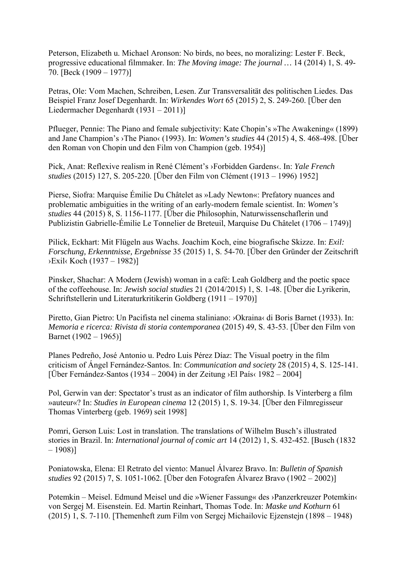Peterson, Elizabeth u. Michael Aronson: No birds, no bees, no moralizing: Lester F. Beck, progressive educational filmmaker. In: *The Moving image: The journal …* 14 (2014) 1, S. 49- 70. [Beck (1909 – 1977)]

Petras, Ole: Vom Machen, Schreiben, Lesen. Zur Transversalität des politischen Liedes. Das Beispiel Franz Josef Degenhardt. In: *Wirkendes Wort* 65 (2015) 2, S. 249-260. [Über den Liedermacher Degenhardt (1931 – 2011)]

Pflueger, Pennie: The Piano and female subjectivity: Kate Chopin's »The Awakening« (1899) and Jane Champion's ›The Piano‹ (1993). In: *Women's studies* 44 (2015) 4, S. 468-498. [Über den Roman von Chopin und den Film von Champion (geb. 1954)]

Pick, Anat: Reflexive realism in René Clément's ›Forbidden Gardens‹. In: *Yale French studies* (2015) 127, S. 205-220. [Über den Film von Clément (1913 – 1996) 1952]

Pierse, Siofra: Marquise Émilie Du Châtelet as »Lady Newton«: Prefatory nuances and problematic ambiguities in the writing of an early-modern female scientist. In: *Women's studies* 44 (2015) 8, S. 1156-1177. [Über die Philosophin, Naturwissenschaflerin und Publizistin Gabrielle-Émilie Le Tonnelier de Breteuil, Marquise Du Châtelet (1706 – 1749)]

Pilick, Eckhart: Mit Flügeln aus Wachs. Joachim Koch, eine biografische Skizze. In: *Exil: Forschung, Erkenntnisse, Ergebnisse* 35 (2015) 1, S. 54-70. [Über den Gründer der Zeitschrift ›Exil‹ Koch (1937 – 1982)]

Pinsker, Shachar: A Modern (Jewish) woman in a café: Leah Goldberg and the poetic space of the coffeehouse. In: *Jewish social studies* 21 (2014/2015) 1, S. 1-48. [Über die Lyrikerin, Schriftstellerin und Literaturkritikerin Goldberg (1911 – 1970)]

Piretto, Gian Pietro: Un Pacifista nel cinema staliniano: ›Okraina‹ di Boris Barnet (1933). In: *Memoria e ricerca: Rivista di storia contemporanea* (2015) 49, S. 43-53. [Über den Film von Barnet (1902 – 1965)]

Planes Pedreño, José Antonio u. Pedro Luis Pérez Díaz: The Visual poetry in the film criticism of Ángel Fernández-Santos. In: *Communication and society* 28 (2015) 4, S. 125-141. [Über Fernández-Santos (1934 – 2004) in der Zeitung ›El País‹ 1982 – 2004]

Pol, Gerwin van der: Spectator's trust as an indicator of film authorship. Is Vinterberg a film »auteur«? In: *Studies in European cinema* 12 (2015) 1, S. 19-34. [Über den Filmregisseur Thomas Vinterberg (geb. 1969) seit 1998]

Pomri, Gerson Luis: Lost in translation. The translations of Wilhelm Busch's illustrated stories in Brazil. In: *International journal of comic art* 14 (2012) 1, S. 432-452. [Busch (1832  $-1908$ ]

Poniatowska, Elena: El Retrato del viento: Manuel Álvarez Bravo. In: *Bulletin of Spanish studies* 92 (2015) 7, S. 1051-1062. [Über den Fotografen Álvarez Bravo (1902 – 2002)]

Potemkin – Meisel. Edmund Meisel und die »Wiener Fassung« des ›Panzerkreuzer Potemkin‹ von Sergej M. Eisenstein. Ed. Martin Reinhart, Thomas Tode. In: *Maske und Kothurn* 61 (2015) 1, S. 7-110. [Themenheft zum Film von Sergej Michailovic Ejzenstejn (1898 – 1948)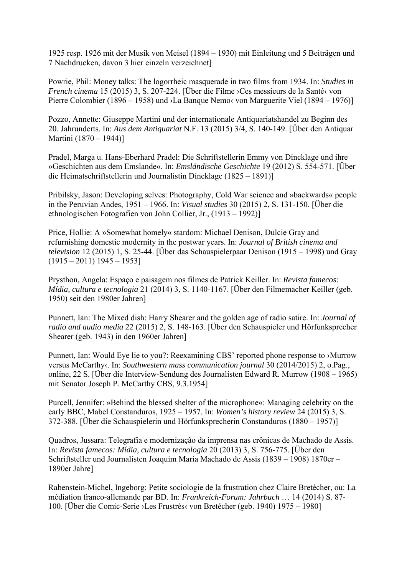1925 resp. 1926 mit der Musik von Meisel (1894 – 1930) mit Einleitung und 5 Beiträgen und 7 Nachdrucken, davon 3 hier einzeln verzeichnet]

Powrie, Phil: Money talks: The logorrheic masquerade in two films from 1934. In: *Studies in French cinema* 15 (2015) 3, S. 207-224. [Über die Filme ›Ces messieurs de la Santé‹ von Pierre Colombier (1896 – 1958) und ›La Banque Nemo‹ von Marguerite Viel (1894 – 1976)]

Pozzo, Annette: Giuseppe Martini und der internationale Antiquariatshandel zu Beginn des 20. Jahrunderts. In: *Aus dem Antiquariat* N.F. 13 (2015) 3/4, S. 140-149. [Über den Antiquar Martini (1870 – 1944)]

Pradel, Marga u. Hans-Eberhard Pradel: Die Schriftstellerin Emmy von Dincklage und ihre »Geschichten aus dem Emslande«. In: *Emsländische Geschichte* 19 (2012) S. 554-571. [Über die Heimatschriftstellerin und Journalistin Dincklage (1825 – 1891)]

Pribilsky, Jason: Developing selves: Photography, Cold War science and »backwards« people in the Peruvian Andes, 1951 – 1966. In: *Visual studies* 30 (2015) 2, S. 131-150. [Über die ethnologischen Fotografien von John Collier, Jr., (1913 – 1992)]

Price, Hollie: A »Somewhat homely« stardom: Michael Denison, Dulcie Gray and refurnishing domestic modernity in the postwar years. In: *Journal of British cinema and television* 12 (2015) 1, S. 25-44. [Über das Schauspielerpaar Denison (1915 – 1998) und Gray  $(1915 - 2011)$  1945 – 1953]

Prysthon, Angela: Espaço e paisagem nos filmes de Patrick Keiller. In: *Revista famecos: Mídia, cultura e tecnologia* 21 (2014) 3, S. 1140-1167. [Über den Filmemacher Keiller (geb. 1950) seit den 1980er Jahren]

Punnett, Ian: The Mixed dish: Harry Shearer and the golden age of radio satire. In: *Journal of radio and audio media* 22 (2015) 2, S. 148-163. [Über den Schauspieler und Hörfunksprecher Shearer (geb. 1943) in den 1960er Jahren]

Punnett, Ian: Would Eye lie to you?: Reexamining CBS' reported phone response to ›Murrow versus McCarthy‹. In: *Southwestern mass communication journal* 30 (2014/2015) 2, o.Pag., online, 22 S. [Über die Interview-Sendung des Journalisten Edward R. Murrow (1908 – 1965) mit Senator Joseph P. McCarthy CBS, 9.3.1954]

Purcell, Jennifer: »Behind the blessed shelter of the microphone«: Managing celebrity on the early BBC, Mabel Constanduros, 1925 – 1957. In: *Women's history review* 24 (2015) 3, S. 372-388. [Über die Schauspielerin und Hörfunksprecherin Constanduros (1880 – 1957)]

Quadros, Jussara: Telegrafia e modernização da imprensa nas crônicas de Machado de Assis. In: *Revista famecos: Mídia, cultura e tecnologia* 20 (2013) 3, S. 756-775. [Über den Schriftsteller und Journalisten Joaquim Maria Machado de Assis (1839 – 1908) 1870er – 1890er Jahre]

Rabenstein-Michel, Ingeborg: Petite sociologie de la frustration chez Claire Bretécher, ou: La médiation franco-allemande par BD. In: *Frankreich-Forum: Jahrbuch* … 14 (2014) S. 87- 100. [Über die Comic-Serie ›Les Frustrés‹ von Bretécher (geb. 1940) 1975 – 1980]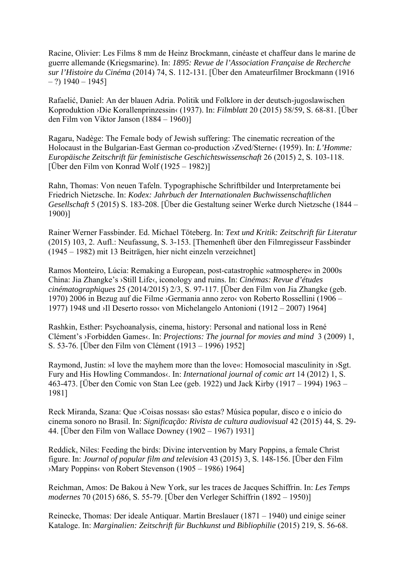Racine, Olivier: Les Films 8 mm de Heinz Brockmann, cinéaste et chaffeur dans le marine de guerre allemande (Kriegsmarine). In: *1895: Revue de l'Association Française de Recherche sur l'Histoire du Cinéma* (2014) 74, S. 112-131. [Über den Amateurfilmer Brockmann (1916  $-$  ?) 1940 – 1945]

Rafaelić, Daniel: An der blauen Adria. Politik und Folklore in der deutsch-jugoslawischen Koproduktion ›Die Korallenprinzessin‹ (1937). In: *Filmblatt* 20 (2015) 58/59, S. 68-81. [Über den Film von Viktor Janson (1884 – 1960)]

Ragaru, Nadège: The Female body of Jewish suffering: The cinematic recreation of the Holocaust in the Bulgarian-East German co-production >Zved/Sterne< (1959). In: *L'Homme: Europäische Zeitschrift für feministische Geschichtswissenschaft* 26 (2015) 2, S. 103-118. [Über den Film von Konrad Wolf (1925 – 1982)]

Rahn, Thomas: Von neuen Tafeln. Typographische Schriftbilder und Interpretamente bei Friedrich Nietzsche. In: *Kodex: Jahrbuch der Internationalen Buchwissenschaftlichen Gesellschaft* 5 (2015) S. 183-208. [Über die Gestaltung seiner Werke durch Nietzsche (1844 – 1900)]

Rainer Werner Fassbinder. Ed. Michael Töteberg. In: *Text und Kritik: Zeitschrift für Literatur* (2015) 103, 2. Aufl.: Neufassung, S. 3-153. [Themenheft über den Filmregisseur Fassbinder (1945 – 1982) mit 13 Beiträgen, hier nicht einzeln verzeichnet]

Ramos Monteiro, Lúcia: Remaking a European, post-catastrophic »atmosphere« in 2000s China: Jia Zhangke's ›Still Life‹, iconology and ruins. In: *Cinémas: Revue d'études cinématographiques* 25 (2014/2015) 2/3, S. 97-117. [Über den Film von Jia Zhangke (geb. 1970) 2006 in Bezug auf die Filme ›Germania anno zero‹ von Roberto Rossellini (1906 – 1977) 1948 und ›Il Deserto rosso‹ von Michelangelo Antonioni (1912 – 2007) 1964]

Rashkin, Esther: Psychoanalysis, cinema, history: Personal and national loss in René Clément's ›Forbidden Games‹. In: *Projections: The journal for movies and mind* 3 (2009) 1, S. 53-76. [Über den Film von Clément (1913 – 1996) 1952]

Raymond, Justin: »I love the mayhem more than the love«: Homosocial masculinity in >Sgt. Fury and His Howling Commandos‹. In: *International journal of comic art* 14 (2012) 1, S. 463-473. [Über den Comic von Stan Lee (geb. 1922) und Jack Kirby (1917 – 1994) 1963 – 1981]

Reck Miranda, Szana: Que ›Coisas nossas‹ são estas? Música popular, disco e o início do cinema sonoro no Brasil. In: *Significação: Rivista de cultura audiovisual* 42 (2015) 44, S. 29- 44. [Über den Film von Wallace Downey (1902 – 1967) 1931]

Reddick, Niles: Feeding the birds: Divine intervention by Mary Poppins, a female Christ figure. In: *Journal of popular film and television* 43 (2015) 3, S. 148-156. [Über den Film ›Mary Poppins‹ von Robert Stevenson (1905 – 1986) 1964]

Reichman, Amos: De Bakou à New York, sur les traces de Jacques Schiffrin. In: *Les Temps modernes* 70 (2015) 686, S. 55-79. [Über den Verleger Schiffrin (1892 – 1950)]

Reinecke, Thomas: Der ideale Antiquar. Martin Breslauer (1871 – 1940) und einige seiner Kataloge. In: *Marginalien: Zeitschrift für Buchkunst und Bibliophilie* (2015) 219, S. 56-68.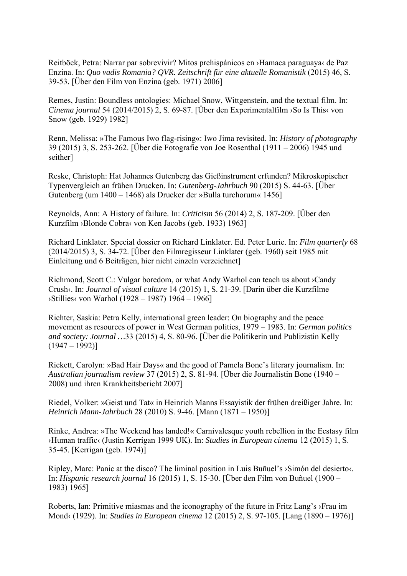Reitböck, Petra: Narrar par sobrevivir? Mitos prehispánicos en ›Hamaca paraguaya‹ de Paz Enzina. In: *Quo vadis Romania? QVR. Zeitschrift für eine aktuelle Romanistik* (2015) 46, S. 39-53. [Über den Film von Enzina (geb. 1971) 2006]

Remes, Justin: Boundless ontologies: Michael Snow, Wittgenstein, and the textual film. In: *Cinema journal* 54 (2014/2015) 2, S. 69-87. [Über den Experimentalfilm ›So Is This‹ von Snow (geb. 1929) 1982]

Renn, Melissa: »The Famous Iwo flag-rising«: Iwo Jima revisited. In: *History of photography* 39 (2015) 3, S. 253-262. [Über die Fotografie von Joe Rosenthal (1911 – 2006) 1945 und seither]

Reske, Christoph: Hat Johannes Gutenberg das Gießinstrument erfunden? Mikroskopischer Typenvergleich an frühen Drucken. In: *Gutenberg-Jahrbuch* 90 (2015) S. 44-63. [Über Gutenberg (um 1400 – 1468) als Drucker der »Bulla turchorum« 1456]

Reynolds, Ann: A History of failure. In: *Criticism* 56 (2014) 2, S. 187-209. [Über den Kurzfilm ›Blonde Cobra‹ von Ken Jacobs (geb. 1933) 1963]

Richard Linklater. Special dossier on Richard Linklater. Ed. Peter Lurie. In: *Film quarterly* 68 (2014/2015) 3, S. 34-72. [Über den Filmregisseur Linklater (geb. 1960) seit 1985 mit Einleitung und 6 Beiträgen, hier nicht einzeln verzeichnet]

Richmond, Scott C.: Vulgar boredom, or what Andy Warhol can teach us about ›Candy Crush‹. In: *Journal of visual culture* 14 (2015) 1, S. 21-39. [Darin über die Kurzfilme ›Stillies‹ von Warhol (1928 – 1987) 1964 – 1966]

Richter, Saskia: Petra Kelly, international green leader: On biography and the peace movement as resources of power in West German politics, 1979 – 1983. In: *German politics and society: Journal …*33 (2015) 4, S. 80-96. [Über die Politikerin und Publizistin Kelly  $(1947 - 1992)$ 

Rickett, Carolyn: »Bad Hair Days« and the good of Pamela Bone's literary journalism. In: *Australian journalism review* 37 (2015) 2, S. 81-94. [Über die Journalistin Bone (1940 – 2008) und ihren Krankheitsbericht 2007]

Riedel, Volker: »Geist und Tat« in Heinrich Manns Essayistik der frühen dreißiger Jahre. In: *Heinrich Mann-Jahrbuch* 28 (2010) S. 9-46. [Mann (1871 – 1950)]

Rinke, Andrea: »The Weekend has landed!« Carnivalesque youth rebellion in the Ecstasy film ›Human traffic‹ (Justin Kerrigan 1999 UK). In: *Studies in European cinema* 12 (2015) 1, S. 35-45. [Kerrigan (geb. 1974)]

Ripley, Marc: Panic at the disco? The liminal position in Luis Buñuel's ›Simón del desierto‹. In: *Hispanic research journal* 16 (2015) 1, S. 15-30. [Über den Film von Buñuel (1900 – 1983) 1965]

Roberts, Ian: Primitive miasmas and the iconography of the future in Fritz Lang's ›Frau im Mond‹ (1929). In: *Studies in European cinema* 12 (2015) 2, S. 97-105. [Lang (1890 – 1976)]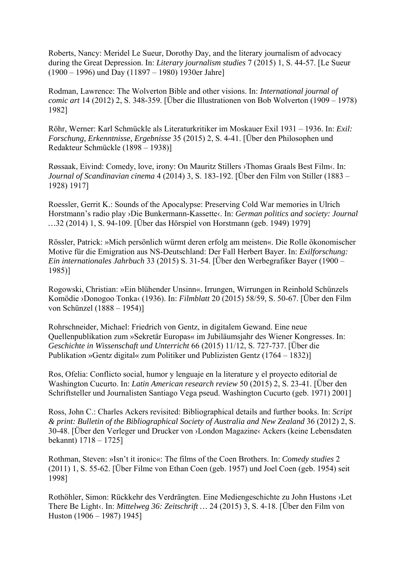Roberts, Nancy: Meridel Le Sueur, Dorothy Day, and the literary journalism of advocacy during the Great Depression. In: *Literary journalism studies* 7 (2015) 1, S. 44-57. [Le Sueur (1900 – 1996) und Day (11897 – 1980) 1930er Jahre]

Rodman, Lawrence: The Wolverton Bible and other visions. In: *International journal of comic art* 14 (2012) 2, S. 348-359. [Über die Illustrationen von Bob Wolverton (1909 – 1978) 1982]

Röhr, Werner: Karl Schmückle als Literaturkritiker im Moskauer Exil 1931 – 1936. In: *Exil: Forschung, Erkenntnisse, Ergebnisse* 35 (2015) 2, S. 4-41. [Über den Philosophen und Redakteur Schmückle (1898 – 1938)]

Røssaak, Eivind: Comedy, love, irony: On Mauritz Stillers ›Thomas Graals Best Film‹. In: *Journal of Scandinavian cinema* 4 (2014) 3, S. 183-192. [Über den Film von Stiller (1883 – 1928) 1917]

Roessler, Gerrit K.: Sounds of the Apocalypse: Preserving Cold War memories in Ulrich Horstmann's radio play ›Die Bunkermann-Kassette‹. In: *German politics and society: Journal …*32 (2014) 1, S. 94-109. [Über das Hörspiel von Horstmann (geb. 1949) 1979]

Rössler, Patrick: »Mich persönlich würmt deren erfolg am meisten«. Die Rolle ökonomischer Motive für die Emigration aus NS-Deutschland: Der Fall Herbert Bayer. In: *Exilforschung: Ein internationales Jahrbuch* 33 (2015) S. 31-54. [Über den Werbegrafiker Bayer (1900 – 1985)]

Rogowski, Christian: »Ein blühender Unsinn«. Irrungen, Wirrungen in Reinhold Schünzels Komödie ›Donogoo Tonka‹ (1936). In: *Filmblatt* 20 (2015) 58/59, S. 50-67. [Über den Film von Schünzel (1888 – 1954)]

Rohrschneider, Michael: Friedrich von Gentz, in digitalem Gewand. Eine neue Quellenpublikation zum »Sekretär Europas« im Jubiläumsjahr des Wiener Kongresses. In: *Geschichte in Wissenschaft und Unterricht* 66 (2015) 11/12, S. 727-737. [Über die Publikation »Gentz digital« zum Politiker und Publizisten Gentz (1764 – 1832)]

Ros, Ofelia: Conflicto social, humor y lenguaje en la literature y el proyecto editorial de Washington Cucurto. In: *Latin American research review* 50 (2015) 2, S. 23-41. [Über den Schriftsteller und Journalisten Santiago Vega pseud. Washington Cucurto (geb. 1971) 2001]

Ross, John C.: Charles Ackers revisited: Bibliographical details and further books. In: *Script & print: Bulletin of the Bibliographical Society of Australia and New Zealand* 36 (2012) 2, S. 30-48. [Über den Verleger und Drucker von ›London Magazine‹ Ackers (keine Lebensdaten bekannt) 1718 – 1725]

Rothman, Steven: »Isn't it ironic«: The films of the Coen Brothers. In: *Comedy studies* 2 (2011) 1, S. 55-62. [Über Filme von Ethan Coen (geb. 1957) und Joel Coen (geb. 1954) seit 1998]

Rothöhler, Simon: Rückkehr des Verdrängten. Eine Mediengeschichte zu John Hustons ›Let There Be Light‹. In: *Mittelweg 36: Zeitschrift …* 24 (2015) 3, S. 4-18. [Über den Film von Huston (1906 – 1987) 1945]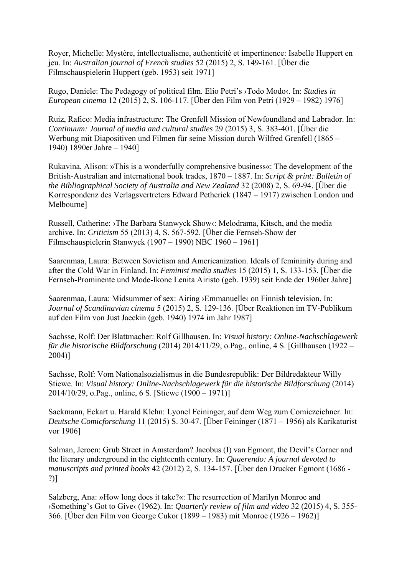Royer, Michelle: Mystère, intellectualisme, authenticité et impertinence: Isabelle Huppert en jeu. In: *Australian journal of French studies* 52 (2015) 2, S. 149-161. [Über die Filmschauspielerin Huppert (geb. 1953) seit 1971]

Rugo, Daniele: The Pedagogy of political film. Elio Petri's ›Todo Modo‹. In: *Studies in European cinema* 12 (2015) 2, S. 106-117. [Über den Film von Petri (1929 – 1982) 1976]

Ruiz, Rafico: Media infrastructure: The Grenfell Mission of Newfoundland and Labrador. In: *Continuum: Journal of media and cultural studies* 29 (2015) 3, S. 383-401. [Über die Werbung mit Diapositiven und Filmen für seine Mission durch Wilfred Grenfell (1865 – 1940) 1890er Jahre – 1940]

Rukavina, Alison: »This is a wonderfully comprehensive business«: The development of the British-Australian and international book trades, 1870 – 1887. In: *Script & print: Bulletin of the Bibliographical Society of Australia and New Zealand* 32 (2008) 2, S. 69-94. [Über die Korrespondenz des Verlagsvertreters Edward Petherick (1847 – 1917) zwischen London und Melbourne]

Russell, Catherine: ›The Barbara Stanwyck Show‹: Melodrama, Kitsch, and the media archive. In: *Criticism* 55 (2013) 4, S. 567-592. [Über die Fernseh-Show der Filmschauspielerin Stanwyck (1907 – 1990) NBC 1960 – 1961]

Saarenmaa, Laura: Between Sovietism and Americanization. Ideals of femininity during and after the Cold War in Finland. In: *Feminist media studies* 15 (2015) 1, S. 133-153. [Über die Fernseh-Prominente und Mode-Ikone Lenita Airisto (geb. 1939) seit Ende der 1960er Jahre]

Saarenmaa, Laura: Midsummer of sex: Airing ›Emmanuelle‹ on Finnish television. In: *Journal of Scandinavian cinema* 5 (2015) 2, S. 129-136. [Über Reaktionen im TV-Publikum auf den Film von Just Jaeckin (geb. 1940) 1974 im Jahr 1987]

Sachsse, Rolf: Der Blattmacher: Rolf Gillhausen. In: *Visual history: Online-Nachschlagewerk für die historische Bildforschung* (2014) 2014/11/29, o.Pag., online, 4 S. [Gillhausen (1922 – 2004)]

Sachsse, Rolf: Vom Nationalsozialismus in die Bundesrepublik: Der Bildredakteur Willy Stiewe. In: *Visual history: Online-Nachschlagewerk für die historische Bildforschung* (2014) 2014/10/29, o.Pag., online, 6 S. [Stiewe (1900 – 1971)]

Sackmann, Eckart u. Harald Klehn: Lyonel Feininger, auf dem Weg zum Comiczeichner. In: *Deutsche Comicforschung* 11 (2015) S. 30-47. [Über Feininger (1871 – 1956) als Karikaturist vor 1906]

Salman, Jeroen: Grub Street in Amsterdam? Jacobus (I) van Egmont, the Devil's Corner and the literary underground in the eighteenth century. In: *Quaerendo: A journal devoted to manuscripts and printed books* 42 (2012) 2, S. 134-157. [Über den Drucker Egmont (1686 - ?)]

Salzberg, Ana: »How long does it take?«: The resurrection of Marilyn Monroe and ›Something's Got to Give‹ (1962). In: *Quarterly review of film and video* 32 (2015) 4, S. 355- 366. [Über den Film von George Cukor (1899 – 1983) mit Monroe (1926 – 1962)]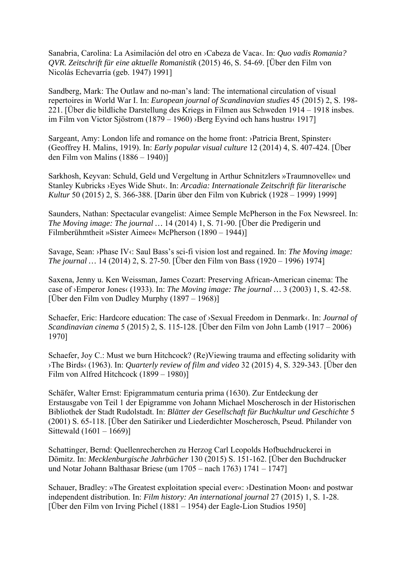Sanabria, Carolina: La Asimilación del otro en ›Cabeza de Vaca‹. In: *Quo vadis Romania? QVR. Zeitschrift für eine aktuelle Romanistik* (2015) 46, S. 54-69. [Über den Film von Nicolás Echevarría (geb. 1947) 1991]

Sandberg, Mark: The Outlaw and no-man's land: The international circulation of visual repertoires in World War I. In: *European journal of Scandinavian studies* 45 (2015) 2, S. 198- 221. [Über die bildliche Darstellung des Kriegs in Filmen aus Schweden 1914 – 1918 insbes. im Film von Victor Sjöstrom (1879 – 1960) ›Berg Eyvind och hans hustru‹ 1917]

Sargeant, Amy: London life and romance on the home front: ›Patricia Brent, Spinster‹ (Geoffrey H. Malins, 1919). In: *Early popular visual culture* 12 (2014) 4, S. 407-424. [Über den Film von Malins (1886 – 1940)]

Sarkhosh, Keyvan: Schuld, Geld und Vergeltung in Arthur Schnitzlers »Traumnovelle« und Stanley Kubricks ›Eyes Wide Shut‹. In: *Arcadia: Internationale Zeitschrift für literarische Kultur* 50 (2015) 2, S. 366-388. [Darin über den Film von Kubrick (1928 – 1999) 1999]

Saunders, Nathan: Spectacular evangelist: Aimee Semple McPherson in the Fox Newsreel. In: *The Moving image: The journal …* 14 (2014) 1, S. 71-90. [Über die Predigerin und Filmberühmtheit »Sister Aimee« McPherson (1890 – 1944)]

Savage, Sean: ›Phase IV‹: Saul Bass's sci-fi vision lost and regained. In: *The Moving image: The journal …* 14 (2014) 2, S. 27-50. [Über den Film von Bass (1920 – 1996) 1974]

Saxena, Jenny u. Ken Weissman, James Cozart: Preserving African-American cinema: The case of ›Emperor Jones‹ (1933). In: *The Moving image: The journal …* 3 (2003) 1, S. 42-58. [Über den Film von Dudley Murphy (1897 – 1968)]

Schaefer, Eric: Hardcore education: The case of ›Sexual Freedom in Denmark‹. In: *Journal of Scandinavian cinema* 5 (2015) 2, S. 115-128. [Über den Film von John Lamb (1917 – 2006) 1970]

Schaefer, Joy C.: Must we burn Hitchcock? (Re)Viewing trauma and effecting solidarity with ›The Birds‹ (1963). In: *Quarterly review of film and video* 32 (2015) 4, S. 329-343. [Über den Film von Alfred Hitchcock (1899 – 1980)]

Schäfer, Walter Ernst: Epigrammatum centuria prima (1630). Zur Entdeckung der Erstausgabe von Teil 1 der Epigramme von Johann Michael Moscherosch in der Historischen Bibliothek der Stadt Rudolstadt. In: *Blätter der Gesellschaft für Buchkultur und Geschichte* 5 (2001) S. 65-118. [Über den Satiriker und Liederdichter Moscherosch, Pseud. Philander von Sittewald (1601 – 1669)]

Schattinger, Bernd: Quellenrecherchen zu Herzog Carl Leopolds Hofbuchdruckerei in Dömitz. In: *Mecklenburgische Jahrbücher* 130 (2015) S. 151-162. [Über den Buchdrucker und Notar Johann Balthasar Briese (um 1705 – nach 1763) 1741 – 1747]

Schauer, Bradley: »The Greatest exploitation special ever«: ›Destination Moon‹ and postwar independent distribution. In: *Film history: An international journal* 27 (2015) 1, S. 1-28. [Über den Film von Irving Pichel (1881 – 1954) der Eagle-Lion Studios 1950]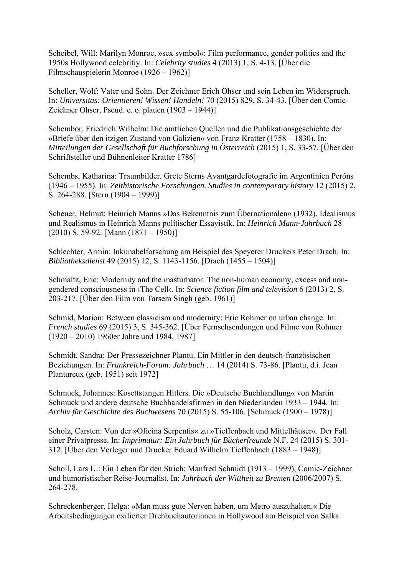Scheibel, Will: Marilyn Monroe, »sex symbol«: Film performance, gender politics and the 1950s Hollywood celebritiy. In: *Celebrity studies* 4 (2013) 1, S. 4-13. [Über die Filmschauspielerin Monroe (1926 – 1962)]

Scheller, Wolf: Vater und Sohn. Der Zeichner Erich Ohser und sein Leben im Widerspruch. In: *Universitas: Orientieren! Wissen! Handeln!* 70 (2015) 829, S. 34-43. [Über den Comic-Zeichner Ohser, Pseud. e. o. plauen (1903 – 1944)]

Schembor, Friedrich Wilhelm: Die amtlichen Quellen und die Publikationsgeschichte der »Briefe über den itzigen Zustand von Galizien« von Franz Kratter (1758 – 1830). In: *Mitteilungen der Gesellschaft für Buchforschung in Österreich* (2015) 1, S. 33-57. [Über den Schriftsteller und Bühnenleiter Kratter 1786]

Schembs, Katharina: Traumbilder. Grete Sterns Avantgardefotografie im Argentinien Peróns (1946 – 1955). In: *Zeithistorische Forschungen. Studies in contemporary history* 12 (2015) 2, S. 264-288. [Stern (1904 – 1999)]

Scheuer, Helmut: Heinrich Manns »Das Bekenntnis zum Übernationalen« (1932). Idealismus und Realismus in Heinrich Manns politischer Essayistik. In: *Heinrich Mann-Jahrbuch* 28  $(2010)$  S. 59-92. [Mann  $(1871 - 1950)$ ]

Schlechter, Armin: Inkunabelforschung am Beispiel des Speyerer Druckers Peter Drach. In: *Bibliotheksdienst* 49 (2015) 12, S. 1143-1156. [Drach (1455 – 1504)]

Schmaltz, Eric: Modernity and the masturbator. The non-human economy, excess and nongendered consciousness in ›The Cell‹. In: *Science fiction film and television* 6 (2013) 2, S. 203-217. [Über den Film von Tarsem Singh (geb. 1961)]

Schmid, Marion: Between classicism and modernity: Eric Rohmer on urban change. In: *French studies* 69 (2015) 3, S. 345-362. [Über Fernsehsendungen und Filme von Rohmer (1920 – 2010) 1960er Jahre und 1984, 1987]

Schmidt, Sandra: Der Pressezeichner Plantu. Ein Mittler in den deutsch-französischen Beziehungen. In: *Frankreich-Forum: Jahrbuch* … 14 (2014) S. 73-86. [Plantu, d.i. Jean Plantureux (geb. 1951) seit 1972]

Schmuck, Johannes: Kosettstangen Hitlers. Die »Deutsche Buchhandlung« von Martin Schmuck und andere deutsche Buchhandelsfirmen in den Niederlanden 1933 – 1944. In: *Archiv für Geschichte des Buchwesens* 70 (2015) S. 55-106. [Schmuck (1900 – 1978)]

Scholz, Carsten: Von der »Oficina Serpentis« zu »Tieffenbach und Mittelhäuser«. Der Fall einer Privatpresse. In: *Imprimatur: Ein Jahrbuch für Bücherfreunde* N.F. 24 (2015) S. 301- 312. [Über den Verleger und Drucker Eduard Wilhelm Tieffenbach (1883 – 1948)]

Scholl, Lars U.: Ein Leben für den Strich: Manfred Schmidt (1913 – 1999), Comic-Zeichner und humoristischer Reise-Journalist. In: *Jahrbuch der Wittheit zu Bremen* (2006/2007) S. 264-278.

Schreckenberger, Helga: »Man muss gute Nerven haben, um Metro auszuhalten.« Die Arbeitsbedingungen exilierter Drehbuchautorinnen in Hollywood am Beispiel von Salka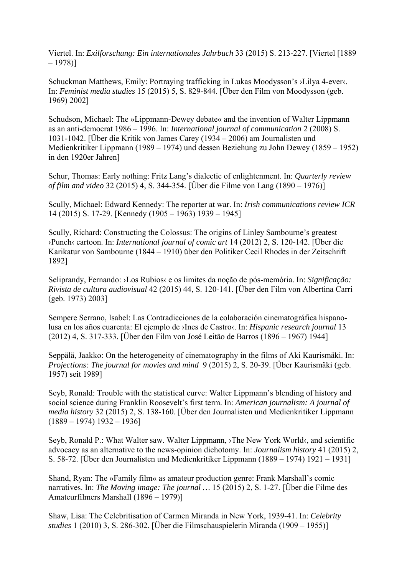Viertel. In: *Exilforschung: Ein internationales Jahrbuch* 33 (2015) S. 213-227. [Viertel [1889 – 1978)]

Schuckman Matthews, Emily: Portraying trafficking in Lukas Moodysson's ›Lilya 4-ever‹. In: *Feminist media studies* 15 (2015) 5, S. 829-844. [Über den Film von Moodysson (geb. 1969) 2002]

Schudson, Michael: The »Lippmann-Dewey debate« and the invention of Walter Lippmann as an anti-democrat 1986 – 1996. In: *International journal of communication* 2 (2008) S. 1031-1042. [Über die Kritik von James Carey (1934 – 2006) am Journalisten und Medienkritiker Lippmann (1989 – 1974) und dessen Beziehung zu John Dewey (1859 – 1952) in den 1920er Jahren]

Schur, Thomas: Early nothing: Fritz Lang's dialectic of enlightenment. In: *Quarterly review of film and video* 32 (2015) 4, S. 344-354. [Über die Filme von Lang (1890 – 1976)]

Scully, Michael: Edward Kennedy: The reporter at war. In: *Irish communications review ICR* 14 (2015) S. 17-29. [Kennedy (1905 – 1963) 1939 – 1945]

Scully, Richard: Constructing the Colossus: The origins of Linley Sambourne's greatest ›Punch‹ cartoon. In: *International journal of comic art* 14 (2012) 2, S. 120-142. [Über die Karikatur von Sambourne (1844 – 1910) über den Politiker Cecil Rhodes in der Zeitschrift 1892]

Seliprandy, Fernando: ›Los Rubios‹ e os limites da noção de pós-memória. In: *Significação: Rivista de cultura audiovisual* 42 (2015) 44, S. 120-141. [Über den Film von Albertina Carri (geb. 1973) 2003]

Sempere Serrano, Isabel: Las Contradicciones de la colaboración cinematográfica hispanolusa en los años cuarenta: El ejemplo de ›Ines de Castro‹. In: *Hispanic research journal* 13 (2012) 4, S. 317-333. [Über den Film von José Leitão de Barros (1896 – 1967) 1944]

Seppälä, Jaakko: On the heterogeneity of cinematography in the films of Aki Kaurismäki. In: *Projections: The journal for movies and mind* 9 (2015) 2, S. 20-39. [Über Kaurismäki (geb. 1957) seit 1989]

Seyb, Ronald: Trouble with the statistical curve: Walter Lippmann's blending of history and social science during Franklin Roosevelt's first term. In: *American journalism: A journal of media history* 32 (2015) 2, S. 138-160. [Über den Journalisten und Medienkritiker Lippmann  $(1889 - 1974)$  1932 – 1936]

Seyb, Ronald P.: What Walter saw. Walter Lippmann, ›The New York World‹, and scientific advocacy as an alternative to the news-opinion dichotomy. In: *Journalism history* 41 (2015) 2, S. 58-72. [Über den Journalisten und Medienkritiker Lippmann (1889 – 1974) 1921 – 1931]

Shand, Ryan: The »Family film« as amateur production genre: Frank Marshall's comic narratives. In: *The Moving image: The journal …* 15 (2015) 2, S. 1-27. [Über die Filme des Amateurfilmers Marshall (1896 – 1979)]

Shaw, Lisa: The Celebritisation of Carmen Miranda in New York, 1939-41. In: *Celebrity studies* 1 (2010) 3, S. 286-302. [Über die Filmschauspielerin Miranda (1909 – 1955)]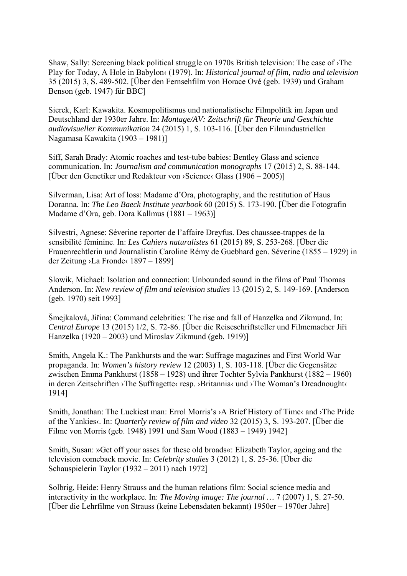Shaw, Sally: Screening black political struggle on 1970s British television: The case of ›The Play for Today, A Hole in Babylon‹ (1979). In: *Historical journal of film, radio and television* 35 (2015) 3, S. 489-502. [Über den Fernsehfilm von Horace Ové (geb. 1939) und Graham Benson (geb. 1947) für BBC]

Sierek, Karl: Kawakita. Kosmopolitismus und nationalistische Filmpolitik im Japan und Deutschland der 1930er Jahre. In: *Montage/AV: Zeitschrift für Theorie und Geschichte audiovisueller Kommunikation* 24 (2015) 1, S. 103-116. [Über den Filmindustriellen Nagamasa Kawakita (1903 – 1981)]

Siff, Sarah Brady: Atomic roaches and test-tube babies: Bentley Glass and science communication. In: *Journalism and communication monographs* 17 (2015) 2, S. 88-144. [Über den Genetiker und Redakteur von ›Science‹ Glass (1906 – 2005)]

Silverman, Lisa: Art of loss: Madame d'Ora, photography, and the restitution of Haus Doranna. In: *The Leo Baeck Institute yearbook* 60 (2015) S. 173-190. [Über die Fotografin Madame d'Ora, geb. Dora Kallmus (1881 – 1963)]

Silvestri, Agnese: Séverine reporter de l'affaire Dreyfus. Des chaussee-trappes de la sensibilité féminine. In: *Les Cahiers naturalistes* 61 (2015) 89, S. 253-268. [Über die Frauenrechtlerin und Journalistin Caroline Rémy de Guebhard gen. Séverine (1855 – 1929) in der Zeitung ›La Fronde‹ 1897 – 1899]

Slowik, Michael: Isolation and connection: Unbounded sound in the films of Paul Thomas Anderson. In: *New review of film and television studies* 13 (2015) 2, S. 149-169. [Anderson (geb. 1970) seit 1993]

Šmejkalová, Jiřina: Command celebrities: The rise and fall of Hanzelka and Zikmund. In: *Central Europe* 13 (2015) 1/2, S. 72-86. [Über die Reiseschriftsteller und Filmemacher Jiři Hanzelka (1920 – 2003) und Miroslav Zikmund (geb. 1919)]

Smith, Angela K.: The Pankhursts and the war: Suffrage magazines and First World War propaganda. In: *Women's history review* 12 (2003) 1, S. 103-118. [Über die Gegensätze zwischen Emma Pankhurst (1858 – 1928) und ihrer Tochter Sylvia Pankhurst (1882 – 1960) in deren Zeitschriften ›The Suffragette‹ resp. ›Britannia‹ und ›The Woman's Dreadnought‹ 1914]

Smith, Jonathan: The Luckiest man: Errol Morris's > A Brief History of Time and > The Pride of the Yankies‹. In: *Quarterly review of film and video* 32 (2015) 3, S. 193-207. [Über die Filme von Morris (geb. 1948) 1991 und Sam Wood (1883 – 1949) 1942]

Smith, Susan: »Get off your asses for these old broads«: Elizabeth Taylor, ageing and the television comeback movie. In: *Celebrity studies* 3 (2012) 1, S. 25-36. [Über die Schauspielerin Taylor (1932 – 2011) nach 1972]

Solbrig, Heide: Henry Strauss and the human relations film: Social science media and interactivity in the workplace. In: *The Moving image: The journal …* 7 (2007) 1, S. 27-50. [Über die Lehrfilme von Strauss (keine Lebensdaten bekannt) 1950er – 1970er Jahre]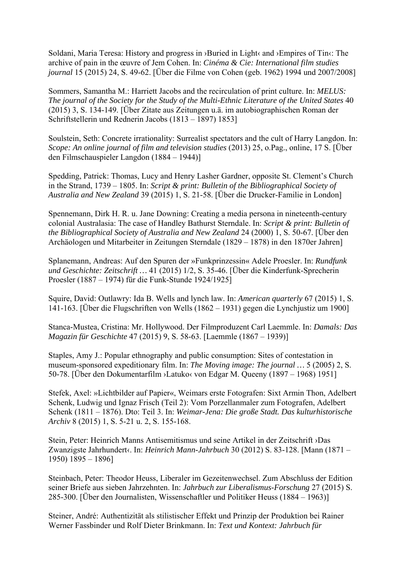Soldani, Maria Teresa: History and progress in ›Buried in Light‹ and ›Empires of Tin‹: The archive of pain in the œuvre of Jem Cohen. In: *Cinéma & Cie: International film studies journal* 15 (2015) 24, S. 49-62. [Über die Filme von Cohen (geb. 1962) 1994 und 2007/2008]

Sommers, Samantha M.: Harriett Jacobs and the recirculation of print culture. In: *MELUS: The journal of the Society for the Study of the Multi-Ethnic Literature of the United States* 40 (2015) 3, S. 134-149. [Über Zitate aus Zeitungen u.ä. im autobiographischen Roman der Schriftstellerin und Rednerin Jacobs (1813 – 1897) 1853]

Soulstein, Seth: Concrete irrationality: Surrealist spectators and the cult of Harry Langdon. In: *Scope: An online journal of film and television studies* (2013) 25, o.Pag., online, 17 S. [Über den Filmschauspieler Langdon (1884 – 1944)]

Spedding, Patrick: Thomas, Lucy and Henry Lasher Gardner, opposite St. Clement's Church in the Strand, 1739 – 1805. In: *Script & print: Bulletin of the Bibliographical Society of Australia and New Zealand* 39 (2015) 1, S. 21-58. [Über die Drucker-Familie in London]

Spennemann, Dirk H. R. u. Jane Downing: Creating a media persona in nineteenth-century colonial Australasia: The case of Handley Bathurst Sterndale. In: *Script & print: Bulletin of the Bibliographical Society of Australia and New Zealand* 24 (2000) 1, S. 50-67. [Über den Archäologen und Mitarbeiter in Zeitungen Sterndale (1829 – 1878) in den 1870er Jahren]

Splanemann, Andreas: Auf den Spuren der »Funkprinzessin« Adele Proesler. In: *Rundfunk und Geschichte: Zeitschrift …* 41 (2015) 1/2, S. 35-46. [Über die Kinderfunk-Sprecherin Proesler (1887 – 1974) für die Funk-Stunde 1924/1925]

Squire, David: Outlawry: Ida B. Wells and lynch law. In: *American quarterly* 67 (2015) 1, S. 141-163. [Über die Flugschriften von Wells (1862 – 1931) gegen die Lynchjustiz um 1900]

Stanca-Mustea, Cristina: Mr. Hollywood. Der Filmproduzent Carl Laemmle. In: *Damals: Das Magazin für Geschichte* 47 (2015) 9, S. 58-63. [Laemmle (1867 – 1939)]

Staples, Amy J.: Popular ethnography and public consumption: Sites of contestation in museum-sponsored expeditionary film. In: *The Moving image: The journal …* 5 (2005) 2, S. 50-78. [Über den Dokumentarfilm ›Latuko‹ von Edgar M. Queeny (1897 – 1968) 1951]

Stefek, Axel: »Lichtbilder auf Papier«, Weimars erste Fotografen: Sixt Armin Thon, Adelbert Schenk, Ludwig und Ignaz Frisch (Teil 2): Vom Porzellanmaler zum Fotografen, Adelbert Schenk (1811 – 1876). Dto: Teil 3. In: *Weimar-Jena: Die große Stadt. Das kulturhistorische Archiv* 8 (2015) 1, S. 5-21 u. 2, S. 155-168.

Stein, Peter: Heinrich Manns Antisemitismus und seine Artikel in der Zeitschrift ›Das Zwanzigste Jahrhundert‹. In: *Heinrich Mann-Jahrbuch* 30 (2012) S. 83-128. [Mann (1871 – 1950) 1895 – 1896]

Steinbach, Peter: Theodor Heuss, Liberaler im Gezeitenwechsel. Zum Abschluss der Edition seiner Briefe aus sieben Jahrzehnten. In: *Jahrbuch zur Liberalismus-Forschung* 27 (2015) S. 285-300. [Über den Journalisten, Wissenschaftler und Politiker Heuss (1884 – 1963)]

Steiner, André: Authentizität als stilistischer Effekt und Prinzip der Produktion bei Rainer Werner Fassbinder und Rolf Dieter Brinkmann. In: *Text und Kontext: Jahrbuch für*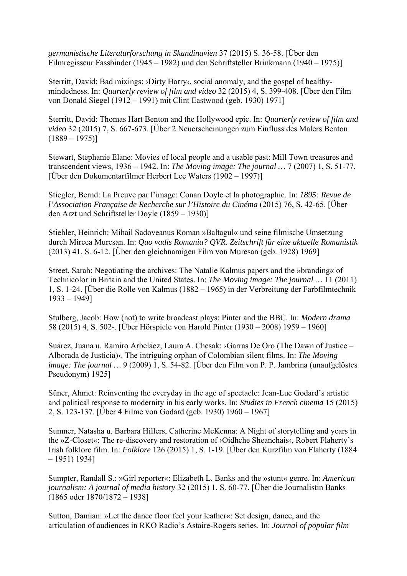*germanistische Literaturforschung in Skandinavien* 37 (2015) S. 36-58. [Über den Filmregisseur Fassbinder (1945 – 1982) und den Schriftsteller Brinkmann (1940 – 1975)]

Sterritt, David: Bad mixings: ›Dirty Harry‹, social anomaly, and the gospel of healthymindedness. In: *Quarterly review of film and video* 32 (2015) 4, S. 399-408. [Über den Film von Donald Siegel (1912 – 1991) mit Clint Eastwood (geb. 1930) 1971]

Sterritt, David: Thomas Hart Benton and the Hollywood epic. In: *Quarterly review of film and video* 32 (2015) 7, S. 667-673. [Über 2 Neuerscheinungen zum Einfluss des Malers Benton  $(1889 - 1975)$ 

Stewart, Stephanie Elane: Movies of local people and a usable past: Mill Town treasures and transcendent views, 1936 – 1942. In: *The Moving image: The journal …* 7 (2007) 1, S. 51-77. [Über den Dokumentarfilmer Herbert Lee Waters (1902 – 1997)]

Stiegler, Bernd: La Preuve par l'image: Conan Doyle et la photographie. In: *1895: Revue de l'Association Française de Recherche sur l'Histoire du Cinéma* (2015) 76, S. 42-65. [Über den Arzt und Schriftsteller Doyle (1859 – 1930)]

Stiehler, Heinrich: Mihail Sadoveanus Roman »Baltagul« und seine filmische Umsetzung durch Mircea Muresan. In: *Quo vadis Romania? QVR. Zeitschrift für eine aktuelle Romanistik* (2013) 41, S. 6-12. [Über den gleichnamigen Film von Muresan (geb. 1928) 1969]

Street, Sarah: Negotiating the archives: The Natalie Kalmus papers and the »branding« of Technicolor in Britain and the United States. In: *The Moving image: The journal …* 11 (2011) 1, S. 1-24. [Über die Rolle von Kalmus (1882 – 1965) in der Verbreitung der Farbfilmtechnik 1933 – 1949]

Stulberg, Jacob: How (not) to write broadcast plays: Pinter and the BBC. In: *Modern drama* 58 (2015) 4, S. 502-. [Über Hörspiele von Harold Pinter (1930 – 2008) 1959 – 1960]

Suárez, Juana u. Ramiro Arbeláez, Laura A. Chesak: ›Garras De Oro (The Dawn of Justice – Alborada de Justicia)‹. The intriguing orphan of Colombian silent films. In: *The Moving image: The journal* ... 9 (2009) 1, S. 54-82. [Über den Film von P. P. Jambrina (unaufgelöstes Pseudonym) 1925]

Süner, Ahmet: Reinventing the everyday in the age of spectacle: Jean-Luc Godard's artistic and political response to modernity in his early works. In: *Studies in French cinema* 15 (2015) 2, S. 123-137. [Über 4 Filme von Godard (geb. 1930) 1960 – 1967]

Sumner, Natasha u. Barbara Hillers, Catherine McKenna: A Night of storytelling and years in the »Z-Closet«: The re-discovery and restoration of ›Oidhche Sheanchais‹, Robert Flaherty's Irish folklore film. In: *Folklore* 126 (2015) 1, S. 1-19. [Über den Kurzfilm von Flaherty (1884 – 1951) 1934]

Sumpter, Randall S.: »Girl reporter«: Elizabeth L. Banks and the »stunt« genre. In: *American journalism: A journal of media history* 32 (2015) 1, S. 60-77. [Über die Journalistin Banks (1865 oder 1870/1872 – 1938]

Sutton, Damian: »Let the dance floor feel your leather«: Set design, dance, and the articulation of audiences in RKO Radio's Astaire-Rogers series. In: *Journal of popular film*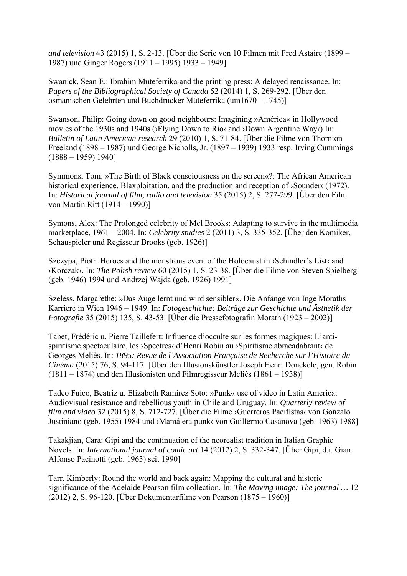*and television* 43 (2015) 1, S. 2-13. [Über die Serie von 10 Filmen mit Fred Astaire (1899 – 1987) und Ginger Rogers (1911 – 1995) 1933 – 1949]

Swanick, Sean E.: Ibrahim Müteferrika and the printing press: A delayed renaissance. In: *Papers of the Bibliographical Society of Canada* 52 (2014) 1, S. 269-292. [Über den osmanischen Gelehrten und Buchdrucker Müteferrika (um1670 – 1745)]

Swanson, Philip: Going down on good neighbours: Imagining »América« in Hollywood movies of the 1930s and 1940s (›Flying Down to Rio‹ and ›Down Argentine Way‹) In: *Bulletin of Latin American research* 29 (2010) 1, S. 71-84. [Über die Filme von Thornton Freeland (1898 – 1987) und George Nicholls, Jr. (1897 – 1939) 1933 resp. Irving Cummings (1888 – 1959) 1940]

Symmons, Tom: »The Birth of Black consciousness on the screen«?: The African American historical experience, Blaxploitation, and the production and reception of  $\delta$ Sounder $\langle$  (1972). In: *Historical journal of film, radio and television* 35 (2015) 2, S. 277-299. [Über den Film von Martin Ritt (1914 – 1990)]

Symons, Alex: The Prolonged celebrity of Mel Brooks: Adapting to survive in the multimedia marketplace, 1961 – 2004. In: *Celebrity studies* 2 (2011) 3, S. 335-352. [Über den Komiker, Schauspieler und Regisseur Brooks (geb. 1926)]

Szczypa, Piotr: Heroes and the monstrous event of the Holocaust in ›Schindler's List‹ and ›Korczak‹. In: *The Polish review* 60 (2015) 1, S. 23-38. [Über die Filme von Steven Spielberg (geb. 1946) 1994 und Andrzej Wajda (geb. 1926) 1991]

Szeless, Margarethe: »Das Auge lernt und wird sensibler«. Die Anfänge von Inge Moraths Karriere in Wien 1946 – 1949. In: *Fotogeschichte: Beiträge zur Geschichte und Ästhetik der Fotografie* 35 (2015) 135, S. 43-53. [Über die Pressefotografin Morath (1923 – 2002)]

Tabet, Frédéric u. Pierre Taillefert: Influence d'occulte sur les formes magiques: L'antispiritisme spectaculaire, les ›Spectres‹ d'Henri Robin au ›Spiritisme abracadabrant‹ de Georges Meliès. In: *1895: Revue de l'Association Française de Recherche sur l'Histoire du Cinéma* (2015) 76, S. 94-117. [Über den Illusionskünstler Joseph Henri Donckele, gen. Robin (1811 – 1874) und den Illusionisten und Filmregisseur Meliès (1861 – 1938)]

Tadeo Fuico, Beatriz u. Elizabeth Ramírez Soto: »Punk« use of video in Latin America: Audiovisual resistance and rebellious youth in Chile and Uruguay. In: *Quarterly review of film and video* 32 (2015) 8, S. 712-727. [Über die Filme ›Guerreros Pacifistas‹ von Gonzalo Justiniano (geb. 1955) 1984 und ›Mamá era punk‹ von Guillermo Casanova (geb. 1963) 1988]

Takakjian, Cara: Gipi and the continuation of the neorealist tradition in Italian Graphic Novels. In: *International journal of comic art* 14 (2012) 2, S. 332-347. [Über Gipi, d.i. Gian Alfonso Pacinotti (geb. 1963) seit 1990]

Tarr, Kimberly: Round the world and back again: Mapping the cultural and historic significance of the Adelaide Pearson film collection. In: *The Moving image: The journal …* 12 (2012) 2, S. 96-120. [Über Dokumentarfilme von Pearson (1875 – 1960)]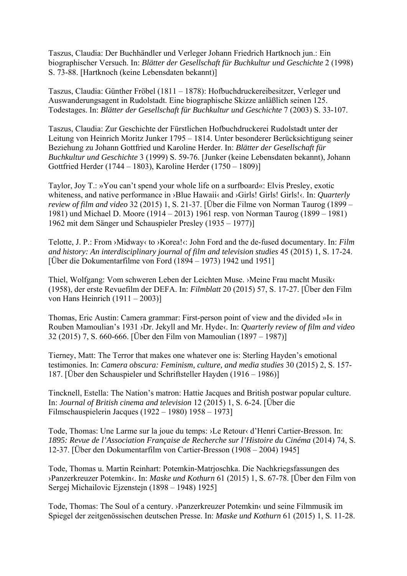Taszus, Claudia: Der Buchhändler und Verleger Johann Friedrich Hartknoch jun.: Ein biographischer Versuch. In: *Blätter der Gesellschaft für Buchkultur und Geschichte* 2 (1998) S. 73-88. [Hartknoch (keine Lebensdaten bekannt)]

Taszus, Claudia: Günther Fröbel (1811 – 1878): Hofbuchdruckereibesitzer, Verleger und Auswanderungsagent in Rudolstadt. Eine biographische Skizze anläßlich seinen 125. Todestages. In: *Blätter der Gesellschaft für Buchkultur und Geschichte* 7 (2003) S. 33-107.

Taszus, Claudia: Zur Geschichte der Fürstlichen Hofbuchdruckerei Rudolstadt unter der Leitung von Heinrich Moritz Junker 1795 – 1814. Unter besonderer Berücksichtigung seiner Beziehung zu Johann Gottfried und Karoline Herder. In: *Blätter der Gesellschaft für Buchkultur und Geschichte* 3 (1999) S. 59-76. [Junker (keine Lebensdaten bekannt), Johann Gottfried Herder (1744 – 1803), Karoline Herder (1750 – 1809)]

Taylor, Joy T.: »You can't spend your whole life on a surfboard«: Elvis Presley, exotic whiteness, and native performance in **>Blue Hawaii** and **>Girls!** Girls! Girls! (In: *Quarterly review of film and video* 32 (2015) 1, S. 21-37. [Über die Filme von Norman Taurog (1899 – 1981) und Michael D. Moore (1914 – 2013) 1961 resp. von Norman Taurog (1899 – 1981) 1962 mit dem Sänger und Schauspieler Presley (1935 – 1977)]

Telotte, J. P.: From ›Midway‹ to ›Korea!‹: John Ford and the de-fused documentary. In: *Film and history: An interdisciplinary journal of film and television studies* 45 (2015) 1, S. 17-24. [Über die Dokumentarfilme von Ford (1894 – 1973) 1942 und 1951]

Thiel, Wolfgang: Vom schweren Leben der Leichten Muse. ›Meine Frau macht Musik‹ (1958), der erste Revuefilm der DEFA. In: *Filmblatt* 20 (2015) 57, S. 17-27. [Über den Film von Hans Heinrich (1911 – 2003)]

Thomas, Eric Austin: Camera grammar: First-person point of view and the divided »I« in Rouben Mamoulian's 1931 ›Dr. Jekyll and Mr. Hyde‹. In: *Quarterly review of film and video* 32 (2015) 7, S. 660-666. [Über den Film von Mamoulian (1897 – 1987)]

Tierney, Matt: The Terror that makes one whatever one is: Sterling Hayden's emotional testimonies. In: *Camera obscura: Feminism, culture, and media studies* 30 (2015) 2, S. 157- 187. [Über den Schauspieler und Schriftsteller Hayden (1916 – 1986)]

Tincknell, Estella: The Nation's matron: Hattie Jacques and British postwar popular culture. In: *Journal of British cinema and television* 12 (2015) 1, S. 6-24. [Über die Filmschauspielerin Jacques (1922 – 1980) 1958 – 1973]

Tode, Thomas: Une Larme sur la joue du temps: ›Le Retour‹ d'Henri Cartier-Bresson. In: *1895: Revue de l'Association Française de Recherche sur l'Histoire du Cinéma* (2014) 74, S. 12-37. [Über den Dokumentarfilm von Cartier-Bresson (1908 – 2004) 1945]

Tode, Thomas u. Martin Reinhart: Potemkin-Matrjoschka. Die Nachkriegsfassungen des ›Panzerkreuzer Potemkin‹. In: *Maske und Kothurn* 61 (2015) 1, S. 67-78. [Über den Film von Sergej Michailovic Ejzenstejn (1898 – 1948) 1925]

Tode, Thomas: The Soul of a century. ›Panzerkreuzer Potemkin‹ und seine Filmmusik im Spiegel der zeitgenössischen deutschen Presse. In: *Maske und Kothurn* 61 (2015) 1, S. 11-28.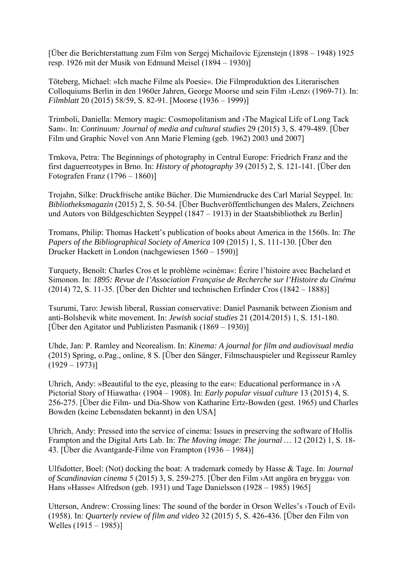[Über die Berichterstattung zum Film von Sergej Michailovic Ejzenstejn (1898 – 1948) 1925 resp. 1926 mit der Musik von Edmund Meisel (1894 – 1930)]

Töteberg, Michael: »Ich mache Filme als Poesie«. Die Filmproduktion des Literarischen Colloquiums Berlin in den 1960er Jahren, George Moorse und sein Film ›Lenz‹ (1969-71). In: *Filmblatt* 20 (2015) 58/59, S. 82-91. [Moorse (1936 – 1999)]

Trimboli, Daniella: Memory magic: Cosmopolitanism and ›The Magical Life of Long Tack Sam‹. In: *Continuum: Journal of media and cultural studies* 29 (2015) 3, S. 479-489. [Über Film und Graphic Novel von Ann Marie Fleming (geb. 1962) 2003 und 2007]

Trnkova, Petra: The Beginnings of photography in Central Europe: Friedrich Franz and the first daguerreotypes in Brno. In: *History of photography* 39 (2015) 2, S. 121-141. [Über den Fotografen Franz (1796 – 1860)]

Trojahn, Silke: Druckfrische antike Bücher. Die Mumiendrucke des Carl Marial Seyppel. In: *Bibliotheksmagazin* (2015) 2, S. 50-54. [Über Buchveröffentlichungen des Malers, Zeichners und Autors von Bildgeschichten Seyppel (1847 – 1913) in der Staatsbibliothek zu Berlin]

Tromans, Philip: Thomas Hackett's publication of books about America in the 1560s. In: *The Papers of the Bibliographical Society of America* 109 (2015) 1, S. 111-130. [Über den Drucker Hackett in London (nachgewiesen 1560 – 1590)]

Turquety, Benoît: Charles Cros et le problème »cinéma«: Écrire l'histoire avec Bachelard et Simonon. In: *1895: Revue de l'Association Française de Recherche sur l'Histoire du Cinéma* (2014) 72, S. 11-35. [Über den Dichter und technischen Erfinder Cros (1842 – 1888)]

Tsurumi, Taro: Jewish liberal, Russian conservative: Daniel Pasmanik between Zionism and anti-Bolshevik white movement. In: *Jewish social studies* 21 (2014/2015) 1, S. 151-180. [Über den Agitator und Publizisten Pasmanik (1869 – 1930)]

Uhde, Jan: P. Ramley and Neorealism. In: *Kinema: A journal for film and audiovisual media* (2015) Spring, o.Pag., online, 8 S. [Über den Sänger, Filmschauspieler und Regisseur Ramley  $(1929 - 1973)$ 

Uhrich, Andy: »Beautiful to the eye, pleasing to the ear«: Educational performance in >A Pictorial Story of Hiawatha‹ (1904 – 1908). In: *Early popular visual culture* 13 (2015) 4, S. 256-275. [Über die Film- und Dia-Show von Katharine Ertz-Bowden (gest. 1965) und Charles Bowden (keine Lebensdaten bekannt) in den USA]

Uhrich, Andy: Pressed into the service of cinema: Issues in preserving the software of Hollis Frampton and the Digital Arts Lab. In: *The Moving image: The journal …* 12 (2012) 1, S. 18- 43. [Über die Avantgarde-Filme von Frampton (1936 – 1984)]

Ulfsdotter, Boel: (Not) docking the boat: A trademark comedy by Hasse & Tage. In: *Journal of Scandinavian cinema* 5 (2015) 3, S. 259-275. [Über den Film ›Att angöra en brygga‹ von Hans »Hasse« Alfredson (geb. 1931) und Tage Danielsson (1928 – 1985) 1965]

Utterson, Andrew: Crossing lines: The sound of the border in Orson Welles's ›Touch of Evil‹ (1958). In: *Quarterly review of film and video* 32 (2015) 5, S. 426-436. [Über den Film von Welles (1915 – 1985)]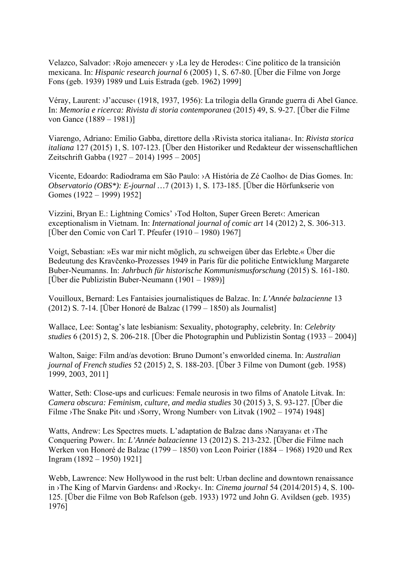Velazco, Salvador:  $\triangle$ Rojo amenecer $\triangle$ y  $\angle$ La ley de Herodes $\triangle$ : Cine politico de la transición mexicana. In: *Hispanic research journal* 6 (2005) 1, S. 67-80. [Über die Filme von Jorge Fons (geb. 1939) 1989 und Luis Estrada (geb. 1962) 1999]

Véray, Laurent: ›J'accuse‹ (1918, 1937, 1956): La trilogia della Grande guerra di Abel Gance. In: *Memoria e ricerca: Rivista di storia contemporanea* (2015) 49, S. 9-27. [Über die Filme von Gance (1889 – 1981)]

Viarengo, Adriano: Emilio Gabba, direttore della ›Rivista storica italiana‹. In: *Rivista storica italiana* 127 (2015) 1, S. 107-123. [Über den Historiker und Redakteur der wissenschaftlichen Zeitschrift Gabba (1927 – 2014) 1995 – 2005]

Vicente, Edoardo: Radiodrama em São Paulo: ›A História de Zé Caolho‹ de Dias Gomes. In: *Observatorio (OBS\*): E-journal …*7 (2013) 1, S. 173-185. [Über die Hörfunkserie von Gomes (1922 – 1999) 1952]

Vizzini, Bryan E.: Lightning Comics' ›Tod Holton, Super Green Beret‹: American exceptionalism in Vietnam. In: *International journal of comic art* 14 (2012) 2, S. 306-313. [Über den Comic von Carl T. Pfeufer (1910 – 1980) 1967]

Voigt, Sebastian: »Es war mir nicht möglich, zu schweigen über das Erlebte.« Über die Bedeutung des Kravčenko-Prozesses 1949 in Paris für die politiche Entwicklung Margarete Buber-Neumanns. In: *Jahrbuch für historische Kommunismusforschung* (2015) S. 161-180. [Über die Publizistin Buber-Neumann (1901 – 1989)]

Vouilloux, Bernard: Les Fantaisies journalistiques de Balzac. In: *L'Année balzacienne* 13 (2012) S. 7-14. [Über Honoré de Balzac (1799 – 1850) als Journalist]

Wallace, Lee: Sontag's late lesbianism: Sexuality, photography, celebrity. In: *Celebrity studies* 6 (2015) 2, S. 206-218. [Über die Photographin und Publizistin Sontag (1933 – 2004)]

Walton, Saige: Film and/as devotion: Bruno Dumont's enworlded cinema. In: *Australian journal of French studies* 52 (2015) 2, S. 188-203. [Über 3 Filme von Dumont (geb. 1958) 1999, 2003, 2011]

Watter, Seth: Close-ups and curlicues: Female neurosis in two films of Anatole Litvak. In: *Camera obscura: Feminism, culture, and media studies* 30 (2015) 3, S. 93-127. [Über die Filme >The Snake Pit‹ und >Sorry, Wrong Number‹ von Litvak (1902 – 1974) 1948]

Watts, Andrew: Les Spectres muets. L'adaptation de Balzac dans ›Narayana‹ et ›The Conquering Power‹. In: *L'Année balzacienne* 13 (2012) S. 213-232. [Über die Filme nach Werken von Honoré de Balzac (1799 – 1850) von Leon Poirier (1884 – 1968) 1920 und Rex Ingram (1892 – 1950) 1921]

Webb, Lawrence: New Hollywood in the rust belt: Urban decline and downtown renaissance in ›The King of Marvin Gardens‹ and ›Rocky‹. In: *Cinema journal* 54 (2014/2015) 4, S. 100- 125. [Über die Filme von Bob Rafelson (geb. 1933) 1972 und John G. Avildsen (geb. 1935) 1976]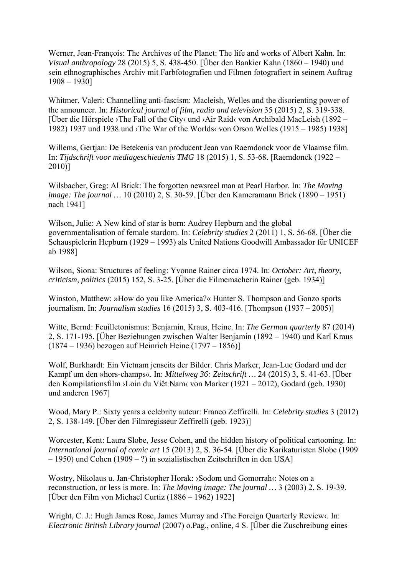Werner, Jean-François: The Archives of the Planet: The life and works of Albert Kahn. In: *Visual anthropology* 28 (2015) 5, S. 438-450. [Über den Bankier Kahn (1860 – 1940) und sein ethnographisches Archiv mit Farbfotografien und Filmen fotografiert in seinem Auftrag 1908 – 1930]

Whitmer, Valeri: Channelling anti-fascism: Macleish, Welles and the disorienting power of the announcer. In: *Historical journal of film, radio and television* 35 (2015) 2, S. 319-338. [Über die Hörspiele ›The Fall of the City‹ und ›Air Raid‹ von Archibald MacLeish (1892 – 1982) 1937 und 1938 und ›The War of the Worlds‹ von Orson Welles (1915 – 1985) 1938]

Willems, Gertjan: De Betekenis van producent Jean van Raemdonck voor de Vlaamse film. In: *Tijdschrift voor mediageschiedenis TMG* 18 (2015) 1, S. 53-68. [Raemdonck (1922 – 2010)]

Wilsbacher, Greg: Al Brick: The forgotten newsreel man at Pearl Harbor. In: *The Moving image: The journal …* 10 (2010) 2, S. 30-59. [Über den Kameramann Brick (1890 – 1951) nach 1941]

Wilson, Julie: A New kind of star is born: Audrey Hepburn and the global governmentalisation of female stardom. In: *Celebrity studies* 2 (2011) 1, S. 56-68. [Über die Schauspielerin Hepburn (1929 – 1993) als United Nations Goodwill Ambassador für UNICEF ab 1988]

Wilson, Siona: Structures of feeling: Yvonne Rainer circa 1974. In: *October: Art, theory, criticism, politics* (2015) 152, S. 3-25. [Über die Filmemacherin Rainer (geb. 1934)]

Winston, Matthew: »How do you like America?« Hunter S. Thompson and Gonzo sports journalism. In: *Journalism studies* 16 (2015) 3, S. 403-416. [Thompson (1937 – 2005)]

Witte, Bernd: Feuilletonismus: Benjamin, Kraus, Heine. In: *The German quarterly* 87 (2014) 2, S. 171-195. [Über Beziehungen zwischen Walter Benjamin (1892 – 1940) und Karl Kraus (1874 – 1936) bezogen auf Heinrich Heine (1797 – 1856)]

Wolf, Burkhardt: Ein Vietnam jenseits der Bilder. Chris Marker, Jean-Luc Godard und der Kampf um den »hors-champs«. In: *Mittelweg 36: Zeitschrift …* 24 (2015) 3, S. 41-63. [Über den Kompilationsfilm ›Loin du Viêt Nam‹ von Marker (1921 – 2012), Godard (geb. 1930) und anderen 1967]

Wood, Mary P.: Sixty years a celebrity auteur: Franco Zeffirelli. In: *Celebrity studies* 3 (2012) 2, S. 138-149. [Über den Filmregisseur Zeffirelli (geb. 1923)]

Worcester, Kent: Laura Slobe, Jesse Cohen, and the hidden history of political cartooning. In: *International journal of comic art* 15 (2013) 2, S. 36-54. [Über die Karikaturisten Slobe (1909 – 1950) und Cohen (1909 – ?) in sozialistischen Zeitschriften in den USA]

Wostry, Nikolaus u. Jan-Christopher Horak: ›Sodom und Gomorrah‹: Notes on a reconstruction, or less is more. In: *The Moving image: The journal …* 3 (2003) 2, S. 19-39. [Über den Film von Michael Curtiz (1886 – 1962) 1922]

Wright, C. J.: Hugh James Rose, James Murray and ›The Foreign Quarterly Review‹. In: *Electronic British Library journal* (2007) o.Pag., online, 4 S. [Über die Zuschreibung eines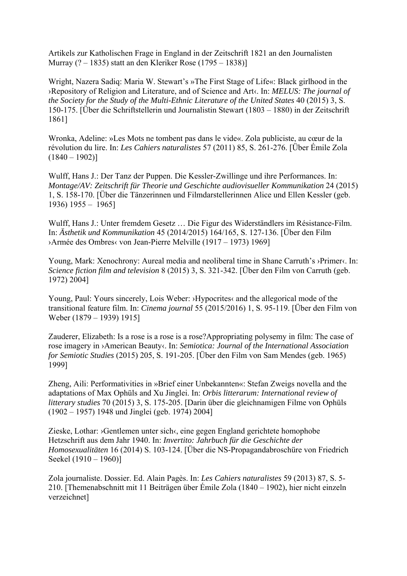Artikels zur Katholischen Frage in England in der Zeitschrift 1821 an den Journalisten Murray (? – 1835) statt an den Kleriker Rose (1795 – 1838)]

Wright, Nazera Sadiq: Maria W. Stewart's »The First Stage of Life«: Black girlhood in the ›Repository of Religion and Literature, and of Science and Art‹. In: *MELUS: The journal of the Society for the Study of the Multi-Ethnic Literature of the United States* 40 (2015) 3, S. 150-175. [Über die Schriftstellerin und Journalistin Stewart (1803 – 1880) in der Zeitschrift 1861]

Wronka, Adeline: »Les Mots ne tombent pas dans le vide«. Zola publiciste, au cœur de la révolution du lire. In: *Les Cahiers naturalistes* 57 (2011) 85, S. 261-276. [Über Émile Zola  $(1840 - 1902)$ ]

Wulff, Hans J.: Der Tanz der Puppen. Die Kessler-Zwillinge und ihre Performances. In: *Montage/AV: Zeitschrift für Theorie und Geschichte audiovisueller Kommunikation 24 (2015)* 1, S. 158-170. [Über die Tänzerinnen und Filmdarstellerinnen Alice und Ellen Kessler (geb. 1936) 1955 – 1965]

Wulff, Hans J.: Unter fremdem Gesetz … Die Figur des Widerständlers im Résistance-Film. In: *Ästhetik und Kommunikation* 45 (2014/2015) 164/165, S. 127-136. [Über den Film ›Armée des Ombres‹ von Jean-Pierre Melville (1917 – 1973) 1969]

Young, Mark: Xenochrony: Aureal media and neoliberal time in Shane Carruth's >Primer <. In: *Science fiction film and television* 8 (2015) 3, S. 321-342. [Über den Film von Carruth (geb. 1972) 2004]

Young, Paul: Yours sincerely, Lois Weber: >Hypocrites< and the allegorical mode of the transitional feature film. In: *Cinema journal* 55 (2015/2016) 1, S. 95-119. [Über den Film von Weber (1879 – 1939) 1915]

Zauderer, Elizabeth: Is a rose is a rose is a rose?Appropriating polysemy in film: The case of rose imagery in ›American Beauty‹. In: *Semiotica: Journal of the International Association for Semiotic Studies* (2015) 205, S. 191-205. [Über den Film von Sam Mendes (geb. 1965) 1999]

Zheng, Aili: Performativities in »Brief einer Unbekannten«: Stefan Zweigs novella and the adaptations of Max Ophüls and Xu Jinglei. In: *Orbis litterarum: International review of litterary studies* 70 (2015) 3, S. 175-205. [Darin über die gleichnamigen Filme von Ophüls (1902 – 1957) 1948 und Jinglei (geb. 1974) 2004]

Zieske, Lothar: ›Gentlemen unter sich‹, eine gegen England gerichtete homophobe Hetzschrift aus dem Jahr 1940. In: *Invertito: Jahrbuch für die Geschichte der Homosexualitäten* 16 (2014) S. 103-124. [Über die NS-Propagandabroschüre von Friedrich Seekel (1910 – 1960)]

Zola journaliste. Dossier. Ed. Alain Pagès. In: *Les Cahiers naturalistes* 59 (2013) 87, S. 5- 210. [Themenabschnitt mit 11 Beiträgen über Émile Zola (1840 – 1902), hier nicht einzeln verzeichnet]